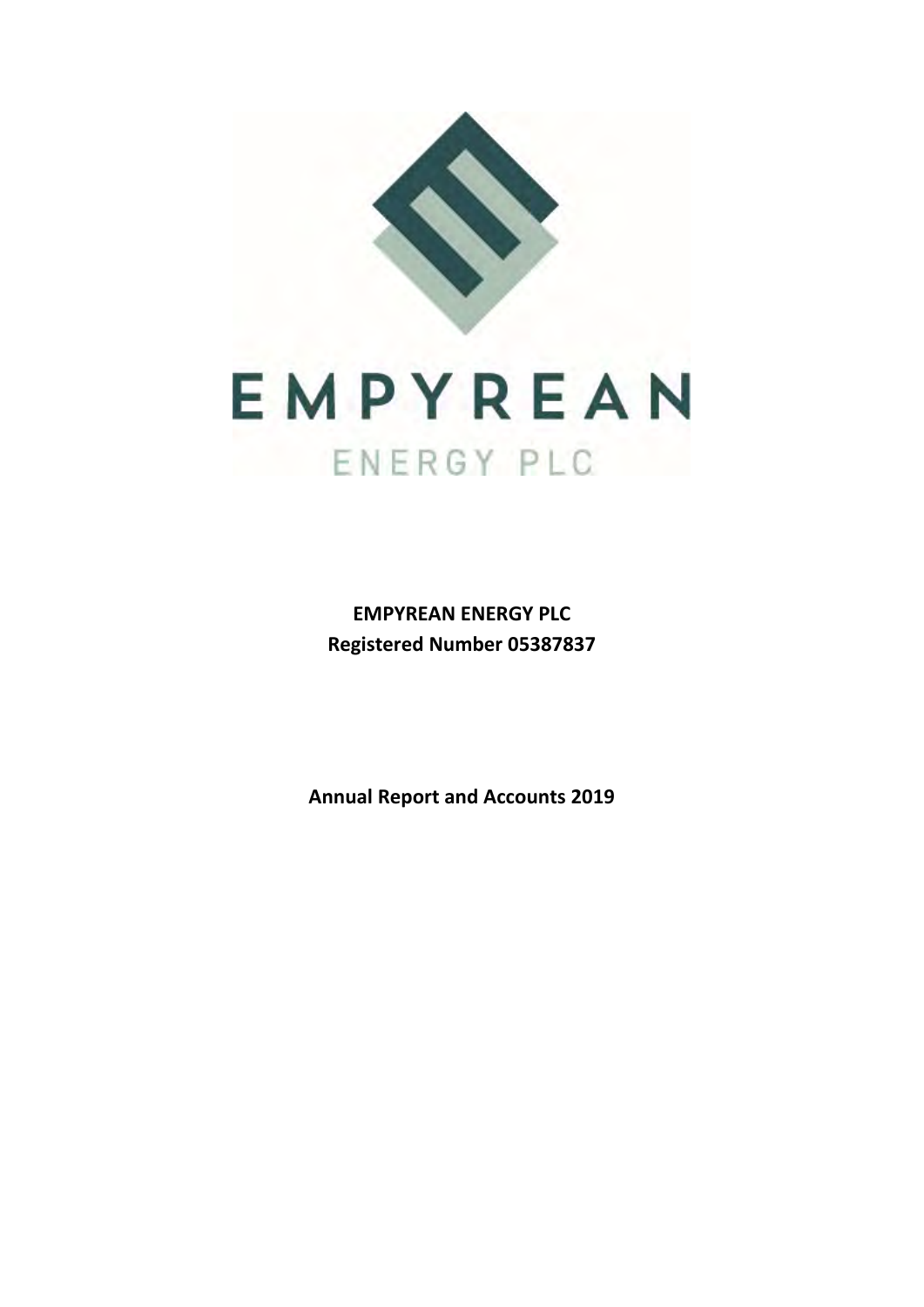

# ENERGY PLC

**EMPYREAN ENERGY PLC Registered Number 05387837** 

**Annual Report and Accounts 2019**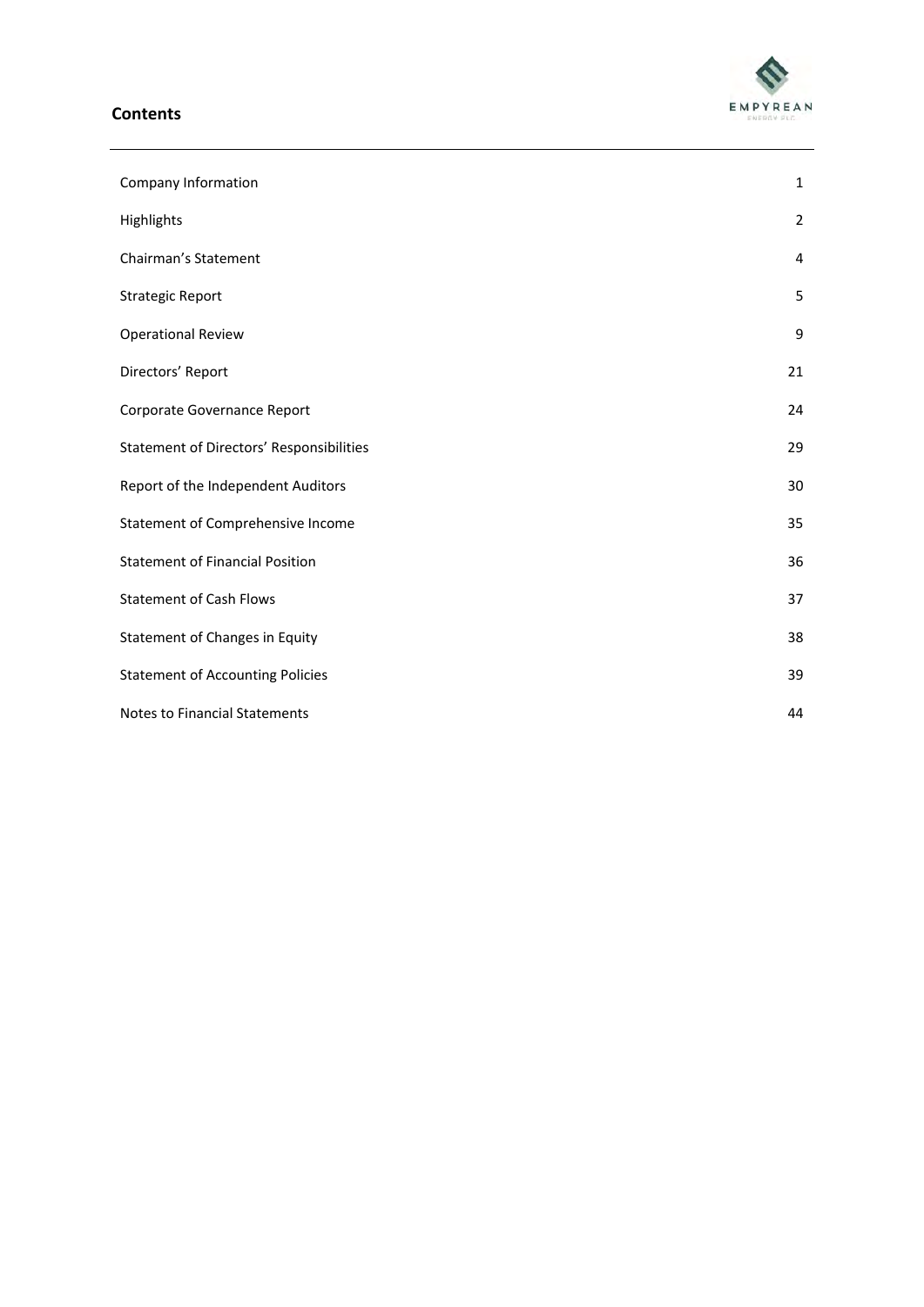

## **Contents**

| Company Information                             | $\mathbf{1}$   |
|-------------------------------------------------|----------------|
| Highlights                                      | $\overline{2}$ |
| Chairman's Statement                            | 4              |
| <b>Strategic Report</b>                         | 5              |
| <b>Operational Review</b>                       | 9              |
| Directors' Report                               | 21             |
| Corporate Governance Report                     | 24             |
| <b>Statement of Directors' Responsibilities</b> | 29             |
| Report of the Independent Auditors              | 30             |
| Statement of Comprehensive Income               | 35             |
| <b>Statement of Financial Position</b>          | 36             |
| <b>Statement of Cash Flows</b>                  | 37             |
| <b>Statement of Changes in Equity</b>           | 38             |
| <b>Statement of Accounting Policies</b>         | 39             |
| <b>Notes to Financial Statements</b>            | 44             |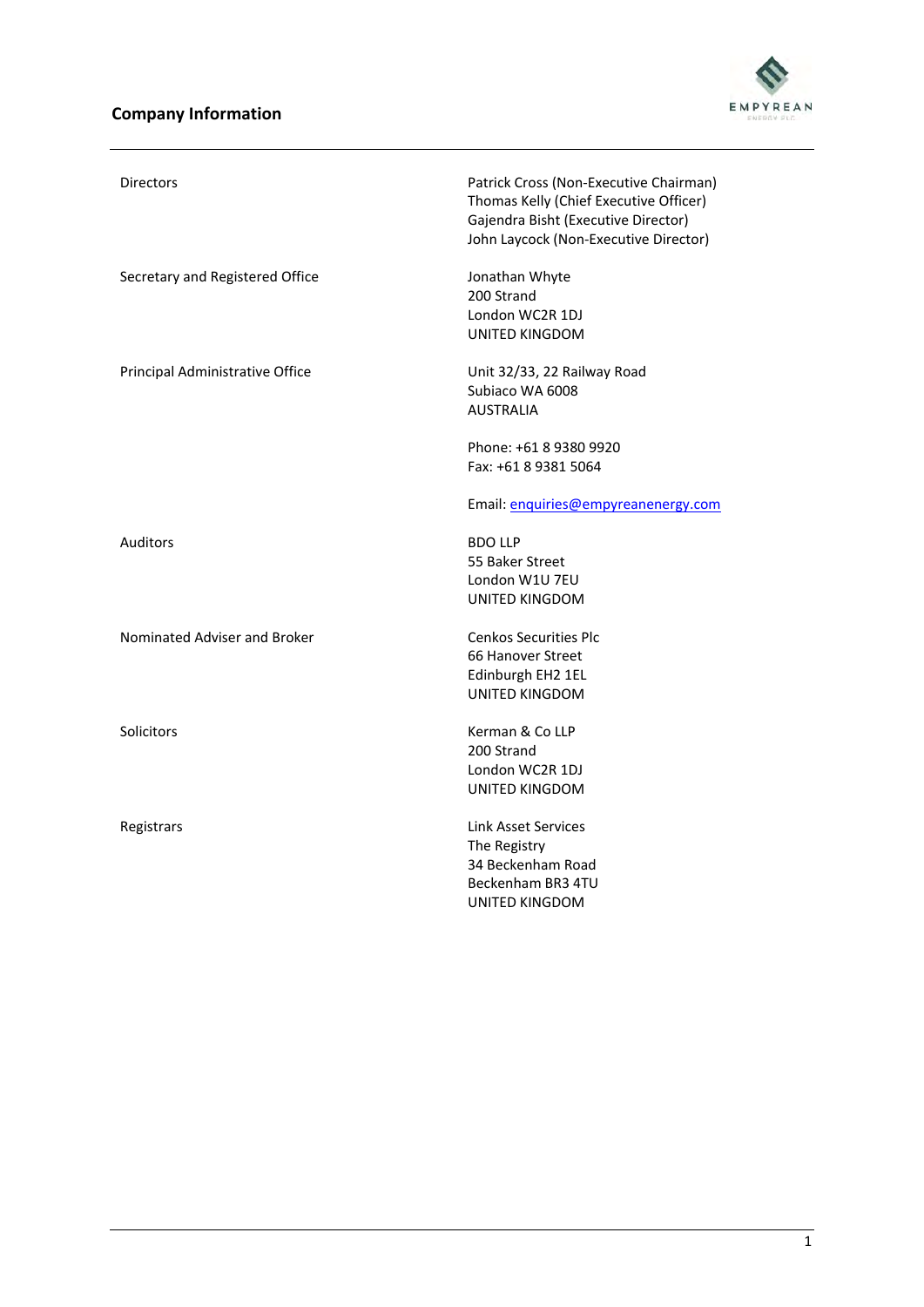## **Company Information**



| <b>Directors</b>                | Patrick Cross (Non-Executive Chairman)<br>Thomas Kelly (Chief Executive Officer)<br>Gajendra Bisht (Executive Director)<br>John Laycock (Non-Executive Director) |
|---------------------------------|------------------------------------------------------------------------------------------------------------------------------------------------------------------|
| Secretary and Registered Office | Jonathan Whyte<br>200 Strand<br>London WC2R 1DJ<br><b>UNITED KINGDOM</b>                                                                                         |
| Principal Administrative Office | Unit 32/33, 22 Railway Road<br>Subiaco WA 6008<br><b>AUSTRALIA</b>                                                                                               |
|                                 | Phone: +61 8 9380 9920<br>Fax: +61 8 9381 5064                                                                                                                   |
|                                 | Email: enquiries@empyreanenergy.com                                                                                                                              |
| <b>Auditors</b>                 | <b>BDO LLP</b><br>55 Baker Street<br>London W1U 7EU<br>UNITED KINGDOM                                                                                            |
| Nominated Adviser and Broker    | Cenkos Securities Plc<br>66 Hanover Street<br>Edinburgh EH2 1EL<br><b>UNITED KINGDOM</b>                                                                         |
| Solicitors                      | Kerman & Co LLP<br>200 Strand<br>London WC2R 1DJ<br>UNITED KINGDOM                                                                                               |
| Registrars                      | Link Asset Services<br>The Registry<br>34 Beckenham Road<br>Beckenham BR3 4TU<br>UNITED KINGDOM                                                                  |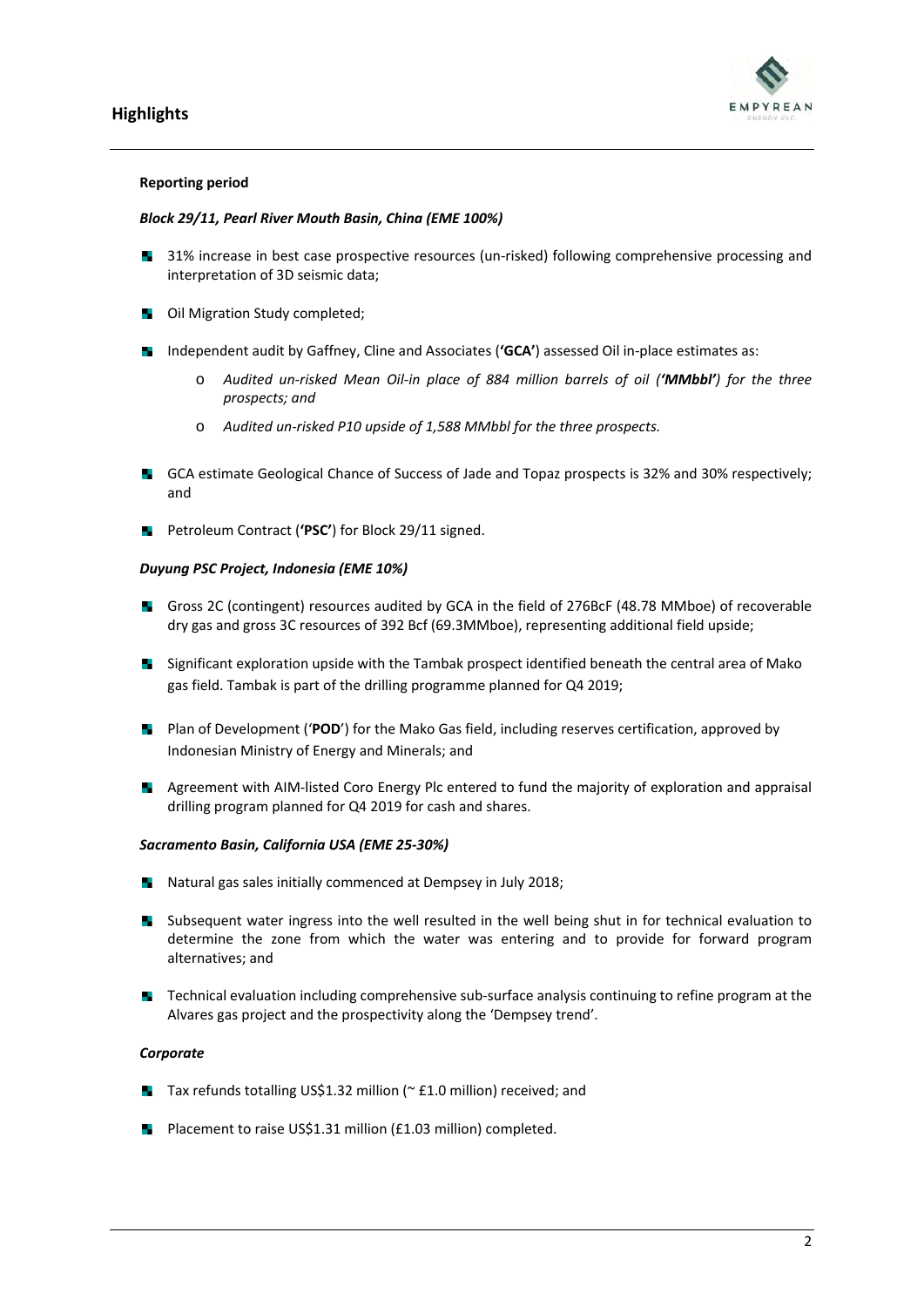

#### **Reporting period**

#### *Block 29/11, Pearl River Mouth Basin, China (EME 100%)*

- 31% increase in best case prospective resources (un-risked) following comprehensive processing and interpretation of 3D seismic data;
- **Di** Oil Migration Study completed;
- Independent audit by Gaffney, Cline and Associates (**'GCA'**) assessed Oil in‐place estimates as:
	- o *Audited un‐risked Mean Oil‐in place of 884 million barrels of oil ('MMbbl') for the three prospects; and*
	- o *Audited un‐risked P10 upside of 1,588 MMbbl for the three prospects.*
- GCA estimate Geological Chance of Success of Jade and Topaz prospects is 32% and 30% respectively; and
- **Petroleum Contract ('PSC')** for Block 29/11 signed.

#### *Duyung PSC Project, Indonesia (EME 10%)*

- Gross 2C (contingent) resources audited by GCA in the field of 276BcF (48.78 MMboe) of recoverable dry gas and gross 3C resources of 392 Bcf (69.3MMboe), representing additional field upside;
- Significant exploration upside with the Tambak prospect identified beneath the central area of Mako gas field. Tambak is part of the drilling programme planned for Q4 2019;
- **Plan of Development ('POD')** for the Mako Gas field, including reserves certification, approved by Indonesian Ministry of Energy and Minerals; and
- Agreement with AIM-listed Coro Energy Plc entered to fund the majority of exploration and appraisal drilling program planned for Q4 2019 for cash and shares.

#### *Sacramento Basin, California USA (EME 25‐30%)*

- **Natural gas sales initially commenced at Dempsey in July 2018;**
- Subsequent water ingress into the well resulted in the well being shut in for technical evaluation to determine the zone from which the water was entering and to provide for forward program alternatives; and
- Technical evaluation including comprehensive sub-surface analysis continuing to refine program at the Alvares gas project and the prospectivity along the 'Dempsey trend'.

#### *Corporate*

- $\blacksquare$  Tax refunds totalling US\$1.32 million ( $\sim$  £1.0 million) received; and
- **Placement to raise US\$1.31 million (£1.03 million) completed.**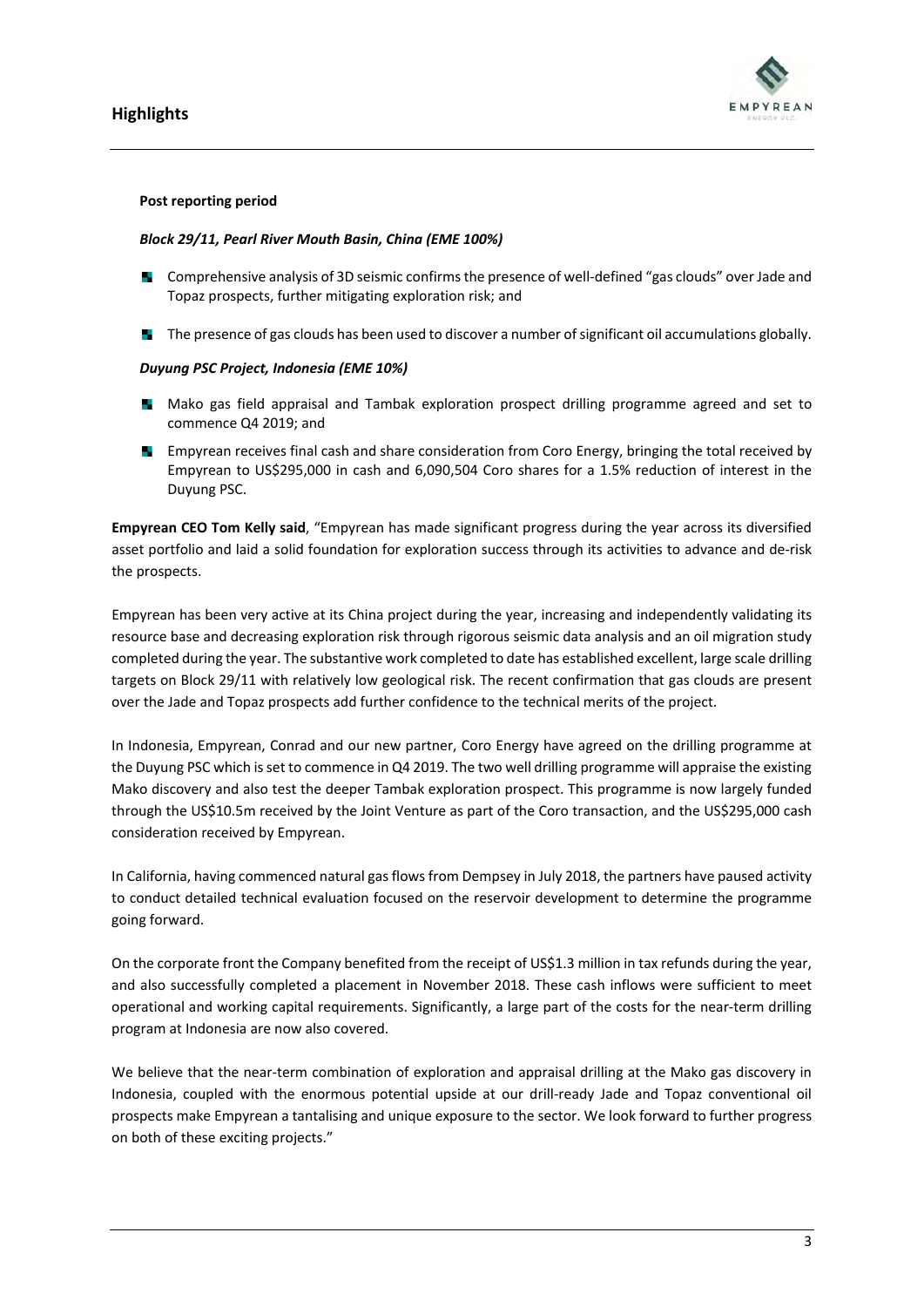

#### **Post reporting period**

#### *Block 29/11, Pearl River Mouth Basin, China (EME 100%)*

- Comprehensive analysis of 3D seismic confirms the presence of well-defined "gas clouds" over Jade and Topaz prospects, further mitigating exploration risk; and
- $\blacksquare$  The presence of gas clouds has been used to discover a number of significant oil accumulations globally.

#### *Duyung PSC Project, Indonesia (EME 10%)*

- Mako gas field appraisal and Tambak exploration prospect drilling programme agreed and set to commence Q4 2019; and
- **Example 20** Empyrean receives final cash and share consideration from Coro Energy, bringing the total received by Empyrean to US\$295,000 in cash and 6,090,504 Coro shares for a 1.5% reduction of interest in the Duyung PSC.

**Empyrean CEO Tom Kelly said**, "Empyrean has made significant progress during the year across its diversified asset portfolio and laid a solid foundation for exploration success through its activities to advance and de-risk the prospects.

Empyrean has been very active at its China project during the year, increasing and independently validating its resource base and decreasing exploration risk through rigorous seismic data analysis and an oil migration study completed during the year. The substantive work completed to date has established excellent, large scale drilling targets on Block 29/11 with relatively low geological risk. The recent confirmation that gas clouds are present over the Jade and Topaz prospects add further confidence to the technical merits of the project.

In Indonesia, Empyrean, Conrad and our new partner, Coro Energy have agreed on the drilling programme at the Duyung PSC which is set to commence in Q4 2019. The two well drilling programme will appraise the existing Mako discovery and also test the deeper Tambak exploration prospect. This programme is now largely funded through the US\$10.5m received by the Joint Venture as part of the Coro transaction, and the US\$295,000 cash consideration received by Empyrean.

In California, having commenced natural gas flows from Dempsey in July 2018, the partners have paused activity to conduct detailed technical evaluation focused on the reservoir development to determine the programme going forward.

On the corporate front the Company benefited from the receipt of US\$1.3 million in tax refunds during the year, and also successfully completed a placement in November 2018. These cash inflows were sufficient to meet operational and working capital requirements. Significantly, a large part of the costs for the near-term drilling program at Indonesia are now also covered.

We believe that the near-term combination of exploration and appraisal drilling at the Mako gas discovery in Indonesia, coupled with the enormous potential upside at our drill-ready Jade and Topaz conventional oil prospects make Empyrean a tantalising and unique exposure to the sector. We look forward to further progress on both of these exciting projects."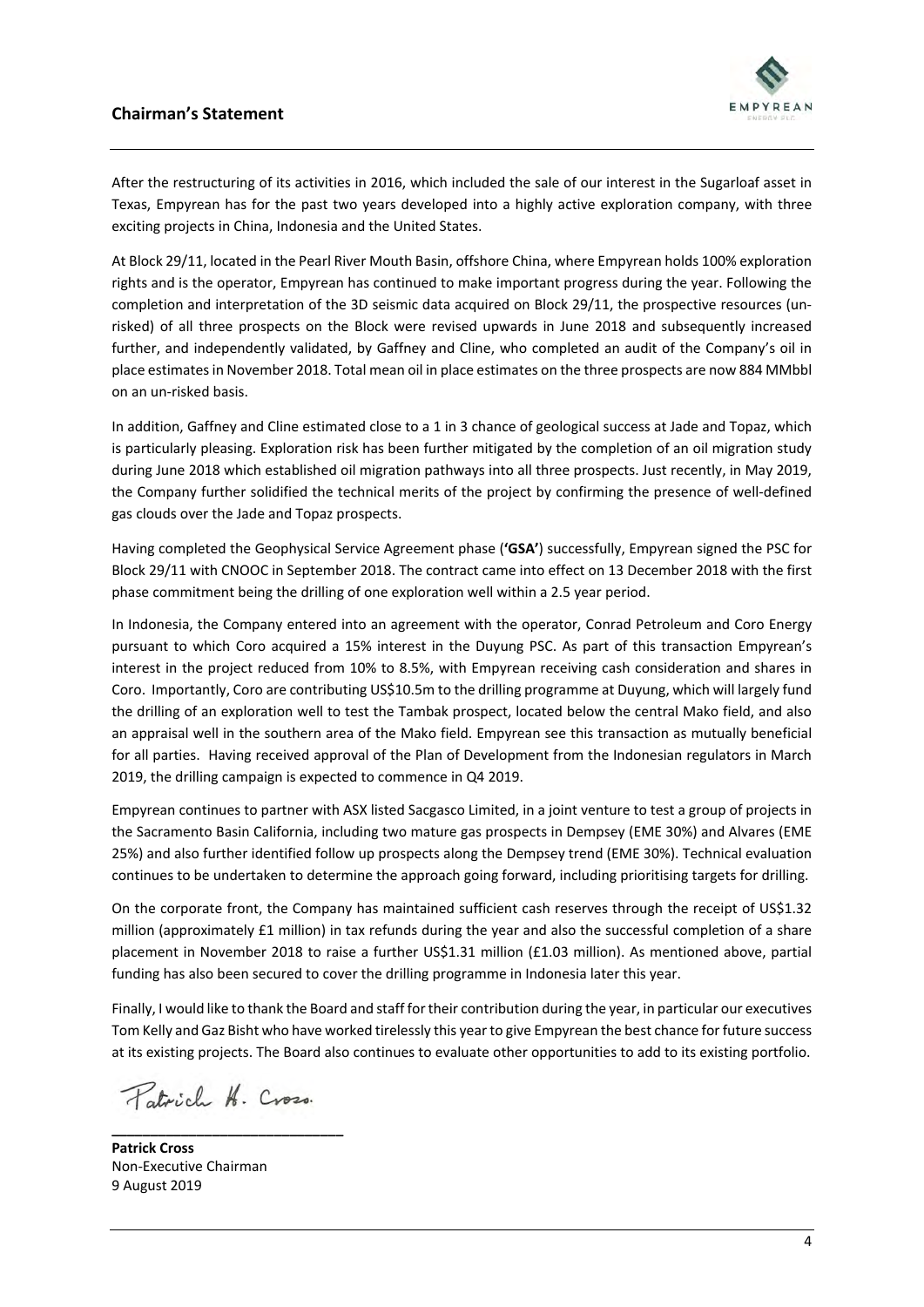## **Chairman's Statement**



After the restructuring of its activities in 2016, which included the sale of our interest in the Sugarloaf asset in Texas, Empyrean has for the past two years developed into a highly active exploration company, with three exciting projects in China, Indonesia and the United States.

At Block 29/11, located in the Pearl River Mouth Basin, offshore China, where Empyrean holds 100% exploration rights and is the operator, Empyrean has continued to make important progress during the year. Following the completion and interpretation of the 3D seismic data acquired on Block 29/11, the prospective resources (un‐ risked) of all three prospects on the Block were revised upwards in June 2018 and subsequently increased further, and independently validated, by Gaffney and Cline, who completed an audit of the Company's oil in place estimates in November 2018. Total mean oil in place estimates on the three prospects are now 884 MMbbl on an un‐risked basis.

In addition, Gaffney and Cline estimated close to a 1 in 3 chance of geological success at Jade and Topaz, which is particularly pleasing. Exploration risk has been further mitigated by the completion of an oil migration study during June 2018 which established oil migration pathways into all three prospects. Just recently, in May 2019, the Company further solidified the technical merits of the project by confirming the presence of well‐defined gas clouds over the Jade and Topaz prospects.

Having completed the Geophysical Service Agreement phase (**'GSA'**) successfully, Empyrean signed the PSC for Block 29/11 with CNOOC in September 2018. The contract came into effect on 13 December 2018 with the first phase commitment being the drilling of one exploration well within a 2.5 year period.

In Indonesia, the Company entered into an agreement with the operator, Conrad Petroleum and Coro Energy pursuant to which Coro acquired a 15% interest in the Duyung PSC. As part of this transaction Empyrean's interest in the project reduced from 10% to 8.5%, with Empyrean receiving cash consideration and shares in Coro. Importantly, Coro are contributing US\$10.5m to the drilling programme at Duyung, which will largely fund the drilling of an exploration well to test the Tambak prospect, located below the central Mako field, and also an appraisal well in the southern area of the Mako field. Empyrean see this transaction as mutually beneficial for all parties. Having received approval of the Plan of Development from the Indonesian regulators in March 2019, the drilling campaign is expected to commence in Q4 2019.

Empyrean continues to partner with ASX listed Sacgasco Limited, in a joint venture to test a group of projects in the Sacramento Basin California, including two mature gas prospects in Dempsey (EME 30%) and Alvares (EME 25%) and also further identified follow up prospects along the Dempsey trend (EME 30%). Technical evaluation continues to be undertaken to determine the approach going forward, including prioritising targets for drilling.

On the corporate front, the Company has maintained sufficient cash reserves through the receipt of US\$1.32 million (approximately £1 million) in tax refunds during the year and also the successful completion of a share placement in November 2018 to raise a further US\$1.31 million (£1.03 million). As mentioned above, partial funding has also been secured to cover the drilling programme in Indonesia later this year.

Finally, I would like to thank the Board and staff for their contribution during the year, in particular our executives Tom Kelly and Gaz Bisht who have worked tirelessly this year to give Empyrean the best chance for future success at its existing projects. The Board also continues to evaluate other opportunities to add to its existing portfolio.

Petrick H. Cross.

**\_\_\_\_\_\_\_\_\_\_\_\_\_\_\_\_\_\_\_\_\_\_\_\_\_\_\_\_\_\_** 

**Patrick Cross**  Non‐Executive Chairman 9 August 2019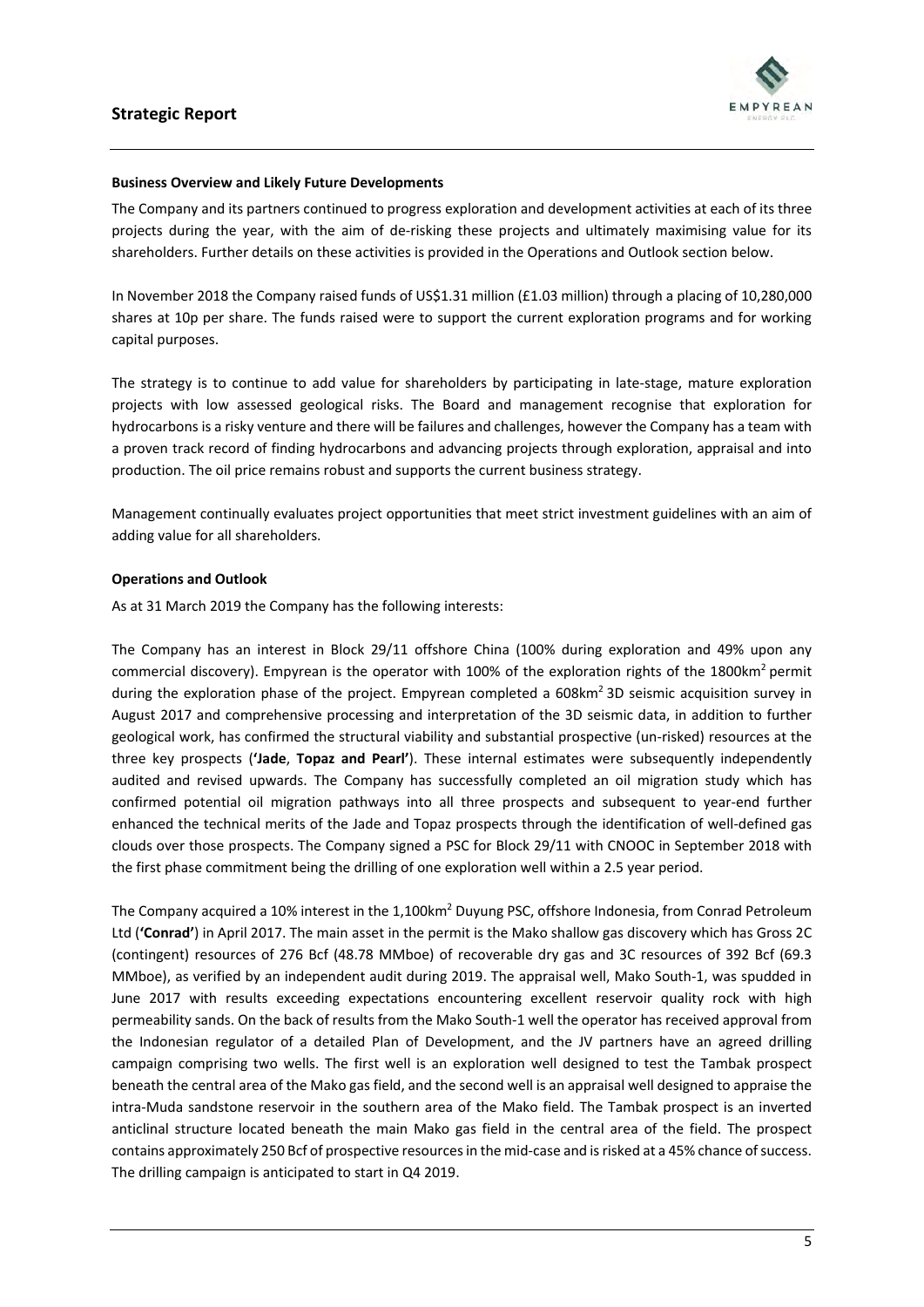

#### **Business Overview and Likely Future Developments**

The Company and its partners continued to progress exploration and development activities at each of its three projects during the year, with the aim of de-risking these projects and ultimately maximising value for its shareholders. Further details on these activities is provided in the Operations and Outlook section below.

In November 2018 the Company raised funds of US\$1.31 million (£1.03 million) through a placing of 10,280,000 shares at 10p per share. The funds raised were to support the current exploration programs and for working capital purposes.

The strategy is to continue to add value for shareholders by participating in late-stage, mature exploration projects with low assessed geological risks. The Board and management recognise that exploration for hydrocarbons is a risky venture and there will be failures and challenges, however the Company has a team with a proven track record of finding hydrocarbons and advancing projects through exploration, appraisal and into production. The oil price remains robust and supports the current business strategy.

Management continually evaluates project opportunities that meet strict investment guidelines with an aim of adding value for all shareholders.

#### **Operations and Outlook**

As at 31 March 2019 the Company has the following interests:

The Company has an interest in Block 29/11 offshore China (100% during exploration and 49% upon any commercial discovery). Empyrean is the operator with 100% of the exploration rights of the 1800km<sup>2</sup> permit during the exploration phase of the project. Empyrean completed a 608km<sup>2</sup> 3D seismic acquisition survey in August 2017 and comprehensive processing and interpretation of the 3D seismic data, in addition to further geological work, has confirmed the structural viability and substantial prospective (un‐risked) resources at the three key prospects (**'Jade**, **Topaz and Pearl'**). These internal estimates were subsequently independently audited and revised upwards. The Company has successfully completed an oil migration study which has confirmed potential oil migration pathways into all three prospects and subsequent to year-end further enhanced the technical merits of the Jade and Topaz prospects through the identification of well-defined gas clouds over those prospects. The Company signed a PSC for Block 29/11 with CNOOC in September 2018 with the first phase commitment being the drilling of one exploration well within a 2.5 year period.

The Company acquired a 10% interest in the 1,100km<sup>2</sup> Duyung PSC, offshore Indonesia, from Conrad Petroleum Ltd (**'Conrad'**) in April 2017. The main asset in the permit is the Mako shallow gas discovery which has Gross 2C (contingent) resources of 276 Bcf (48.78 MMboe) of recoverable dry gas and 3C resources of 392 Bcf (69.3 MMboe), as verified by an independent audit during 2019. The appraisal well, Mako South‐1, was spudded in June 2017 with results exceeding expectations encountering excellent reservoir quality rock with high permeability sands. On the back of results from the Mako South‐1 well the operator has received approval from the Indonesian regulator of a detailed Plan of Development, and the JV partners have an agreed drilling campaign comprising two wells. The first well is an exploration well designed to test the Tambak prospect beneath the central area of the Mako gas field, and the second well is an appraisal well designed to appraise the intra‐Muda sandstone reservoir in the southern area of the Mako field. The Tambak prospect is an inverted anticlinal structure located beneath the main Mako gas field in the central area of the field. The prospect contains approximately 250 Bcf of prospective resources in the mid-case and is risked at a 45% chance of success. The drilling campaign is anticipated to start in Q4 2019.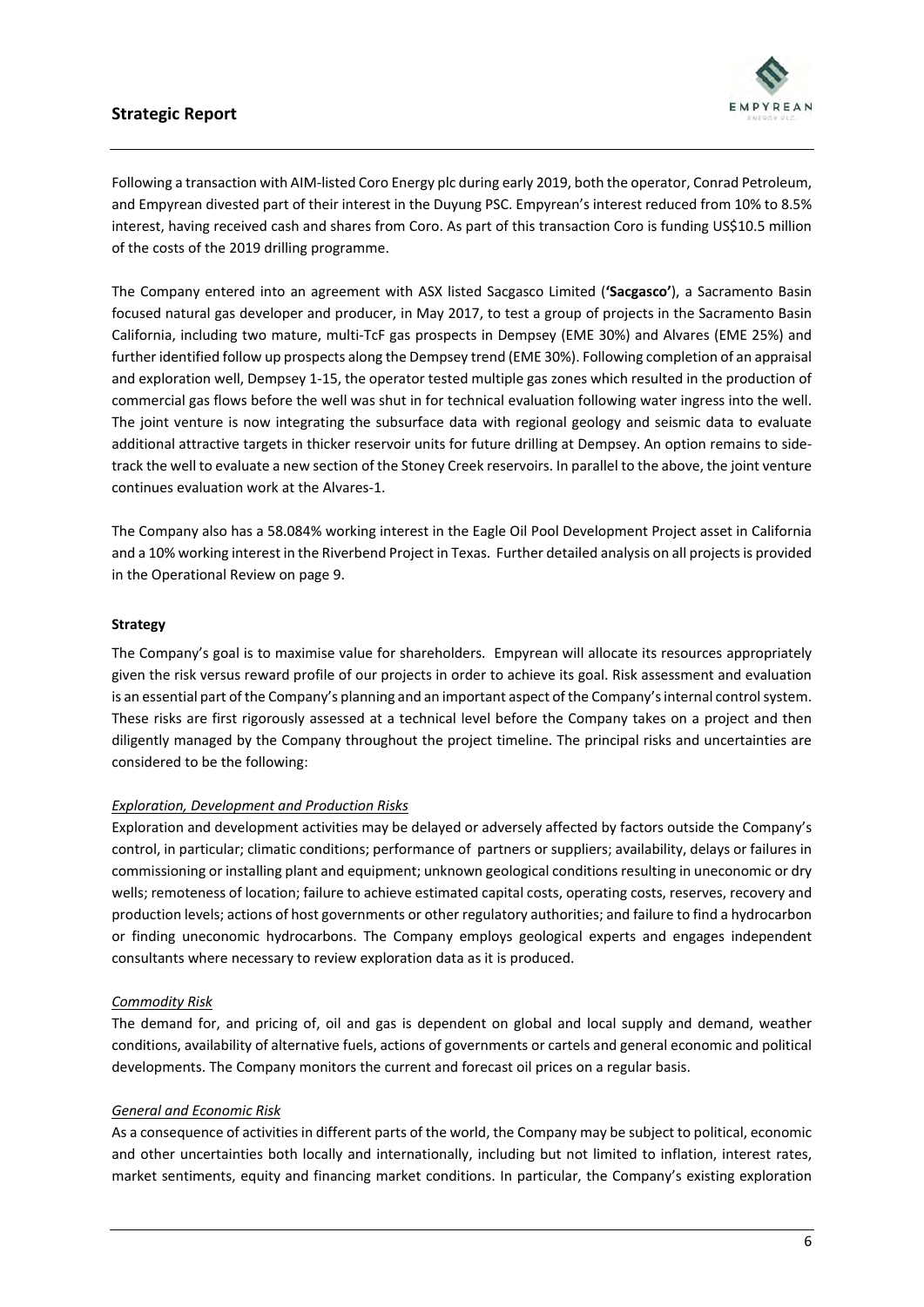

Following a transaction with AIM‐listed Coro Energy plc during early 2019, both the operator, Conrad Petroleum, and Empyrean divested part of their interest in the Duyung PSC. Empyrean's interest reduced from 10% to 8.5% interest, having received cash and shares from Coro. As part of this transaction Coro is funding US\$10.5 million of the costs of the 2019 drilling programme.

The Company entered into an agreement with ASX listed Sacgasco Limited (**'Sacgasco'**), a Sacramento Basin focused natural gas developer and producer, in May 2017, to test a group of projects in the Sacramento Basin California, including two mature, multi‐TcF gas prospects in Dempsey (EME 30%) and Alvares (EME 25%) and further identified follow up prospects along the Dempsey trend (EME 30%). Following completion of an appraisal and exploration well, Dempsey 1‐15, the operator tested multiple gas zones which resulted in the production of commercial gas flows before the well was shut in for technical evaluation following water ingress into the well. The joint venture is now integrating the subsurface data with regional geology and seismic data to evaluate additional attractive targets in thicker reservoir units for future drilling at Dempsey. An option remains to side‐ track the well to evaluate a new section of the Stoney Creek reservoirs. In parallel to the above, the joint venture continues evaluation work at the Alvares‐1.

The Company also has a 58.084% working interest in the Eagle Oil Pool Development Project asset in California and a 10% working interest in the Riverbend Project in Texas. Further detailed analysis on all projects is provided in the Operational Review on page 9.

#### **Strategy**

The Company's goal is to maximise value for shareholders. Empyrean will allocate its resources appropriately given the risk versus reward profile of our projects in order to achieve its goal. Risk assessment and evaluation is an essential part of the Company's planning and an important aspect of the Company's internal control system. These risks are first rigorously assessed at a technical level before the Company takes on a project and then diligently managed by the Company throughout the project timeline. The principal risks and uncertainties are considered to be the following:

#### *Exploration, Development and Production Risks*

Exploration and development activities may be delayed or adversely affected by factors outside the Company's control, in particular; climatic conditions; performance of partners or suppliers; availability, delays or failures in commissioning or installing plant and equipment; unknown geological conditions resulting in uneconomic or dry wells; remoteness of location; failure to achieve estimated capital costs, operating costs, reserves, recovery and production levels; actions of host governments or other regulatory authorities; and failure to find a hydrocarbon or finding uneconomic hydrocarbons. The Company employs geological experts and engages independent consultants where necessary to review exploration data as it is produced.

#### *Commodity Risk*

The demand for, and pricing of, oil and gas is dependent on global and local supply and demand, weather conditions, availability of alternative fuels, actions of governments or cartels and general economic and political developments. The Company monitors the current and forecast oil prices on a regular basis.

#### *General and Economic Risk*

As a consequence of activities in different parts of the world, the Company may be subject to political, economic and other uncertainties both locally and internationally, including but not limited to inflation, interest rates, market sentiments, equity and financing market conditions. In particular, the Company's existing exploration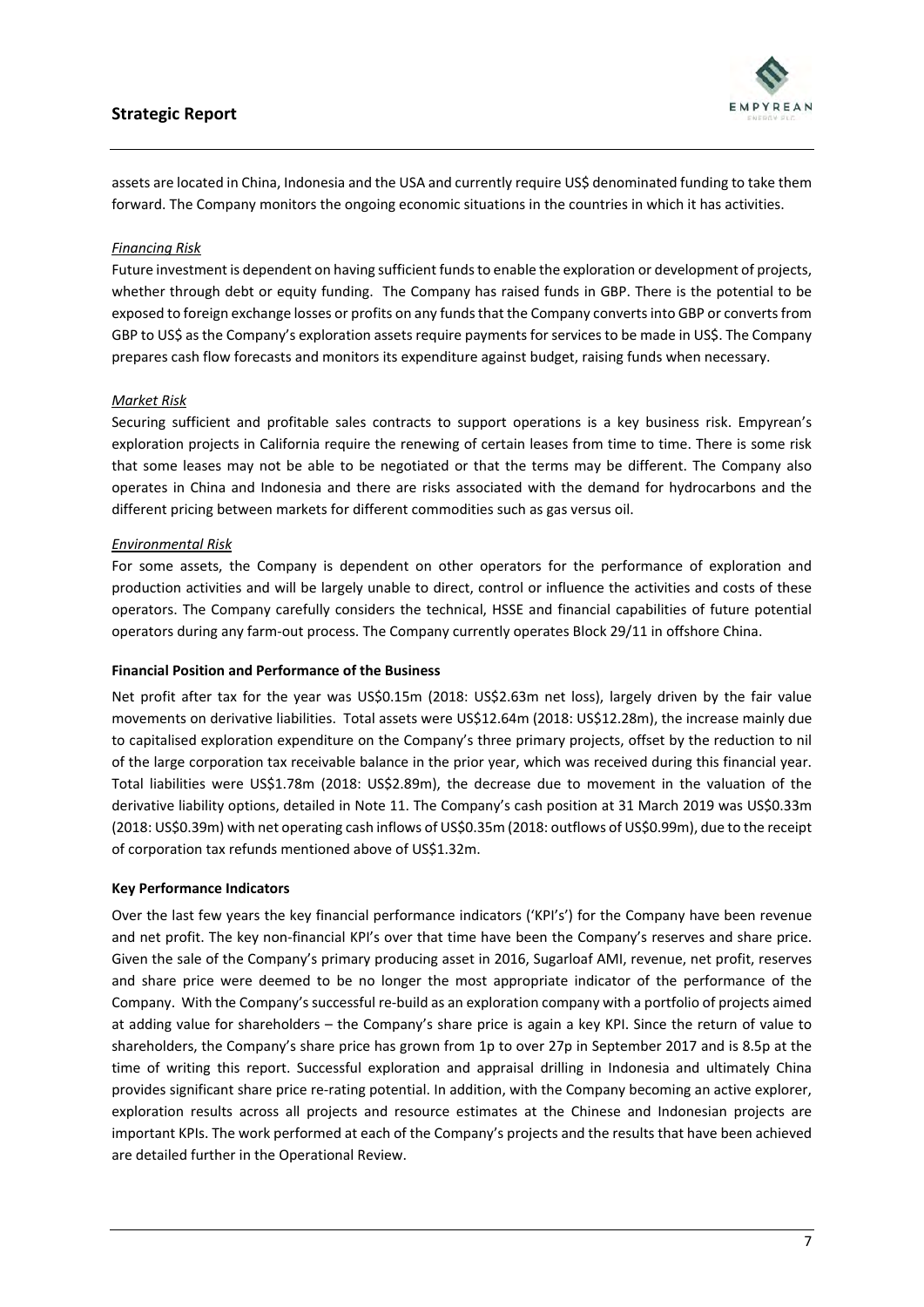

assets are located in China, Indonesia and the USA and currently require US\$ denominated funding to take them forward. The Company monitors the ongoing economic situations in the countries in which it has activities.

#### *Financing Risk*

Future investment is dependent on having sufficient funds to enable the exploration or development of projects, whether through debt or equity funding. The Company has raised funds in GBP. There is the potential to be exposed to foreign exchange losses or profits on any funds that the Company converts into GBP or converts from GBP to US\$ as the Company's exploration assets require payments for services to be made in US\$. The Company prepares cash flow forecasts and monitors its expenditure against budget, raising funds when necessary.

#### *Market Risk*

Securing sufficient and profitable sales contracts to support operations is a key business risk. Empyrean's exploration projects in California require the renewing of certain leases from time to time. There is some risk that some leases may not be able to be negotiated or that the terms may be different. The Company also operates in China and Indonesia and there are risks associated with the demand for hydrocarbons and the different pricing between markets for different commodities such as gas versus oil.

#### *Environmental Risk*

For some assets, the Company is dependent on other operators for the performance of exploration and production activities and will be largely unable to direct, control or influence the activities and costs of these operators. The Company carefully considers the technical, HSSE and financial capabilities of future potential operators during any farm‐out process. The Company currently operates Block 29/11 in offshore China.

#### **Financial Position and Performance of the Business**

Net profit after tax for the year was US\$0.15m (2018: US\$2.63m net loss), largely driven by the fair value movements on derivative liabilities. Total assets were US\$12.64m (2018: US\$12.28m), the increase mainly due to capitalised exploration expenditure on the Company's three primary projects, offset by the reduction to nil of the large corporation tax receivable balance in the prior year, which was received during this financial year. Total liabilities were US\$1.78m (2018: US\$2.89m), the decrease due to movement in the valuation of the derivative liability options, detailed in Note 11. The Company's cash position at 31 March 2019 was US\$0.33m (2018: US\$0.39m) with net operating cash inflows of US\$0.35m (2018: outflows of US\$0.99m), due to the receipt of corporation tax refunds mentioned above of US\$1.32m.

#### **Key Performance Indicators**

Over the last few years the key financial performance indicators ('KPI's') for the Company have been revenue and net profit. The key non-financial KPI's over that time have been the Company's reserves and share price. Given the sale of the Company's primary producing asset in 2016, Sugarloaf AMI, revenue, net profit, reserves and share price were deemed to be no longer the most appropriate indicator of the performance of the Company. With the Company's successful re‐build as an exploration company with a portfolio of projects aimed at adding value for shareholders – the Company's share price is again a key KPI. Since the return of value to shareholders, the Company's share price has grown from 1p to over 27p in September 2017 and is 8.5p at the time of writing this report. Successful exploration and appraisal drilling in Indonesia and ultimately China provides significant share price re‐rating potential. In addition, with the Company becoming an active explorer, exploration results across all projects and resource estimates at the Chinese and Indonesian projects are important KPIs. The work performed at each of the Company's projects and the results that have been achieved are detailed further in the Operational Review.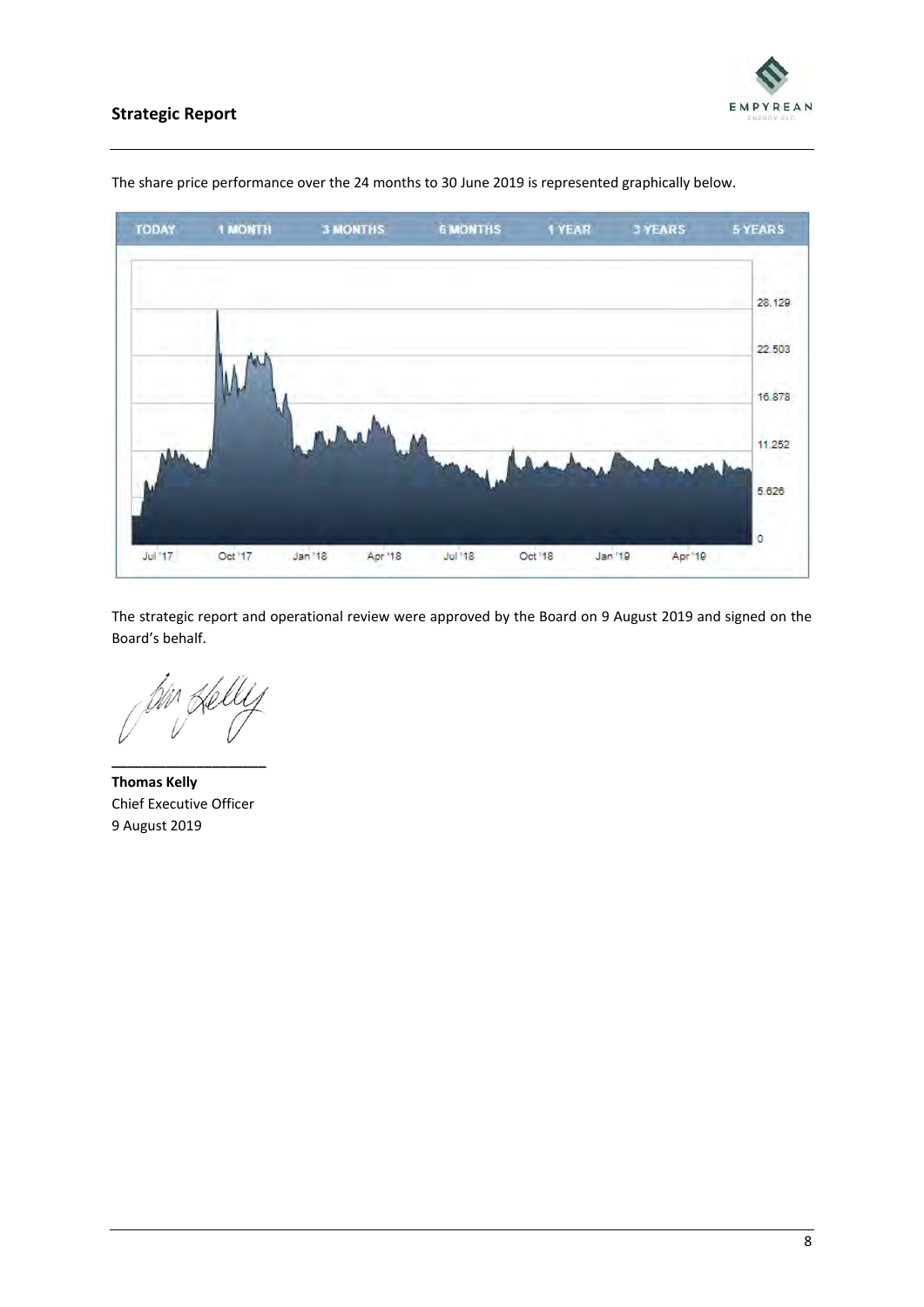



The share price performance over the 24 months to 30 June 2019 is represented graphically below.

The strategic report and operational review were approved by the Board on 9 August 2019 and signed on the Board's behalf.

<u>foll</u>

**\_\_\_\_\_\_\_\_\_\_\_\_\_\_\_\_\_\_\_\_** 

**Thomas Kelly**  Chief Executive Officer 9 August 2019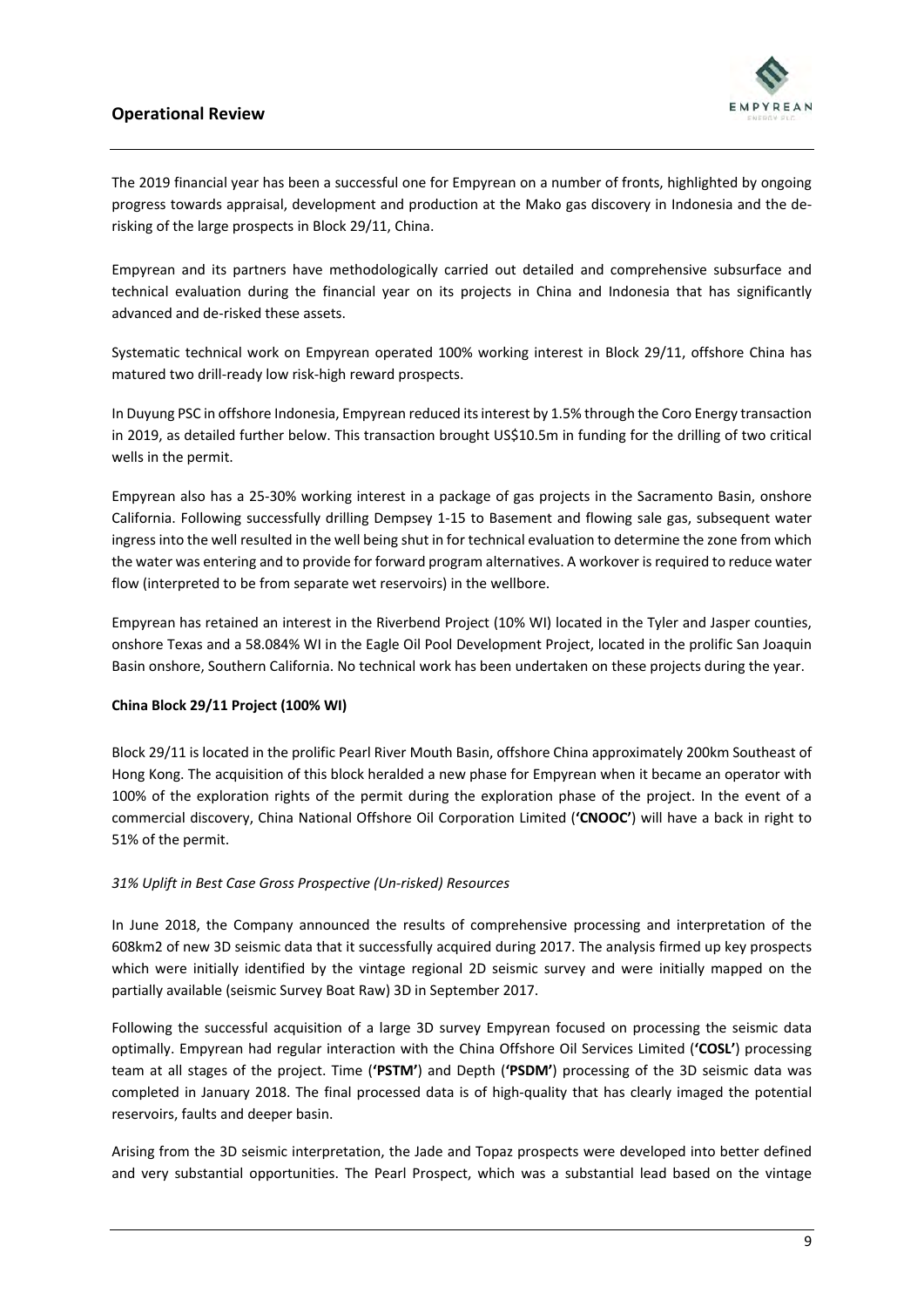

The 2019 financial year has been a successful one for Empyrean on a number of fronts, highlighted by ongoing progress towards appraisal, development and production at the Mako gas discovery in Indonesia and the de‐ risking of the large prospects in Block 29/11, China.

Empyrean and its partners have methodologically carried out detailed and comprehensive subsurface and technical evaluation during the financial year on its projects in China and Indonesia that has significantly advanced and de‐risked these assets.

Systematic technical work on Empyrean operated 100% working interest in Block 29/11, offshore China has matured two drill‐ready low risk‐high reward prospects.

In Duyung PSC in offshore Indonesia, Empyrean reduced its interest by 1.5% through the Coro Energy transaction in 2019, as detailed further below. This transaction brought US\$10.5m in funding for the drilling of two critical wells in the permit.

Empyrean also has a 25‐30% working interest in a package of gas projects in the Sacramento Basin, onshore California. Following successfully drilling Dempsey 1‐15 to Basement and flowing sale gas, subsequent water ingress into the well resulted in the well being shut in for technical evaluation to determine the zone from which the water was entering and to provide for forward program alternatives. A workover is required to reduce water flow (interpreted to be from separate wet reservoirs) in the wellbore.

Empyrean has retained an interest in the Riverbend Project (10% WI) located in the Tyler and Jasper counties, onshore Texas and a 58.084% WI in the Eagle Oil Pool Development Project, located in the prolific San Joaquin Basin onshore, Southern California. No technical work has been undertaken on these projects during the year.

#### **China Block 29/11 Project (100% WI)**

Block 29/11 is located in the prolific Pearl River Mouth Basin, offshore China approximately 200km Southeast of Hong Kong. The acquisition of this block heralded a new phase for Empyrean when it became an operator with 100% of the exploration rights of the permit during the exploration phase of the project. In the event of a commercial discovery, China National Offshore Oil Corporation Limited (**'CNOOC'**) will have a back in right to 51% of the permit.

#### *31% Uplift in Best Case Gross Prospective (Un‐risked) Resources*

In June 2018, the Company announced the results of comprehensive processing and interpretation of the 608km2 of new 3D seismic data that it successfully acquired during 2017. The analysis firmed up key prospects which were initially identified by the vintage regional 2D seismic survey and were initially mapped on the partially available (seismic Survey Boat Raw) 3D in September 2017.

Following the successful acquisition of a large 3D survey Empyrean focused on processing the seismic data optimally. Empyrean had regular interaction with the China Offshore Oil Services Limited (**'COSL'**) processing team at all stages of the project. Time (**'PSTM'**) and Depth (**'PSDM'**) processing of the 3D seismic data was completed in January 2018. The final processed data is of high‐quality that has clearly imaged the potential reservoirs, faults and deeper basin.

Arising from the 3D seismic interpretation, the Jade and Topaz prospects were developed into better defined and very substantial opportunities. The Pearl Prospect, which was a substantial lead based on the vintage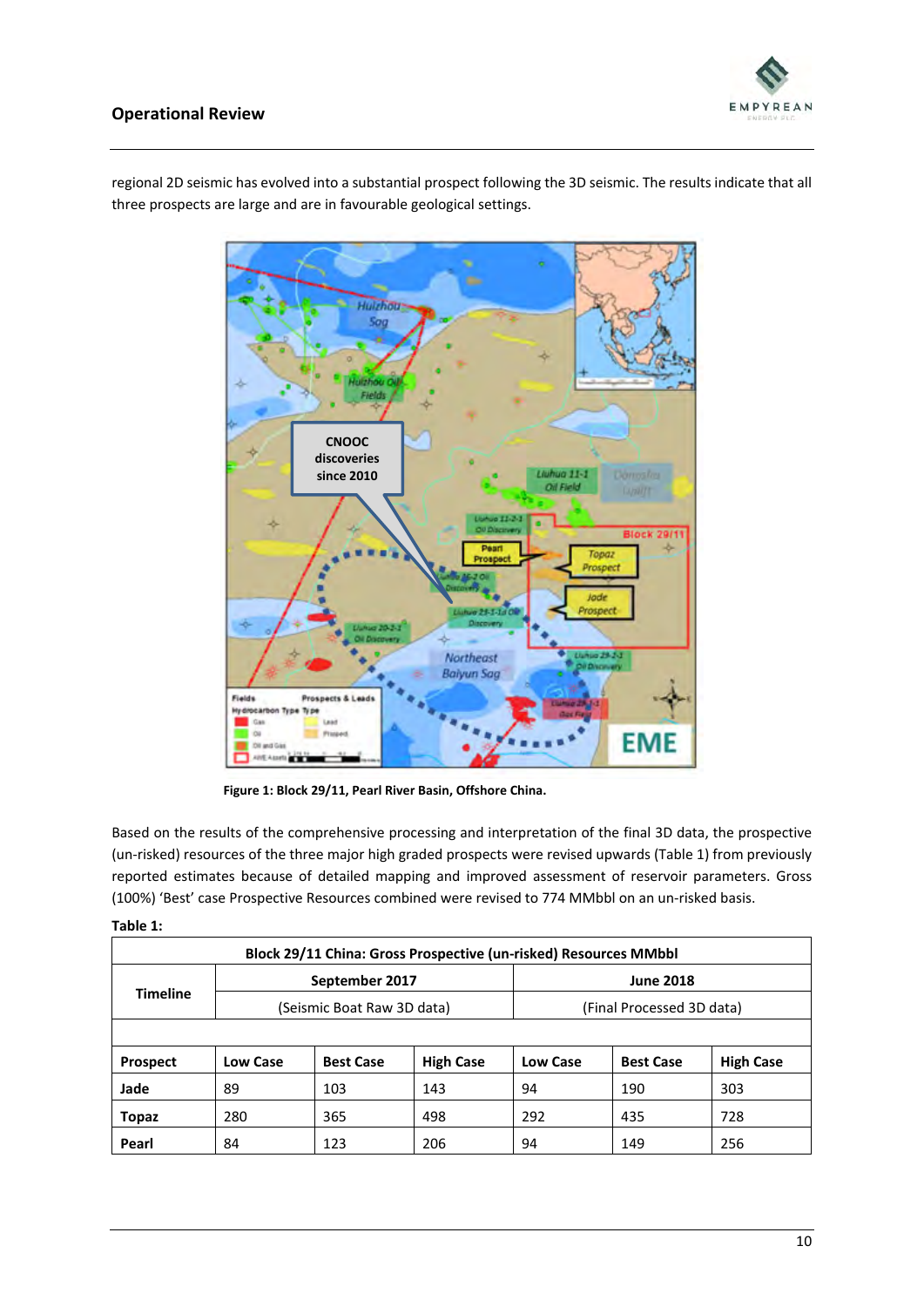



regional 2D seismic has evolved into a substantial prospect following the 3D seismic. The results indicate that all three prospects are large and are in favourable geological settings.

**Figure 1: Block 29/11, Pearl River Basin, Offshore China.**

Based on the results of the comprehensive processing and interpretation of the final 3D data, the prospective (un‐risked) resources of the three major high graded prospects were revised upwards (Table 1) from previously reported estimates because of detailed mapping and improved assessment of reservoir parameters. Gross (100%) 'Best' case Prospective Resources combined were revised to 774 MMbbl on an un‐risked basis.

| Table 1:                                                         |                                               |                  |                  |                           |                  |                  |  |  |
|------------------------------------------------------------------|-----------------------------------------------|------------------|------------------|---------------------------|------------------|------------------|--|--|
| Block 29/11 China: Gross Prospective (un-risked) Resources MMbbl |                                               |                  |                  |                           |                  |                  |  |  |
| September 2017<br><b>June 2018</b>                               |                                               |                  |                  |                           |                  |                  |  |  |
|                                                                  | <b>Timeline</b><br>(Seismic Boat Raw 3D data) |                  |                  | (Final Processed 3D data) |                  |                  |  |  |
|                                                                  |                                               |                  |                  |                           |                  |                  |  |  |
| <b>Prospect</b>                                                  | <b>Low Case</b>                               | <b>Best Case</b> | <b>High Case</b> | <b>Low Case</b>           | <b>Best Case</b> | <b>High Case</b> |  |  |
| Jade                                                             | 89                                            | 103              | 143              | 94                        | 190              | 303              |  |  |
| <b>Topaz</b>                                                     | 280                                           | 365              | 498              | 292                       | 435              | 728              |  |  |
| Pearl                                                            | 84                                            | 123              | 206              | 94                        | 149              | 256              |  |  |
|                                                                  |                                               |                  |                  |                           |                  |                  |  |  |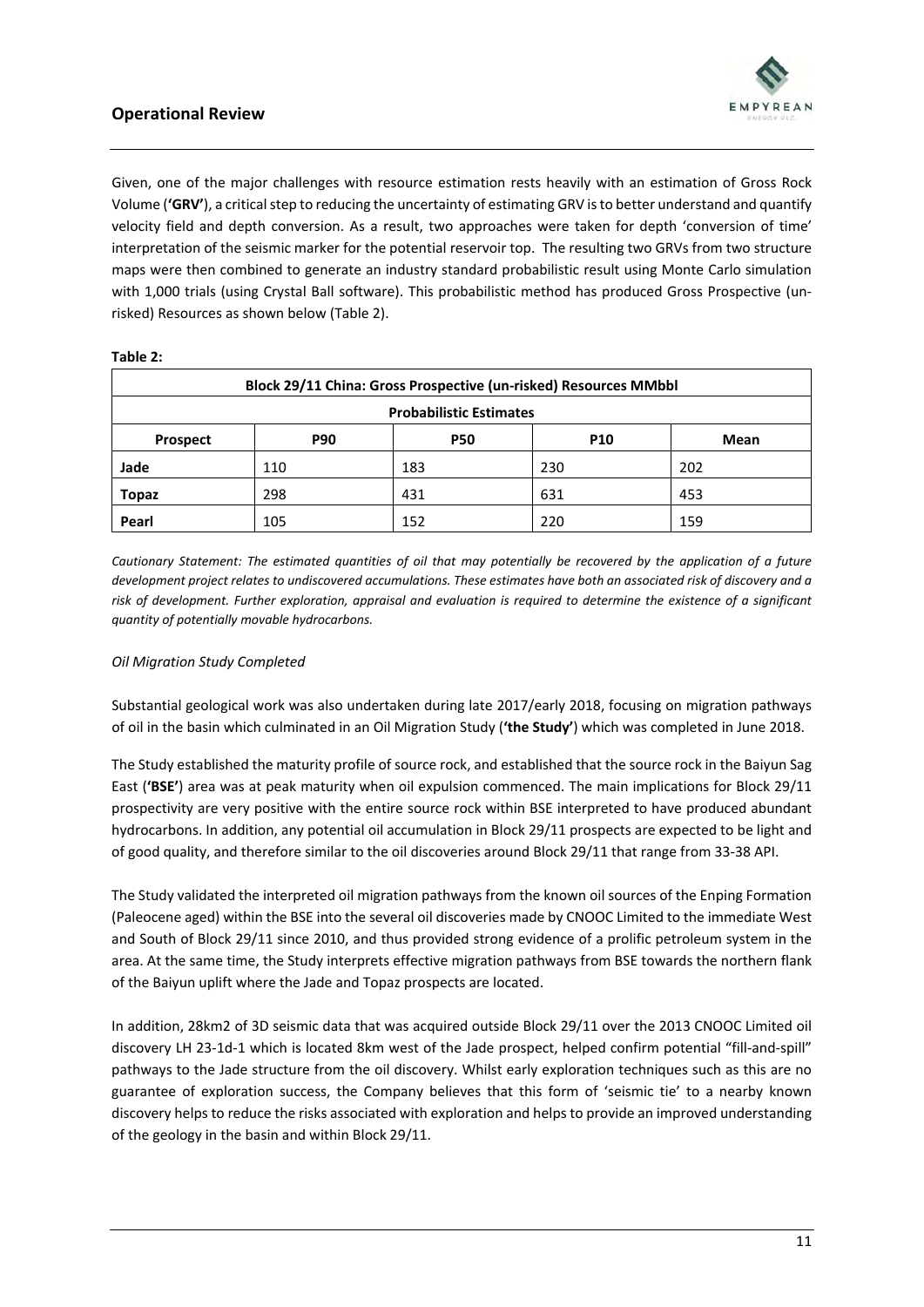

Given, one of the major challenges with resource estimation rests heavily with an estimation of Gross Rock Volume (**'GRV'**), a critical step to reducing the uncertainty of estimating GRV is to better understand and quantify velocity field and depth conversion. As a result, two approaches were taken for depth 'conversion of time' interpretation of the seismic marker for the potential reservoir top. The resulting two GRVs from two structure maps were then combined to generate an industry standard probabilistic result using Monte Carlo simulation with 1,000 trials (using Crystal Ball software). This probabilistic method has produced Gross Prospective (unrisked) Resources as shown below (Table 2).

| Block 29/11 China: Gross Prospective (un-risked) Resources MMbbl  |     |     |     |     |  |  |  |
|-------------------------------------------------------------------|-----|-----|-----|-----|--|--|--|
| <b>Probabilistic Estimates</b>                                    |     |     |     |     |  |  |  |
| <b>P90</b><br><b>P10</b><br><b>P50</b><br>Mean<br><b>Prospect</b> |     |     |     |     |  |  |  |
| Jade                                                              | 110 | 183 | 230 | 202 |  |  |  |
| <b>Topaz</b>                                                      | 298 | 431 | 631 | 453 |  |  |  |
| Pearl                                                             | 105 | 152 | 220 | 159 |  |  |  |

#### **Table 2:**

*Cautionary Statement: The estimated quantities of oil that may potentially be recovered by the application of a future development project relates to undiscovered accumulations. These estimates have both an associated risk of discovery and a risk of development. Further exploration, appraisal and evaluation is required to determine the existence of a significant quantity of potentially movable hydrocarbons.* 

#### *Oil Migration Study Completed*

Substantial geological work was also undertaken during late 2017/early 2018, focusing on migration pathways of oil in the basin which culminated in an Oil Migration Study (**'the Study'**) which was completed in June 2018.

The Study established the maturity profile of source rock, and established that the source rock in the Baiyun Sag East (**'BSE'**) area was at peak maturity when oil expulsion commenced. The main implications for Block 29/11 prospectivity are very positive with the entire source rock within BSE interpreted to have produced abundant hydrocarbons. In addition, any potential oil accumulation in Block 29/11 prospects are expected to be light and of good quality, and therefore similar to the oil discoveries around Block 29/11 that range from 33‐38 API.

The Study validated the interpreted oil migration pathways from the known oil sources of the Enping Formation (Paleocene aged) within the BSE into the several oil discoveries made by CNOOC Limited to the immediate West and South of Block 29/11 since 2010, and thus provided strong evidence of a prolific petroleum system in the area. At the same time, the Study interprets effective migration pathways from BSE towards the northern flank of the Baiyun uplift where the Jade and Topaz prospects are located.

In addition, 28km2 of 3D seismic data that was acquired outside Block 29/11 over the 2013 CNOOC Limited oil discovery LH 23‐1d‐1 which is located 8km west of the Jade prospect, helped confirm potential "fill‐and‐spill" pathways to the Jade structure from the oil discovery. Whilst early exploration techniques such as this are no guarantee of exploration success, the Company believes that this form of 'seismic tie' to a nearby known discovery helps to reduce the risks associated with exploration and helps to provide an improved understanding of the geology in the basin and within Block 29/11.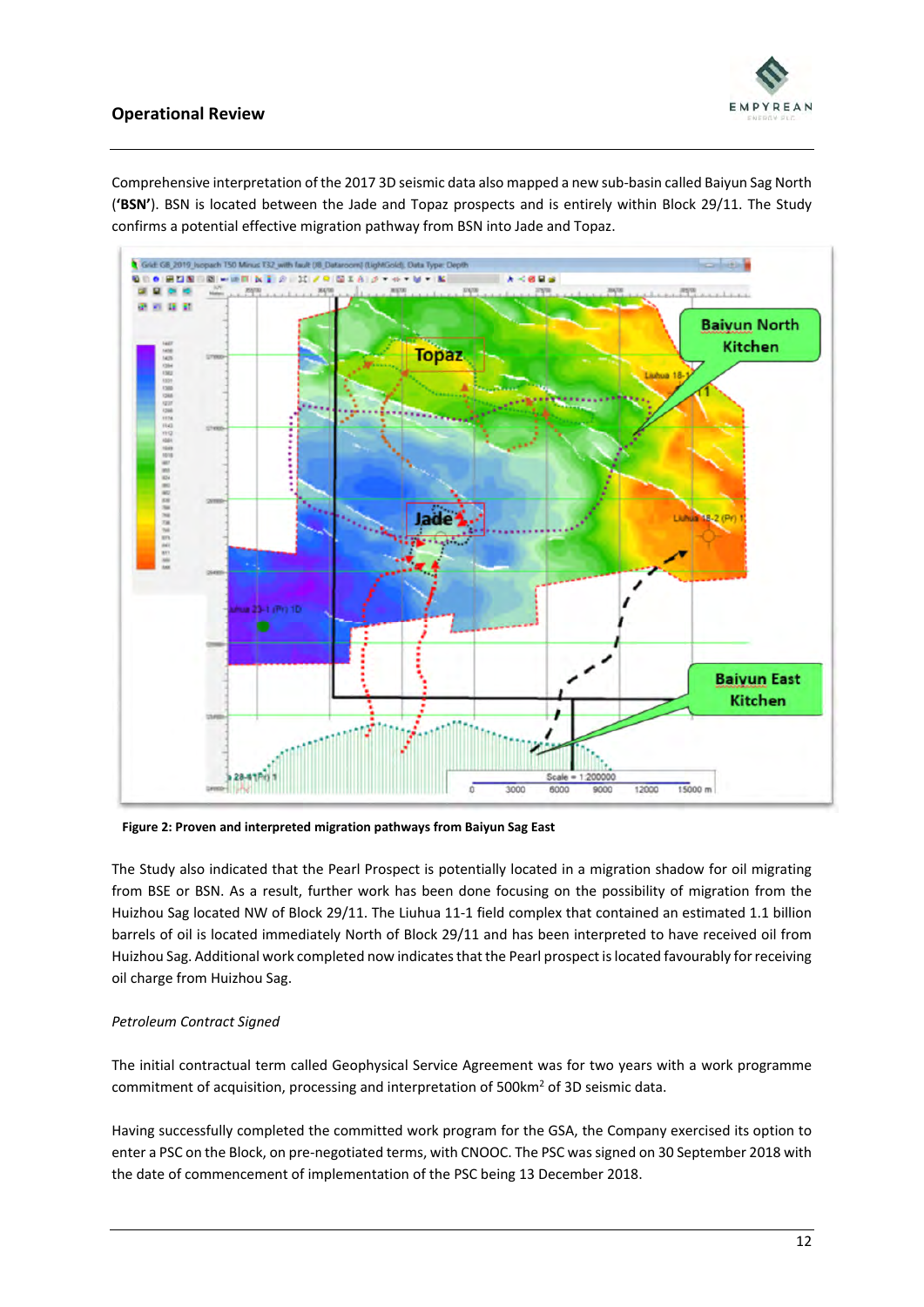

Comprehensive interpretation of the 2017 3D seismic data also mapped a new sub‐basin called Baiyun Sag North (**'BSN'**). BSN is located between the Jade and Topaz prospects and is entirely within Block 29/11. The Study confirms a potential effective migration pathway from BSN into Jade and Topaz.



**Figure 2: Proven and interpreted migration pathways from Baiyun Sag East**

The Study also indicated that the Pearl Prospect is potentially located in a migration shadow for oil migrating from BSE or BSN. As a result, further work has been done focusing on the possibility of migration from the Huizhou Sag located NW of Block 29/11. The Liuhua 11‐1 field complex that contained an estimated 1.1 billion barrels of oil is located immediately North of Block 29/11 and has been interpreted to have received oil from Huizhou Sag. Additional work completed now indicates that the Pearl prospect is located favourably for receiving oil charge from Huizhou Sag.

#### *Petroleum Contract Signed*

The initial contractual term called Geophysical Service Agreement was for two years with a work programme commitment of acquisition, processing and interpretation of 500km<sup>2</sup> of 3D seismic data.

Having successfully completed the committed work program for the GSA, the Company exercised its option to enter a PSC on the Block, on pre‐negotiated terms, with CNOOC. The PSC was signed on 30 September 2018 with the date of commencement of implementation of the PSC being 13 December 2018.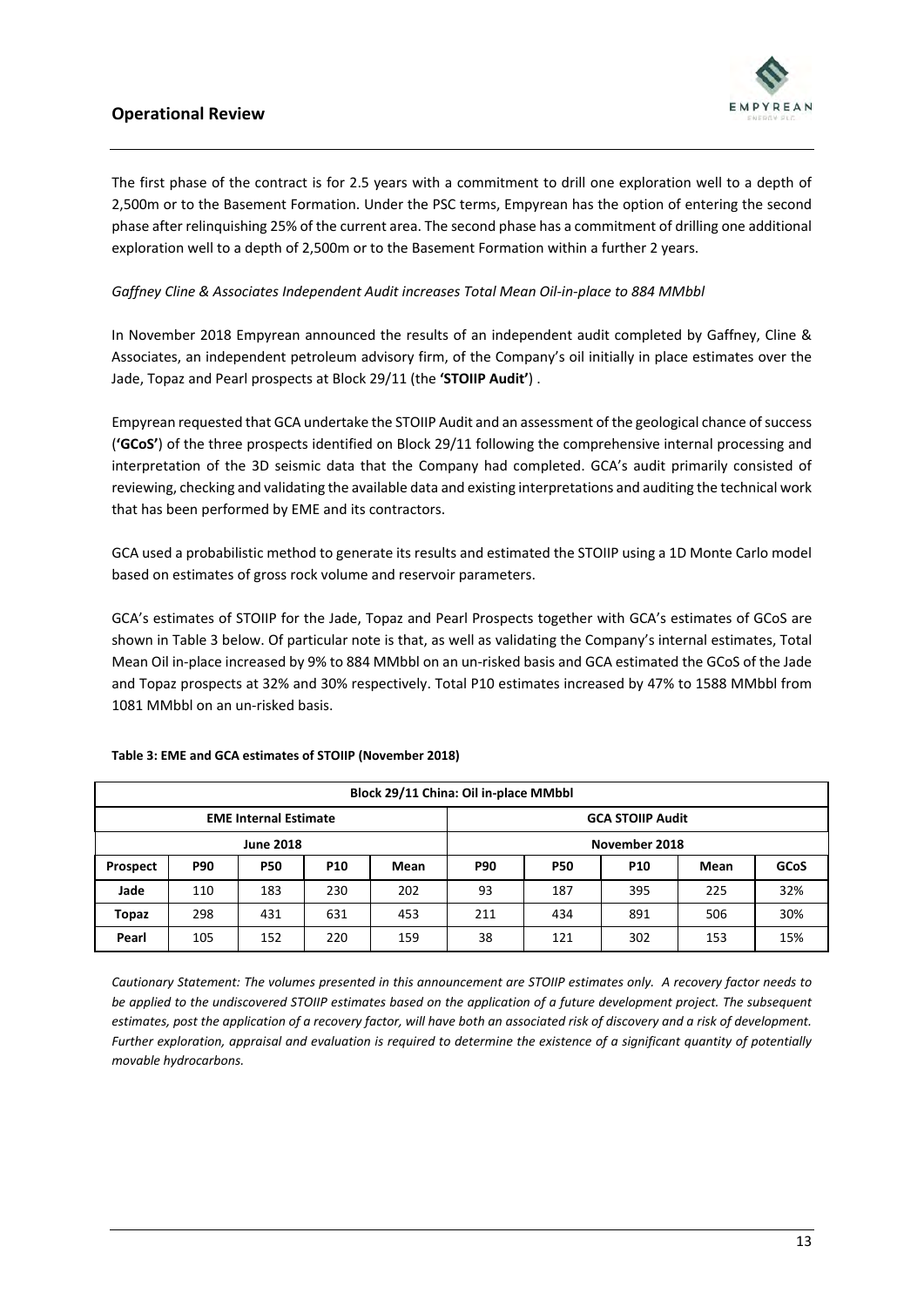

The first phase of the contract is for 2.5 years with a commitment to drill one exploration well to a depth of 2,500m or to the Basement Formation. Under the PSC terms, Empyrean has the option of entering the second phase after relinquishing 25% of the current area. The second phase has a commitment of drilling one additional exploration well to a depth of 2,500m or to the Basement Formation within a further 2 years.

#### *Gaffney Cline & Associates Independent Audit increases Total Mean Oil‐in‐place to 884 MMbbl*

In November 2018 Empyrean announced the results of an independent audit completed by Gaffney, Cline & Associates, an independent petroleum advisory firm, of the Company's oil initially in place estimates over the Jade, Topaz and Pearl prospects at Block 29/11 (the **'STOIIP Audit'**) .

Empyrean requested that GCA undertake the STOIIP Audit and an assessment of the geological chance of success (**'GCoS'**) of the three prospects identified on Block 29/11 following the comprehensive internal processing and interpretation of the 3D seismic data that the Company had completed. GCA's audit primarily consisted of reviewing, checking and validating the available data and existing interpretations and auditing the technical work that has been performed by EME and its contractors.

GCA used a probabilistic method to generate its results and estimated the STOIIP using a 1D Monte Carlo model based on estimates of gross rock volume and reservoir parameters.

GCA's estimates of STOIIP for the Jade, Topaz and Pearl Prospects together with GCA's estimates of GCoS are shown in Table 3 below. Of particular note is that, as well as validating the Company's internal estimates, Total Mean Oil in‐place increased by 9% to 884 MMbbl on an un‐risked basis and GCA estimated the GCoS of the Jade and Topaz prospects at 32% and 30% respectively. Total P10 estimates increased by 47% to 1588 MMbbl from 1081 MMbbl on an un-risked basis.

| Block 29/11 China: Oil in-place MMbbl |            |                              |            |               |                                                |     |     |     |      |
|---------------------------------------|------------|------------------------------|------------|---------------|------------------------------------------------|-----|-----|-----|------|
|                                       |            | <b>EME Internal Estimate</b> |            |               | <b>GCA STOIIP Audit</b>                        |     |     |     |      |
| <b>June 2018</b>                      |            |                              |            | November 2018 |                                                |     |     |     |      |
| <b>Prospect</b>                       | <b>P90</b> | <b>P50</b>                   | <b>P10</b> | Mean          | <b>P90</b><br><b>P50</b><br><b>P10</b><br>Mean |     |     |     | GCoS |
| Jade                                  | 110        | 183                          | 230        | 202           | 93                                             | 187 | 395 | 225 | 32%  |
| Topaz                                 | 298        | 431                          | 631        | 453           | 211                                            | 434 | 891 | 506 | 30%  |
| Pearl                                 | 105        | 152                          | 220        | 159           | 38                                             | 121 | 302 | 153 | 15%  |

#### **Table 3: EME and GCA estimates of STOIIP (November 2018)**

*Cautionary Statement: The volumes presented in this announcement are STOIIP estimates only. A recovery factor needs to be applied to the undiscovered STOIIP estimates based on the application of a future development project. The subsequent estimates, post the application of a recovery factor, will have both an associated risk of discovery and a risk of development. Further exploration, appraisal and evaluation is required to determine the existence of a significant quantity of potentially movable hydrocarbons.*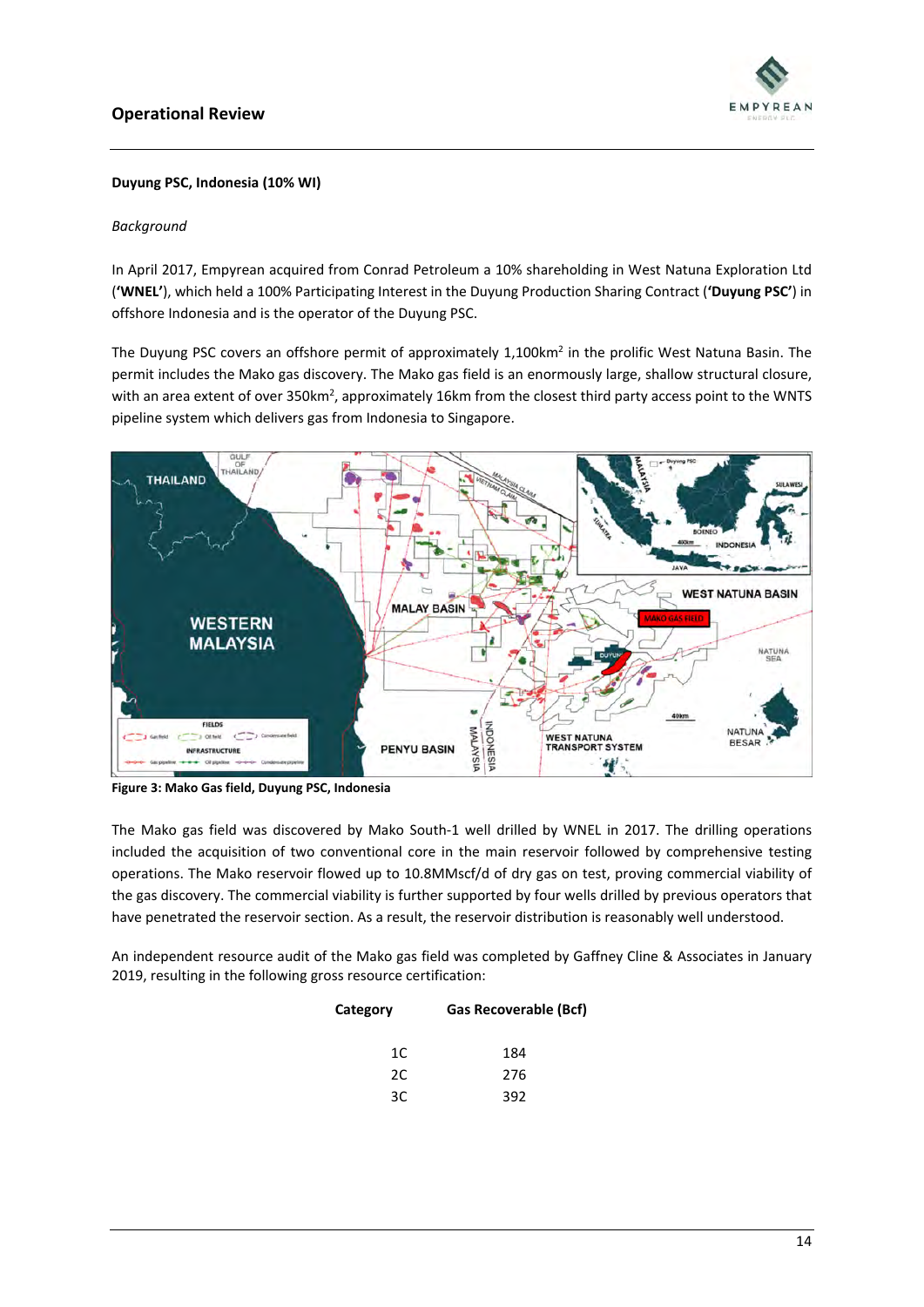

#### **Duyung PSC, Indonesia (10% WI)**

#### *Background*

In April 2017, Empyrean acquired from Conrad Petroleum a 10% shareholding in West Natuna Exploration Ltd (**'WNEL'**), which held a 100% Participating Interest in the Duyung Production Sharing Contract (**'Duyung PSC'**) in offshore Indonesia and is the operator of the Duyung PSC.

The Duyung PSC covers an offshore permit of approximately 1,100km<sup>2</sup> in the prolific West Natuna Basin. The permit includes the Mako gas discovery. The Mako gas field is an enormously large, shallow structural closure, with an area extent of over 350km<sup>2</sup>, approximately 16km from the closest third party access point to the WNTS pipeline system which delivers gas from Indonesia to Singapore.



**Figure 3: Mako Gas field, Duyung PSC, Indonesia** 

The Mako gas field was discovered by Mako South-1 well drilled by WNEL in 2017. The drilling operations included the acquisition of two conventional core in the main reservoir followed by comprehensive testing operations. The Mako reservoir flowed up to 10.8MMscf/d of dry gas on test, proving commercial viability of the gas discovery. The commercial viability is further supported by four wells drilled by previous operators that have penetrated the reservoir section. As a result, the reservoir distribution is reasonably well understood.

An independent resource audit of the Mako gas field was completed by Gaffney Cline & Associates in January 2019, resulting in the following gross resource certification:

| Category | <b>Gas Recoverable (Bcf)</b> |
|----------|------------------------------|
| 1C       | 184                          |
| 2C       | 276                          |
| З۲       | 392                          |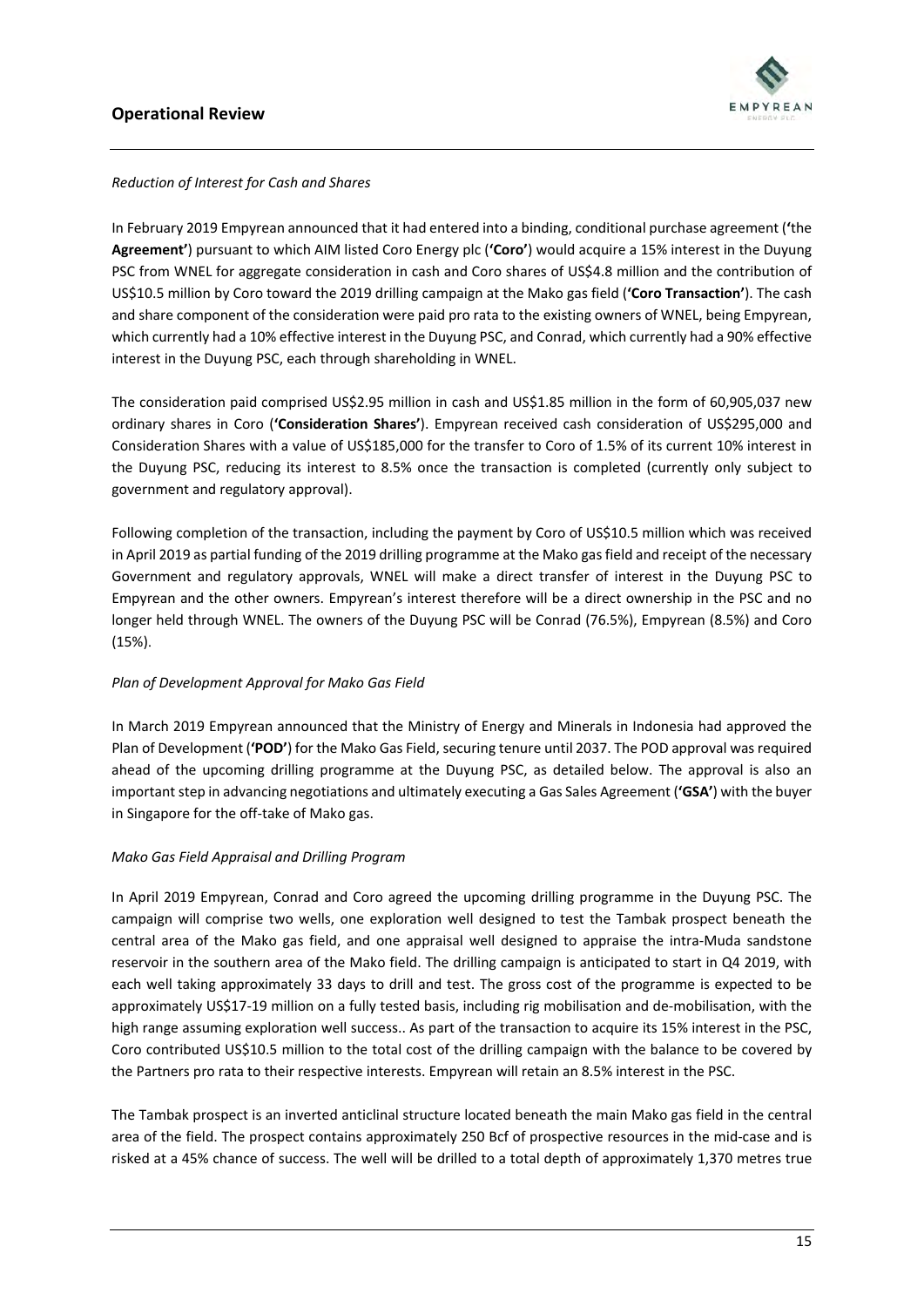

#### *Reduction of Interest for Cash and Shares*

In February 2019 Empyrean announced that it had entered into a binding, conditional purchase agreement (**'**the **Agreement'**) pursuant to which AIM listed Coro Energy plc (**'Coro'**) would acquire a 15% interest in the Duyung PSC from WNEL for aggregate consideration in cash and Coro shares of US\$4.8 million and the contribution of US\$10.5 million by Coro toward the 2019 drilling campaign at the Mako gas field (**'Coro Transaction'**). The cash and share component of the consideration were paid pro rata to the existing owners of WNEL, being Empyrean, which currently had a 10% effective interest in the Duyung PSC, and Conrad, which currently had a 90% effective interest in the Duyung PSC, each through shareholding in WNEL.

The consideration paid comprised US\$2.95 million in cash and US\$1.85 million in the form of 60,905,037 new ordinary shares in Coro (**'Consideration Shares'**). Empyrean received cash consideration of US\$295,000 and Consideration Shares with a value of US\$185,000 for the transfer to Coro of 1.5% of its current 10% interest in the Duyung PSC, reducing its interest to 8.5% once the transaction is completed (currently only subject to government and regulatory approval).

Following completion of the transaction, including the payment by Coro of US\$10.5 million which was received in April 2019 as partial funding of the 2019 drilling programme at the Mako gas field and receipt of the necessary Government and regulatory approvals, WNEL will make a direct transfer of interest in the Duyung PSC to Empyrean and the other owners. Empyrean's interest therefore will be a direct ownership in the PSC and no longer held through WNEL. The owners of the Duyung PSC will be Conrad (76.5%), Empyrean (8.5%) and Coro (15%).

#### *Plan of Development Approval for Mako Gas Field*

In March 2019 Empyrean announced that the Ministry of Energy and Minerals in Indonesia had approved the Plan of Development (**'POD'**) for the Mako Gas Field, securing tenure until 2037. The POD approval was required ahead of the upcoming drilling programme at the Duyung PSC, as detailed below. The approval is also an important step in advancing negotiations and ultimately executing a Gas Sales Agreement (**'GSA'**) with the buyer in Singapore for the off-take of Mako gas.

#### *Mako Gas Field Appraisal and Drilling Program*

In April 2019 Empyrean, Conrad and Coro agreed the upcoming drilling programme in the Duyung PSC. The campaign will comprise two wells, one exploration well designed to test the Tambak prospect beneath the central area of the Mako gas field, and one appraisal well designed to appraise the intra-Muda sandstone reservoir in the southern area of the Mako field. The drilling campaign is anticipated to start in Q4 2019, with each well taking approximately 33 days to drill and test. The gross cost of the programme is expected to be approximately US\$17‐19 million on a fully tested basis, including rig mobilisation and de‐mobilisation, with the high range assuming exploration well success.. As part of the transaction to acquire its 15% interest in the PSC, Coro contributed US\$10.5 million to the total cost of the drilling campaign with the balance to be covered by the Partners pro rata to their respective interests. Empyrean will retain an 8.5% interest in the PSC.

The Tambak prospect is an inverted anticlinal structure located beneath the main Mako gas field in the central area of the field. The prospect contains approximately 250 Bcf of prospective resources in the mid-case and is risked at a 45% chance of success. The well will be drilled to a total depth of approximately 1,370 metres true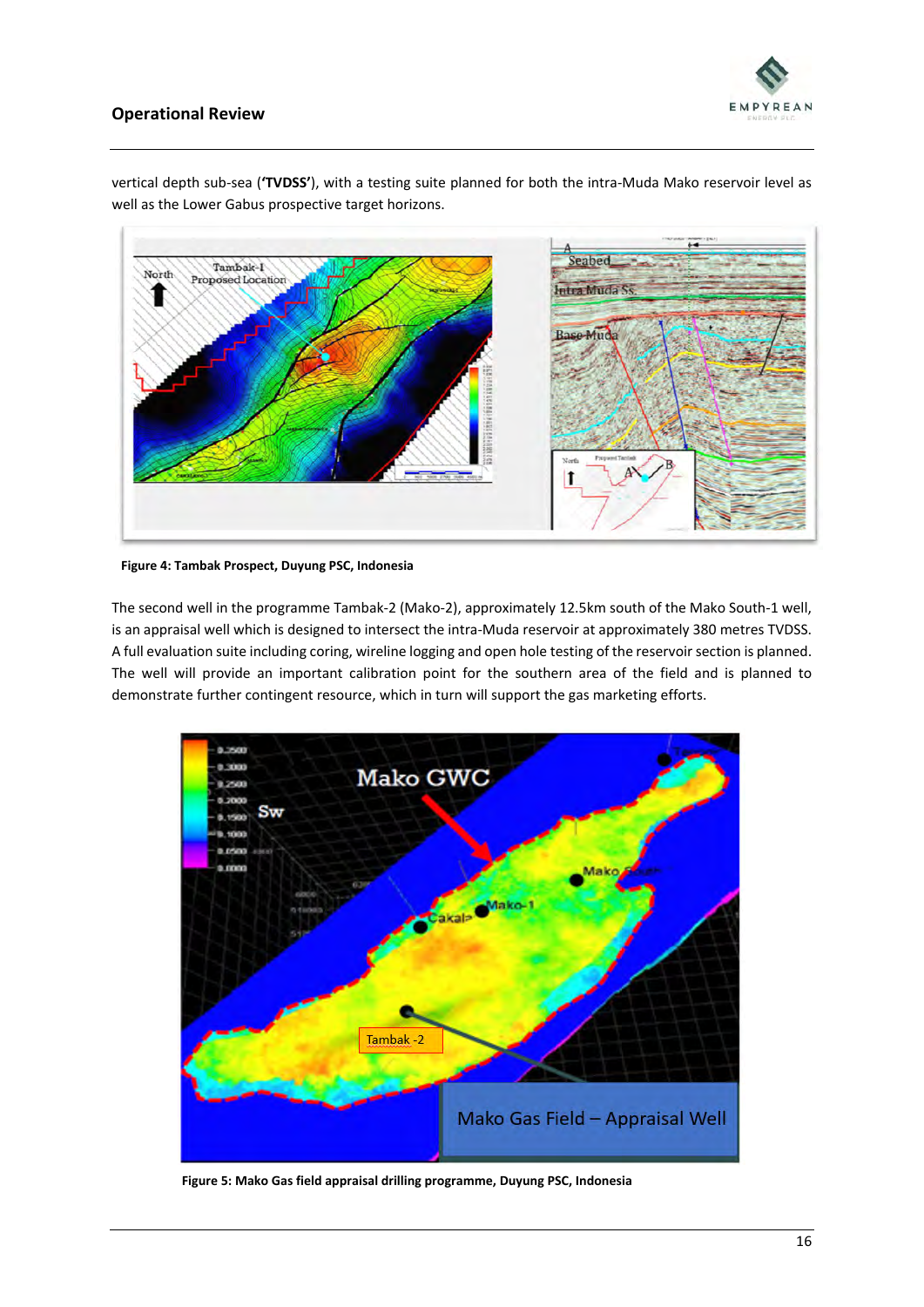



vertical depth sub‐sea (**'TVDSS'**), with a testing suite planned for both the intra‐Muda Mako reservoir level as well as the Lower Gabus prospective target horizons.

 **Figure 4: Tambak Prospect, Duyung PSC, Indonesia** 

The second well in the programme Tambak‐2 (Mako‐2), approximately 12.5km south of the Mako South‐1 well, is an appraisal well which is designed to intersect the intra‐Muda reservoir at approximately 380 metres TVDSS. A full evaluation suite including coring, wireline logging and open hole testing of the reservoir section is planned. The well will provide an important calibration point for the southern area of the field and is planned to demonstrate further contingent resource, which in turn will support the gas marketing efforts.



 **Figure 5: Mako Gas field appraisal drilling programme, Duyung PSC, Indonesia**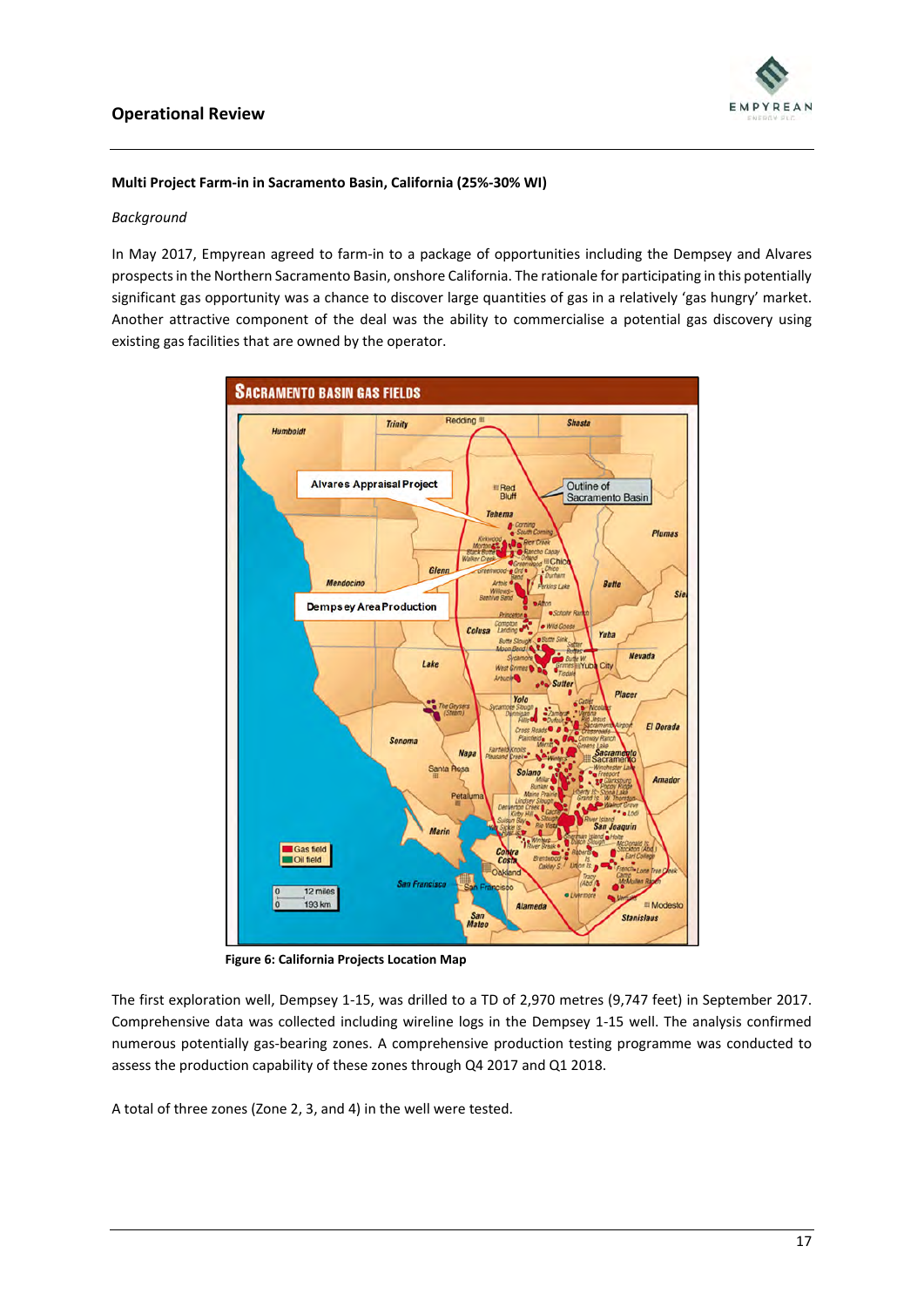



#### **Multi Project Farm‐in in Sacramento Basin, California (25%‐30% WI)**

#### *Background*

In May 2017, Empyrean agreed to farm-in to a package of opportunities including the Dempsey and Alvares prospects in the Northern Sacramento Basin, onshore California. The rationale for participating in this potentially significant gas opportunity was a chance to discover large quantities of gas in a relatively 'gas hungry' market. Another attractive component of the deal was the ability to commercialise a potential gas discovery using existing gas facilities that are owned by the operator.



 **Figure 6: California Projects Location Map** 

The first exploration well, Dempsey 1‐15, was drilled to a TD of 2,970 metres (9,747 feet) in September 2017. Comprehensive data was collected including wireline logs in the Dempsey 1‐15 well. The analysis confirmed numerous potentially gas‐bearing zones. A comprehensive production testing programme was conducted to assess the production capability of these zones through Q4 2017 and Q1 2018.

A total of three zones (Zone 2, 3, and 4) in the well were tested.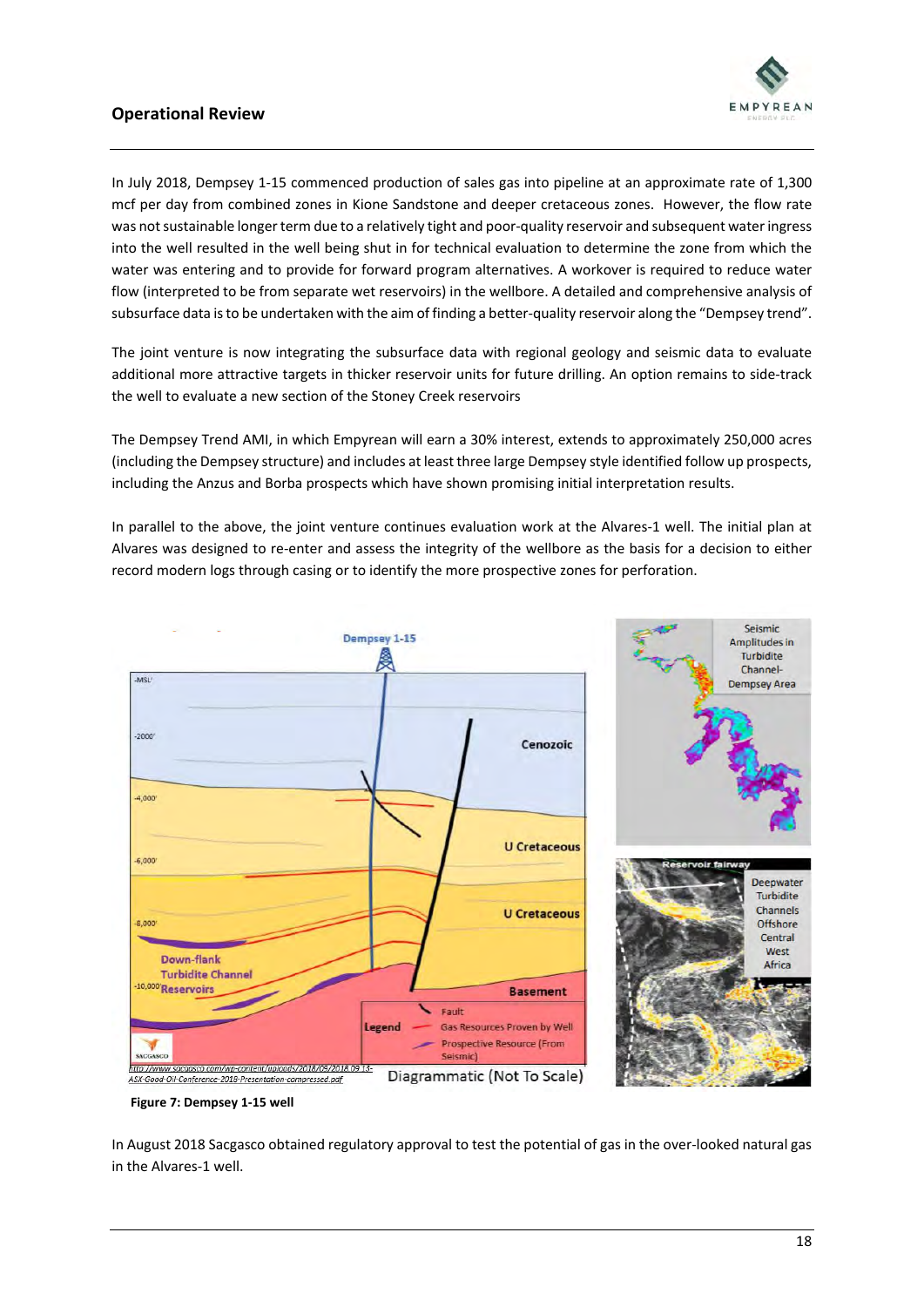

In July 2018, Dempsey 1‐15 commenced production of sales gas into pipeline at an approximate rate of 1,300 mcf per day from combined zones in Kione Sandstone and deeper cretaceous zones. However, the flow rate was not sustainable longer term due to a relatively tight and poor-quality reservoir and subsequent water ingress into the well resulted in the well being shut in for technical evaluation to determine the zone from which the water was entering and to provide for forward program alternatives. A workover is required to reduce water flow (interpreted to be from separate wet reservoirs) in the wellbore. A detailed and comprehensive analysis of subsurface data is to be undertaken with the aim of finding a better-quality reservoir along the "Dempsey trend".

The joint venture is now integrating the subsurface data with regional geology and seismic data to evaluate additional more attractive targets in thicker reservoir units for future drilling. An option remains to side‐track the well to evaluate a new section of the Stoney Creek reservoirs

The Dempsey Trend AMI, in which Empyrean will earn a 30% interest, extends to approximately 250,000 acres (including the Dempsey structure) and includes at least three large Dempsey style identified follow up prospects, including the Anzus and Borba prospects which have shown promising initial interpretation results.

In parallel to the above, the joint venture continues evaluation work at the Alvares-1 well. The initial plan at Alvares was designed to re‐enter and assess the integrity of the wellbore as the basis for a decision to either record modern logs through casing or to identify the more prospective zones for perforation.



 **Figure 7: Dempsey 1‐15 well** 

In August 2018 Sacgasco obtained regulatory approval to test the potential of gas in the over‐looked natural gas in the Alvares‐1 well.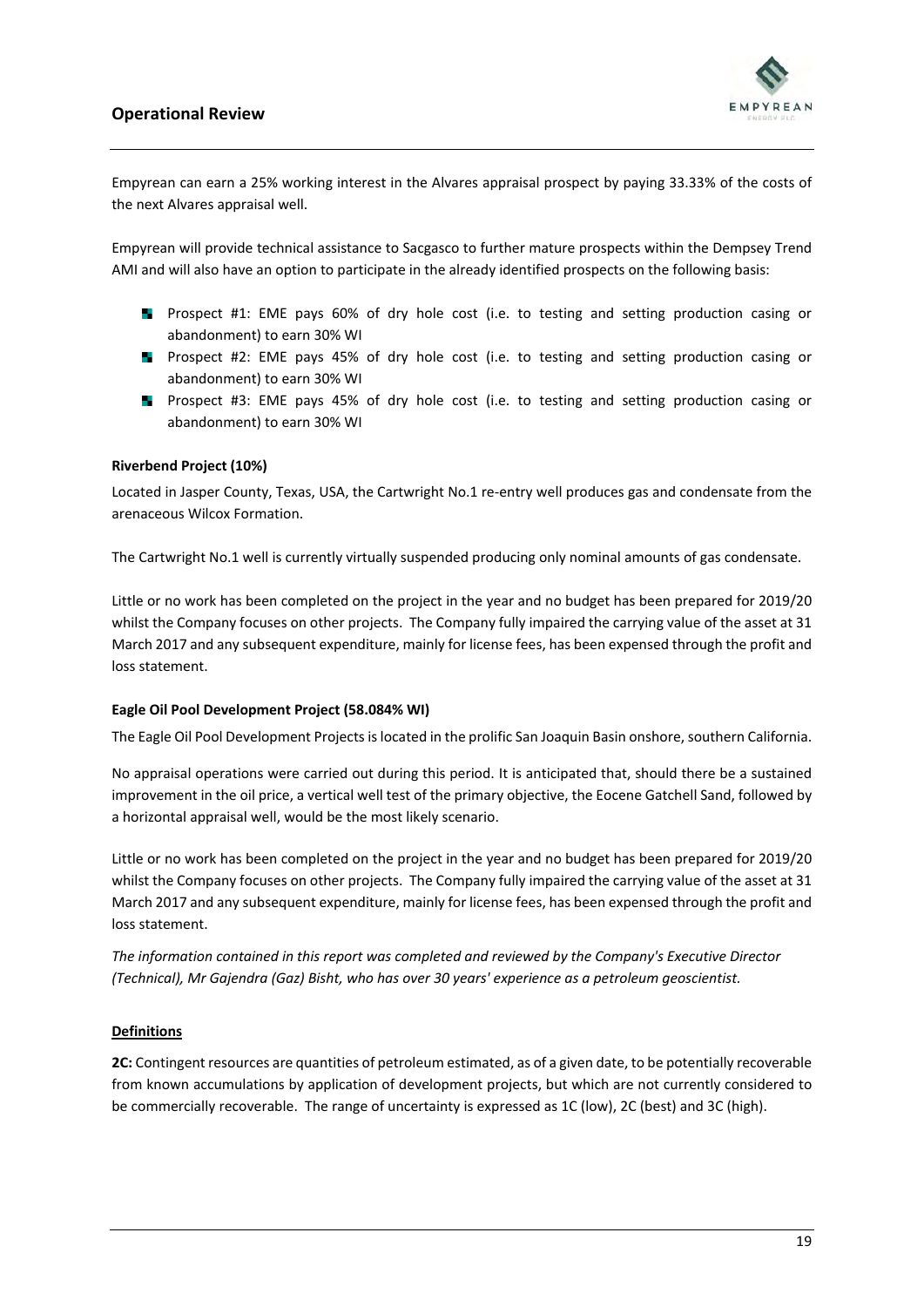

Empyrean can earn a 25% working interest in the Alvares appraisal prospect by paying 33.33% of the costs of the next Alvares appraisal well.

Empyrean will provide technical assistance to Sacgasco to further mature prospects within the Dempsey Trend AMI and will also have an option to participate in the already identified prospects on the following basis:

- **Prospect #1: EME pays 60% of dry hole cost (i.e. to testing and setting production casing or** abandonment) to earn 30% WI
- **Pa** Prospect #2: EME pays 45% of dry hole cost (i.e. to testing and setting production casing or abandonment) to earn 30% WI
- **Prospect #3: EME pays 45% of dry hole cost (i.e. to testing and setting production casing or** abandonment) to earn 30% WI

#### **Riverbend Project (10%)**

Located in Jasper County, Texas, USA, the Cartwright No.1 re-entry well produces gas and condensate from the arenaceous Wilcox Formation.

The Cartwright No.1 well is currently virtually suspended producing only nominal amounts of gas condensate.

Little or no work has been completed on the project in the year and no budget has been prepared for 2019/20 whilst the Company focuses on other projects. The Company fully impaired the carrying value of the asset at 31 March 2017 and any subsequent expenditure, mainly for license fees, has been expensed through the profit and loss statement.

#### **Eagle Oil Pool Development Project (58.084% WI)**

The Eagle Oil Pool Development Projects is located in the prolific San Joaquin Basin onshore, southern California.

No appraisal operations were carried out during this period. It is anticipated that, should there be a sustained improvement in the oil price, a vertical well test of the primary objective, the Eocene Gatchell Sand, followed by a horizontal appraisal well, would be the most likely scenario.

Little or no work has been completed on the project in the year and no budget has been prepared for 2019/20 whilst the Company focuses on other projects. The Company fully impaired the carrying value of the asset at 31 March 2017 and any subsequent expenditure, mainly for license fees, has been expensed through the profit and loss statement.

*The information contained in this report was completed and reviewed by the Company's Executive Director (Technical), Mr Gajendra (Gaz) Bisht, who has over 30 years' experience as a petroleum geoscientist.* 

#### **Definitions**

**2C:** Contingent resources are quantities of petroleum estimated, as of a given date, to be potentially recoverable from known accumulations by application of development projects, but which are not currently considered to be commercially recoverable. The range of uncertainty is expressed as 1C (low), 2C (best) and 3C (high).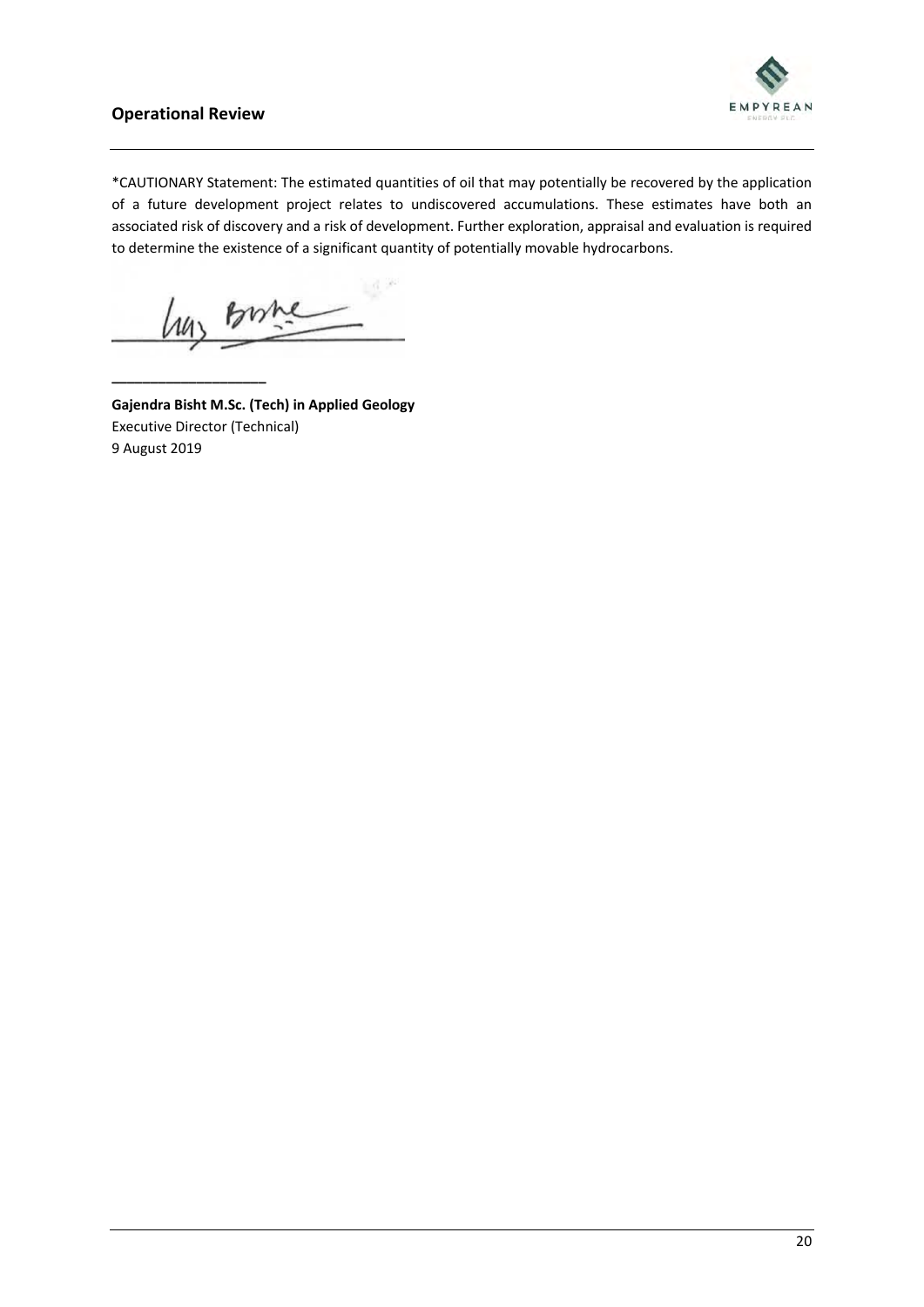

\*CAUTIONARY Statement: The estimated quantities of oil that may potentially be recovered by the application of a future development project relates to undiscovered accumulations. These estimates have both an associated risk of discovery and a risk of development. Further exploration, appraisal and evaluation is required to determine the existence of a significant quantity of potentially movable hydrocarbons.

回天 Boshe

**Gajendra Bisht M.Sc. (Tech) in Applied Geology**  Executive Director (Technical) 9 August 2019

**\_\_\_\_\_\_\_\_\_\_\_\_\_\_\_\_\_\_\_\_**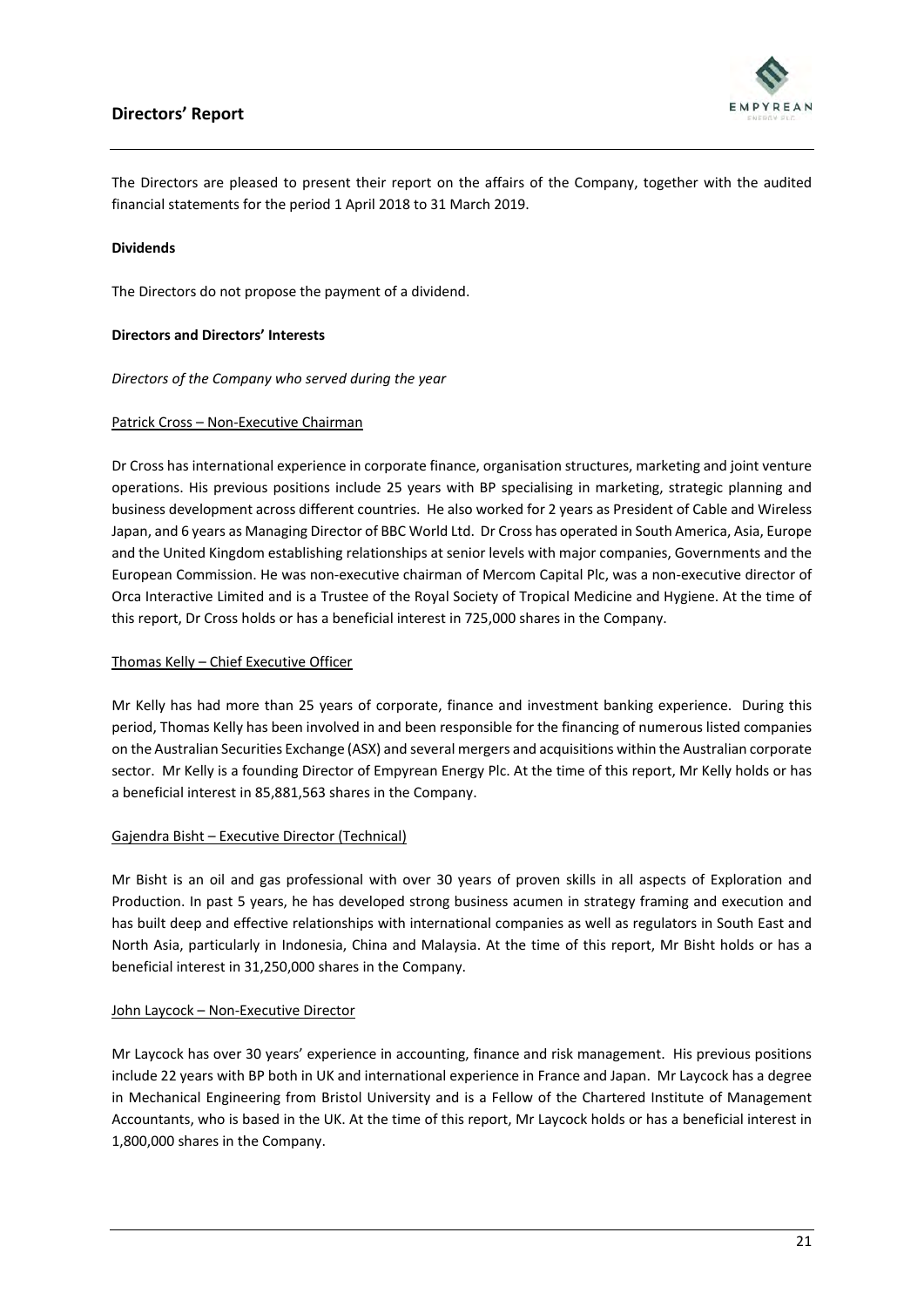## **Directors' Report**



The Directors are pleased to present their report on the affairs of the Company, together with the audited financial statements for the period 1 April 2018 to 31 March 2019.

#### **Dividends**

The Directors do not propose the payment of a dividend.

#### **Directors and Directors' Interests**

*Directors of the Company who served during the year* 

#### Patrick Cross – Non‐Executive Chairman

Dr Cross has international experience in corporate finance, organisation structures, marketing and joint venture operations. His previous positions include 25 years with BP specialising in marketing, strategic planning and business development across different countries. He also worked for 2 years as President of Cable and Wireless Japan, and 6 years as Managing Director of BBC World Ltd. Dr Cross has operated in South America, Asia, Europe and the United Kingdom establishing relationships at senior levels with major companies, Governments and the European Commission. He was non‐executive chairman of Mercom Capital Plc, was a non‐executive director of Orca Interactive Limited and is a Trustee of the Royal Society of Tropical Medicine and Hygiene. At the time of this report, Dr Cross holds or has a beneficial interest in 725,000 shares in the Company.

#### Thomas Kelly – Chief Executive Officer

Mr Kelly has had more than 25 years of corporate, finance and investment banking experience. During this period, Thomas Kelly has been involved in and been responsible for the financing of numerous listed companies on the Australian Securities Exchange (ASX) and several mergers and acquisitions within the Australian corporate sector. Mr Kelly is a founding Director of Empyrean Energy Plc. At the time of this report, Mr Kelly holds or has a beneficial interest in 85,881,563 shares in the Company.

#### Gajendra Bisht – Executive Director (Technical)

Mr Bisht is an oil and gas professional with over 30 years of proven skills in all aspects of Exploration and Production. In past 5 years, he has developed strong business acumen in strategy framing and execution and has built deep and effective relationships with international companies as well as regulators in South East and North Asia, particularly in Indonesia, China and Malaysia. At the time of this report, Mr Bisht holds or has a beneficial interest in 31,250,000 shares in the Company.

#### John Laycock – Non‐Executive Director

Mr Laycock has over 30 years' experience in accounting, finance and risk management. His previous positions include 22 years with BP both in UK and international experience in France and Japan. Mr Laycock has a degree in Mechanical Engineering from Bristol University and is a Fellow of the Chartered Institute of Management Accountants, who is based in the UK. At the time of this report, Mr Laycock holds or has a beneficial interest in 1,800,000 shares in the Company.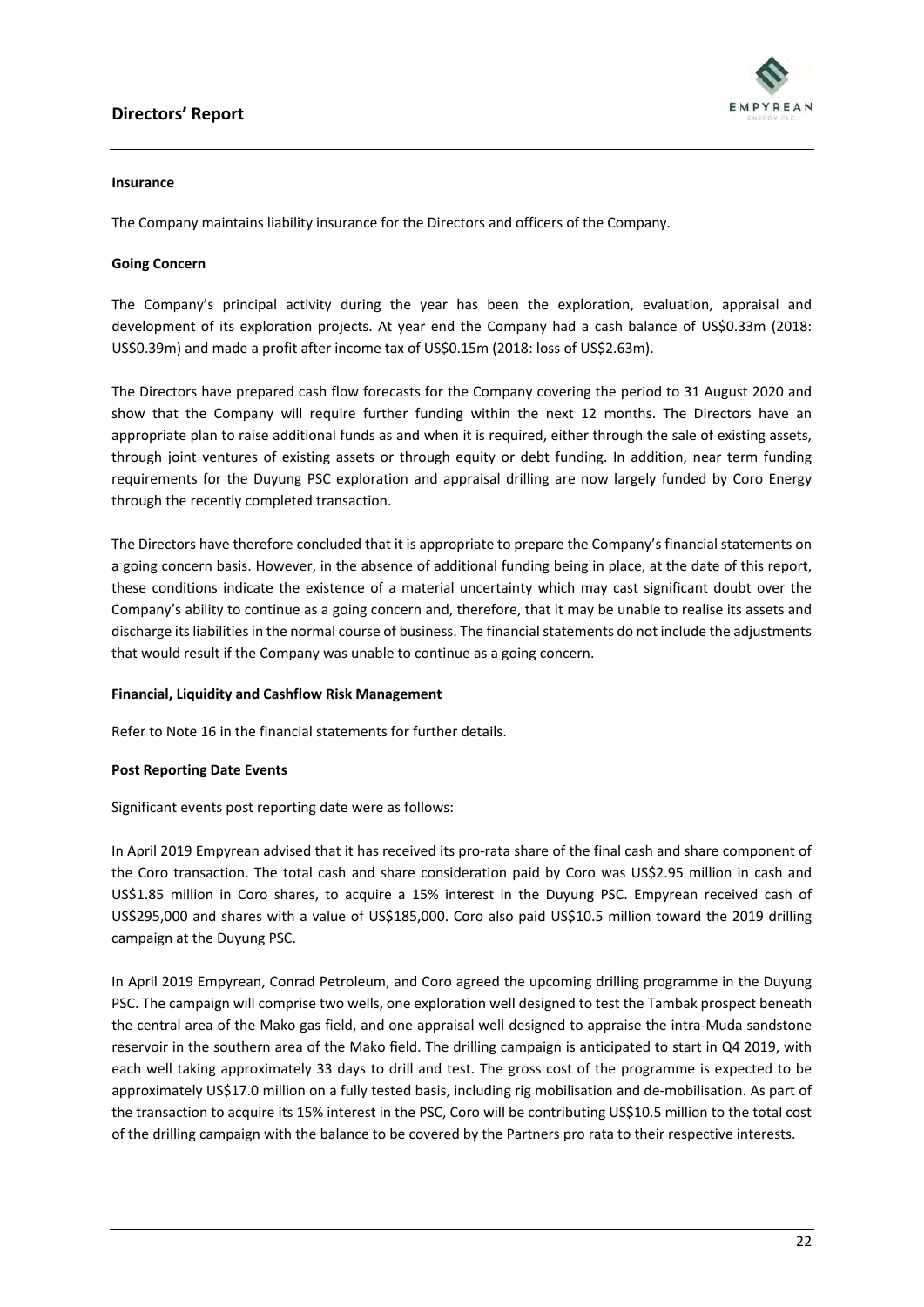## **Directors' Report**



#### **Insurance**

The Company maintains liability insurance for the Directors and officers of the Company.

#### **Going Concern**

The Company's principal activity during the year has been the exploration, evaluation, appraisal and development of its exploration projects. At year end the Company had a cash balance of US\$0.33m (2018: US\$0.39m) and made a profit after income tax of US\$0.15m (2018: loss of US\$2.63m).

The Directors have prepared cash flow forecasts for the Company covering the period to 31 August 2020 and show that the Company will require further funding within the next 12 months. The Directors have an appropriate plan to raise additional funds as and when it is required, either through the sale of existing assets, through joint ventures of existing assets or through equity or debt funding. In addition, near term funding requirements for the Duyung PSC exploration and appraisal drilling are now largely funded by Coro Energy through the recently completed transaction.

The Directors have therefore concluded that it is appropriate to prepare the Company's financial statements on a going concern basis. However, in the absence of additional funding being in place, at the date of this report, these conditions indicate the existence of a material uncertainty which may cast significant doubt over the Company's ability to continue as a going concern and, therefore, that it may be unable to realise its assets and discharge its liabilities in the normal course of business. The financial statements do not include the adjustments that would result if the Company was unable to continue as a going concern.

#### **Financial, Liquidity and Cashflow Risk Management**

Refer to Note 16 in the financial statements for further details.

#### **Post Reporting Date Events**

Significant events post reporting date were as follows:

In April 2019 Empyrean advised that it has received its pro-rata share of the final cash and share component of the Coro transaction. The total cash and share consideration paid by Coro was US\$2.95 million in cash and US\$1.85 million in Coro shares, to acquire a 15% interest in the Duyung PSC. Empyrean received cash of US\$295,000 and shares with a value of US\$185,000. Coro also paid US\$10.5 million toward the 2019 drilling campaign at the Duyung PSC.

In April 2019 Empyrean, Conrad Petroleum, and Coro agreed the upcoming drilling programme in the Duyung PSC. The campaign will comprise two wells, one exploration well designed to test the Tambak prospect beneath the central area of the Mako gas field, and one appraisal well designed to appraise the intra-Muda sandstone reservoir in the southern area of the Mako field. The drilling campaign is anticipated to start in Q4 2019, with each well taking approximately 33 days to drill and test. The gross cost of the programme is expected to be approximately US\$17.0 million on a fully tested basis, including rig mobilisation and de‐mobilisation. As part of the transaction to acquire its 15% interest in the PSC, Coro will be contributing US\$10.5 million to the total cost of the drilling campaign with the balance to be covered by the Partners pro rata to their respective interests.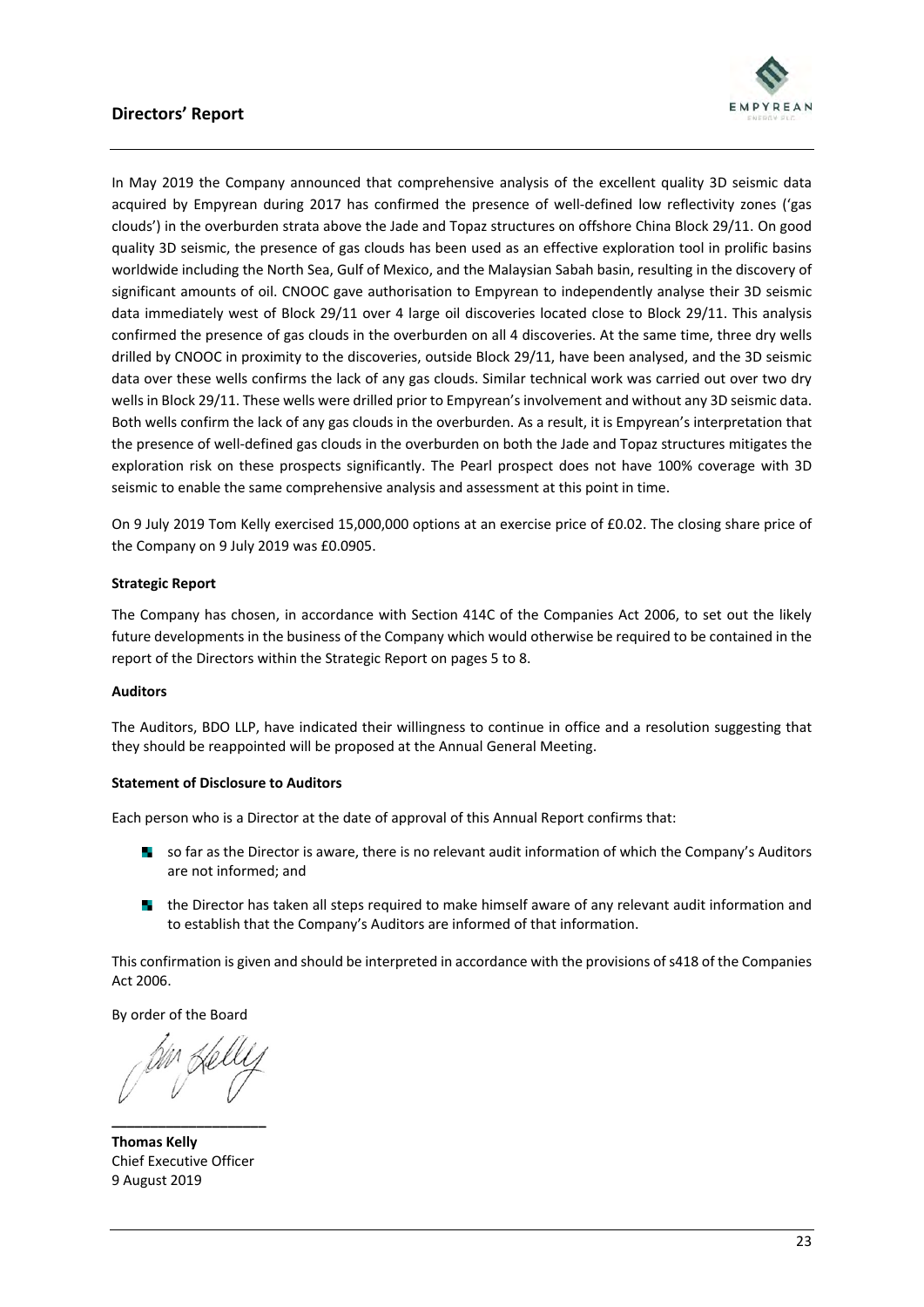## **Directors' Report**



In May 2019 the Company announced that comprehensive analysis of the excellent quality 3D seismic data acquired by Empyrean during 2017 has confirmed the presence of well-defined low reflectivity zones ('gas clouds') in the overburden strata above the Jade and Topaz structures on offshore China Block 29/11. On good quality 3D seismic, the presence of gas clouds has been used as an effective exploration tool in prolific basins worldwide including the North Sea, Gulf of Mexico, and the Malaysian Sabah basin, resulting in the discovery of significant amounts of oil. CNOOC gave authorisation to Empyrean to independently analyse their 3D seismic data immediately west of Block 29/11 over 4 large oil discoveries located close to Block 29/11. This analysis confirmed the presence of gas clouds in the overburden on all 4 discoveries. At the same time, three dry wells drilled by CNOOC in proximity to the discoveries, outside Block 29/11, have been analysed, and the 3D seismic data over these wells confirms the lack of any gas clouds. Similar technical work was carried out over two dry wells in Block 29/11. These wells were drilled prior to Empyrean's involvement and without any 3D seismic data. Both wells confirm the lack of any gas clouds in the overburden. As a result, it is Empyrean's interpretation that the presence of well‐defined gas clouds in the overburden on both the Jade and Topaz structures mitigates the exploration risk on these prospects significantly. The Pearl prospect does not have 100% coverage with 3D seismic to enable the same comprehensive analysis and assessment at this point in time.

On 9 July 2019 Tom Kelly exercised 15,000,000 options at an exercise price of £0.02. The closing share price of the Company on 9 July 2019 was £0.0905.

#### **Strategic Report**

The Company has chosen, in accordance with Section 414C of the Companies Act 2006, to set out the likely future developments in the business of the Company which would otherwise be required to be contained in the report of the Directors within the Strategic Report on pages 5 to 8.

#### **Auditors**

The Auditors, BDO LLP, have indicated their willingness to continue in office and a resolution suggesting that they should be reappointed will be proposed at the Annual General Meeting.

#### **Statement of Disclosure to Auditors**

Each person who is a Director at the date of approval of this Annual Report confirms that:

- so far as the Director is aware, there is no relevant audit information of which the Company's Auditors are not informed; and
- ÷ the Director has taken all steps required to make himself aware of any relevant audit information and to establish that the Company's Auditors are informed of that information.

This confirmation is given and should be interpreted in accordance with the provisions of s418 of the Companies Act 2006.

By order of the Board

**\_\_\_\_\_\_\_\_\_\_\_\_\_\_\_\_\_\_\_\_** 

**Thomas Kelly**  Chief Executive Officer 9 August 2019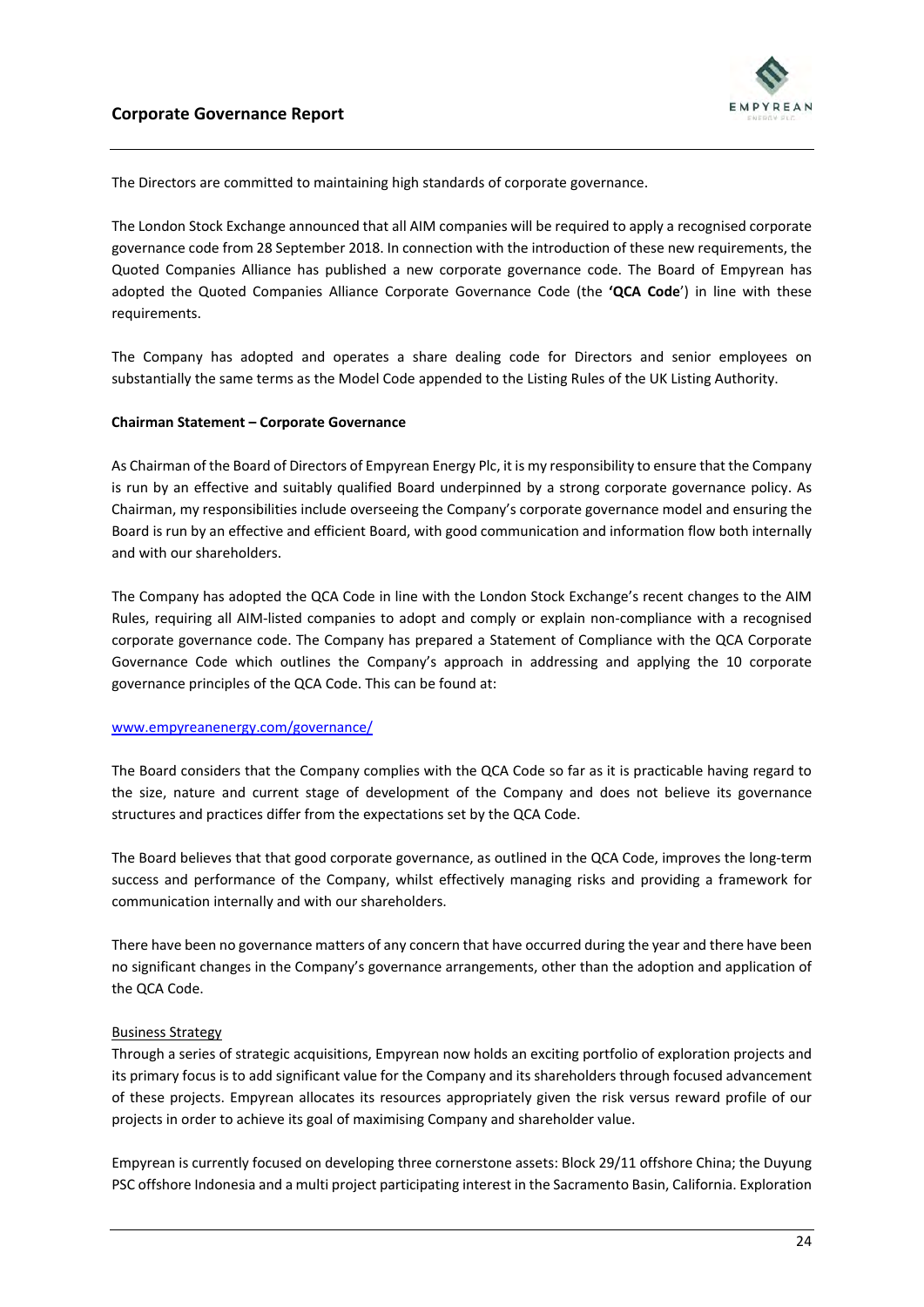

The Directors are committed to maintaining high standards of corporate governance.

The London Stock Exchange announced that all AIM companies will be required to apply a recognised corporate governance code from 28 September 2018. In connection with the introduction of these new requirements, the Quoted Companies Alliance has published a new corporate governance code. The Board of Empyrean has adopted the Quoted Companies Alliance Corporate Governance Code (the **'QCA Code**') in line with these requirements.

The Company has adopted and operates a share dealing code for Directors and senior employees on substantially the same terms as the Model Code appended to the Listing Rules of the UK Listing Authority.

#### **Chairman Statement – Corporate Governance**

As Chairman of the Board of Directors of Empyrean Energy Plc, it is my responsibility to ensure that the Company is run by an effective and suitably qualified Board underpinned by a strong corporate governance policy. As Chairman, my responsibilities include overseeing the Company's corporate governance model and ensuring the Board is run by an effective and efficient Board, with good communication and information flow both internally and with our shareholders.

The Company has adopted the QCA Code in line with the London Stock Exchange's recent changes to the AIM Rules, requiring all AIM‐listed companies to adopt and comply or explain non‐compliance with a recognised corporate governance code. The Company has prepared a Statement of Compliance with the QCA Corporate Governance Code which outlines the Company's approach in addressing and applying the 10 corporate governance principles of the QCA Code. This can be found at:

#### www.empyreanenergy.com/governance/

The Board considers that the Company complies with the QCA Code so far as it is practicable having regard to the size, nature and current stage of development of the Company and does not believe its governance structures and practices differ from the expectations set by the QCA Code.

The Board believes that that good corporate governance, as outlined in the QCA Code, improves the long‐term success and performance of the Company, whilst effectively managing risks and providing a framework for communication internally and with our shareholders.

There have been no governance matters of any concern that have occurred during the year and there have been no significant changes in the Company's governance arrangements, other than the adoption and application of the QCA Code.

#### Business Strategy

Through a series of strategic acquisitions, Empyrean now holds an exciting portfolio of exploration projects and its primary focus is to add significant value for the Company and its shareholders through focused advancement of these projects. Empyrean allocates its resources appropriately given the risk versus reward profile of our projects in order to achieve its goal of maximising Company and shareholder value.

Empyrean is currently focused on developing three cornerstone assets: Block 29/11 offshore China; the Duyung PSC offshore Indonesia and a multi project participating interest in the Sacramento Basin, California. Exploration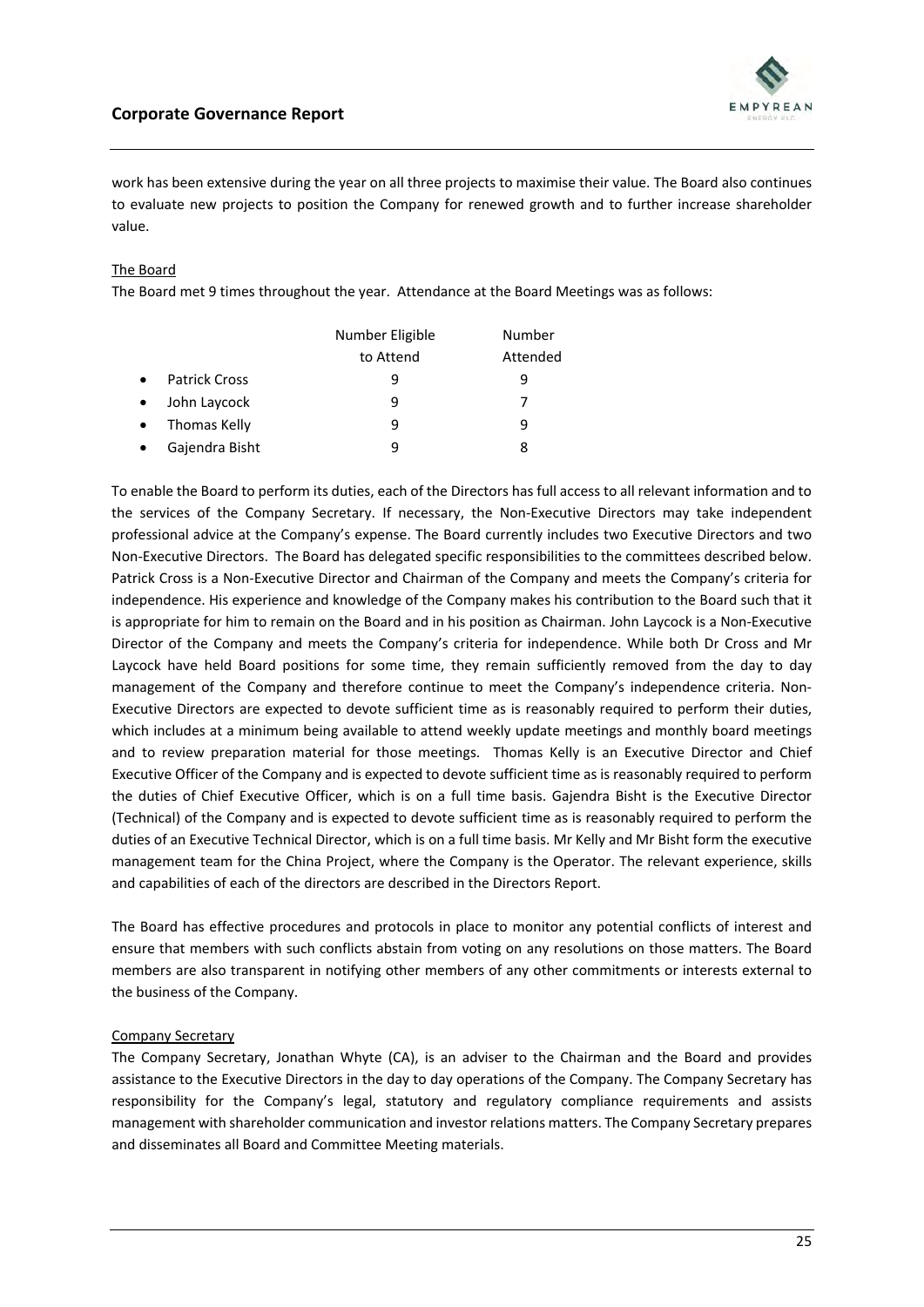



work has been extensive during the year on all three projects to maximise their value. The Board also continues to evaluate new projects to position the Company for renewed growth and to further increase shareholder value.

### The Board

The Board met 9 times throughout the year. Attendance at the Board Meetings was as follows:

|                                   | Number Eligible | Number   |
|-----------------------------------|-----------------|----------|
|                                   | to Attend       | Attended |
| <b>Patrick Cross</b><br>$\bullet$ | q               | q        |
| John Laycock<br>$\bullet$         | 9               |          |
| Thomas Kelly<br>$\bullet$         | 9               | 9        |
| Gajendra Bisht<br>$\bullet$       | q               | 8        |

To enable the Board to perform its duties, each of the Directors has full access to all relevant information and to the services of the Company Secretary. If necessary, the Non-Executive Directors may take independent professional advice at the Company's expense. The Board currently includes two Executive Directors and two Non‐Executive Directors. The Board has delegated specific responsibilities to the committees described below. Patrick Cross is a Non‐Executive Director and Chairman of the Company and meets the Company's criteria for independence. His experience and knowledge of the Company makes his contribution to the Board such that it is appropriate for him to remain on the Board and in his position as Chairman. John Laycock is a Non‐Executive Director of the Company and meets the Company's criteria for independence. While both Dr Cross and Mr Laycock have held Board positions for some time, they remain sufficiently removed from the day to day management of the Company and therefore continue to meet the Company's independence criteria. Non‐ Executive Directors are expected to devote sufficient time as is reasonably required to perform their duties, which includes at a minimum being available to attend weekly update meetings and monthly board meetings and to review preparation material for those meetings. Thomas Kelly is an Executive Director and Chief Executive Officer of the Company and is expected to devote sufficient time as is reasonably required to perform the duties of Chief Executive Officer, which is on a full time basis. Gajendra Bisht is the Executive Director (Technical) of the Company and is expected to devote sufficient time as is reasonably required to perform the duties of an Executive Technical Director, which is on a full time basis. Mr Kelly and Mr Bisht form the executive management team for the China Project, where the Company is the Operator. The relevant experience, skills and capabilities of each of the directors are described in the Directors Report.

The Board has effective procedures and protocols in place to monitor any potential conflicts of interest and ensure that members with such conflicts abstain from voting on any resolutions on those matters. The Board members are also transparent in notifying other members of any other commitments or interests external to the business of the Company.

#### Company Secretary

The Company Secretary, Jonathan Whyte (CA), is an adviser to the Chairman and the Board and provides assistance to the Executive Directors in the day to day operations of the Company. The Company Secretary has responsibility for the Company's legal, statutory and regulatory compliance requirements and assists management with shareholder communication and investor relations matters. The Company Secretary prepares and disseminates all Board and Committee Meeting materials.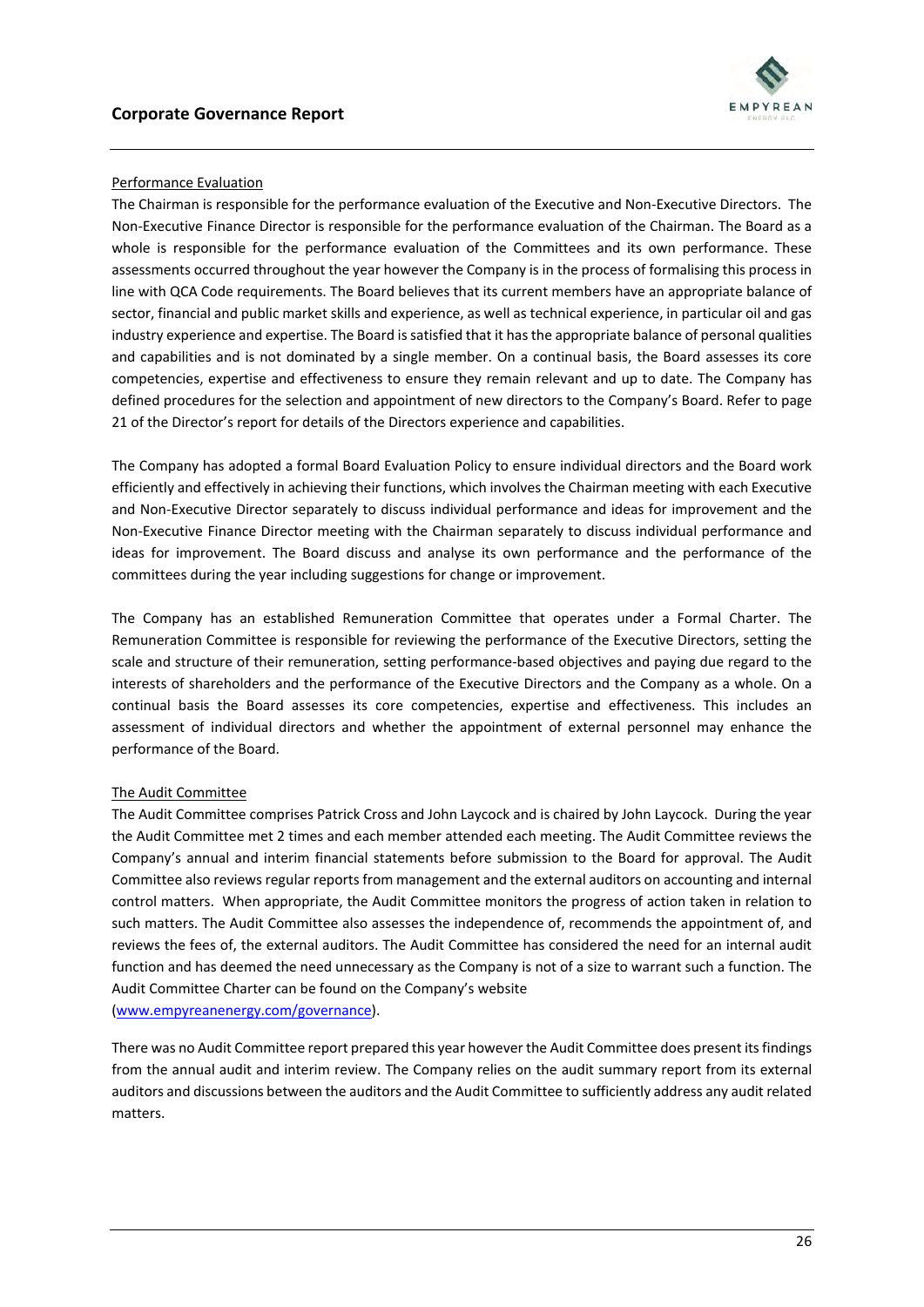

#### Performance Evaluation

The Chairman is responsible for the performance evaluation of the Executive and Non‐Executive Directors. The Non‐Executive Finance Director is responsible for the performance evaluation of the Chairman. The Board as a whole is responsible for the performance evaluation of the Committees and its own performance. These assessments occurred throughout the year however the Company is in the process of formalising this process in line with QCA Code requirements. The Board believes that its current members have an appropriate balance of sector, financial and public market skills and experience, as well as technical experience, in particular oil and gas industry experience and expertise. The Board is satisfied that it has the appropriate balance of personal qualities and capabilities and is not dominated by a single member. On a continual basis, the Board assesses its core competencies, expertise and effectiveness to ensure they remain relevant and up to date. The Company has defined procedures for the selection and appointment of new directors to the Company's Board. Refer to page 21 of the Director's report for details of the Directors experience and capabilities.

The Company has adopted a formal Board Evaluation Policy to ensure individual directors and the Board work efficiently and effectively in achieving their functions, which involves the Chairman meeting with each Executive and Non‐Executive Director separately to discuss individual performance and ideas for improvement and the Non‐Executive Finance Director meeting with the Chairman separately to discuss individual performance and ideas for improvement. The Board discuss and analyse its own performance and the performance of the committees during the year including suggestions for change or improvement.

The Company has an established Remuneration Committee that operates under a Formal Charter. The Remuneration Committee is responsible for reviewing the performance of the Executive Directors, setting the scale and structure of their remuneration, setting performance-based objectives and paying due regard to the interests of shareholders and the performance of the Executive Directors and the Company as a whole. On a continual basis the Board assesses its core competencies, expertise and effectiveness. This includes an assessment of individual directors and whether the appointment of external personnel may enhance the performance of the Board.

#### The Audit Committee

The Audit Committee comprises Patrick Cross and John Laycock and is chaired by John Laycock. During the year the Audit Committee met 2 times and each member attended each meeting. The Audit Committee reviews the Company's annual and interim financial statements before submission to the Board for approval. The Audit Committee also reviews regular reports from management and the external auditors on accounting and internal control matters. When appropriate, the Audit Committee monitors the progress of action taken in relation to such matters. The Audit Committee also assesses the independence of, recommends the appointment of, and reviews the fees of, the external auditors. The Audit Committee has considered the need for an internal audit function and has deemed the need unnecessary as the Company is not of a size to warrant such a function. The Audit Committee Charter can be found on the Company's website (www.empyreanenergy.com/governance).

There was no Audit Committee report prepared this year however the Audit Committee does present its findings from the annual audit and interim review. The Company relies on the audit summary report from its external auditors and discussions between the auditors and the Audit Committee to sufficiently address any audit related matters.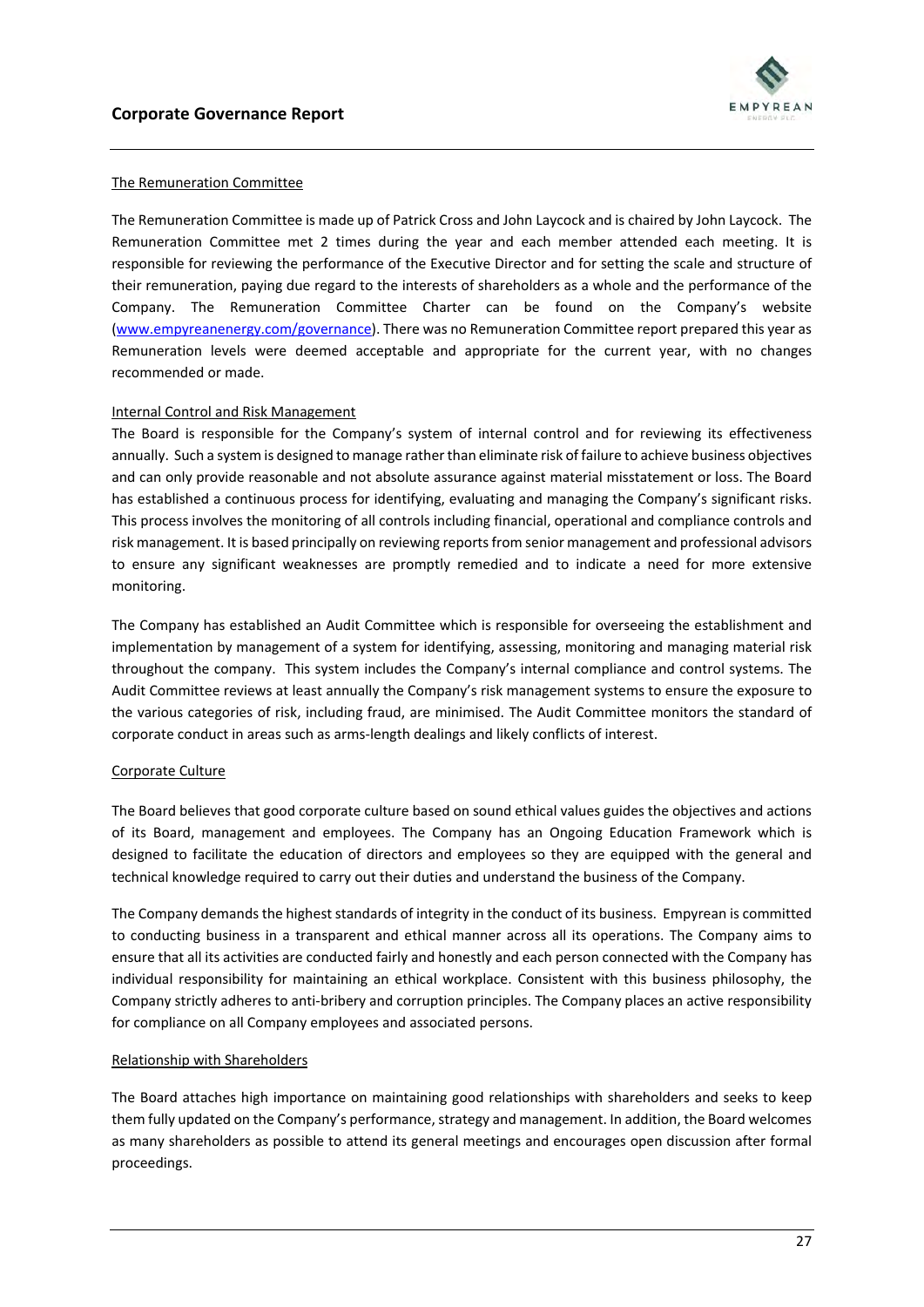

#### The Remuneration Committee

The Remuneration Committee is made up of Patrick Cross and John Laycock and is chaired by John Laycock. The Remuneration Committee met 2 times during the year and each member attended each meeting. It is responsible for reviewing the performance of the Executive Director and for setting the scale and structure of their remuneration, paying due regard to the interests of shareholders as a whole and the performance of the Company. The Remuneration Committee Charter can be found on the Company's website (www.empyreanenergy.com/governance). There was no Remuneration Committee report prepared this year as Remuneration levels were deemed acceptable and appropriate for the current year, with no changes recommended or made.

#### Internal Control and Risk Management

The Board is responsible for the Company's system of internal control and for reviewing its effectiveness annually. Such a system is designed to manage rather than eliminate risk of failure to achieve business objectives and can only provide reasonable and not absolute assurance against material misstatement or loss. The Board has established a continuous process for identifying, evaluating and managing the Company's significant risks. This process involves the monitoring of all controls including financial, operational and compliance controls and risk management. It is based principally on reviewing reports from senior management and professional advisors to ensure any significant weaknesses are promptly remedied and to indicate a need for more extensive monitoring.

The Company has established an Audit Committee which is responsible for overseeing the establishment and implementation by management of a system for identifying, assessing, monitoring and managing material risk throughout the company. This system includes the Company's internal compliance and control systems. The Audit Committee reviews at least annually the Company's risk management systems to ensure the exposure to the various categories of risk, including fraud, are minimised. The Audit Committee monitors the standard of corporate conduct in areas such as arms‐length dealings and likely conflicts of interest.

#### Corporate Culture

The Board believes that good corporate culture based on sound ethical values guides the objectives and actions of its Board, management and employees. The Company has an Ongoing Education Framework which is designed to facilitate the education of directors and employees so they are equipped with the general and technical knowledge required to carry out their duties and understand the business of the Company.

The Company demands the highest standards of integrity in the conduct of its business. Empyrean is committed to conducting business in a transparent and ethical manner across all its operations. The Company aims to ensure that all its activities are conducted fairly and honestly and each person connected with the Company has individual responsibility for maintaining an ethical workplace. Consistent with this business philosophy, the Company strictly adheres to anti‐bribery and corruption principles. The Company places an active responsibility for compliance on all Company employees and associated persons.

#### Relationship with Shareholders

The Board attaches high importance on maintaining good relationships with shareholders and seeks to keep them fully updated on the Company's performance, strategy and management. In addition, the Board welcomes as many shareholders as possible to attend its general meetings and encourages open discussion after formal proceedings.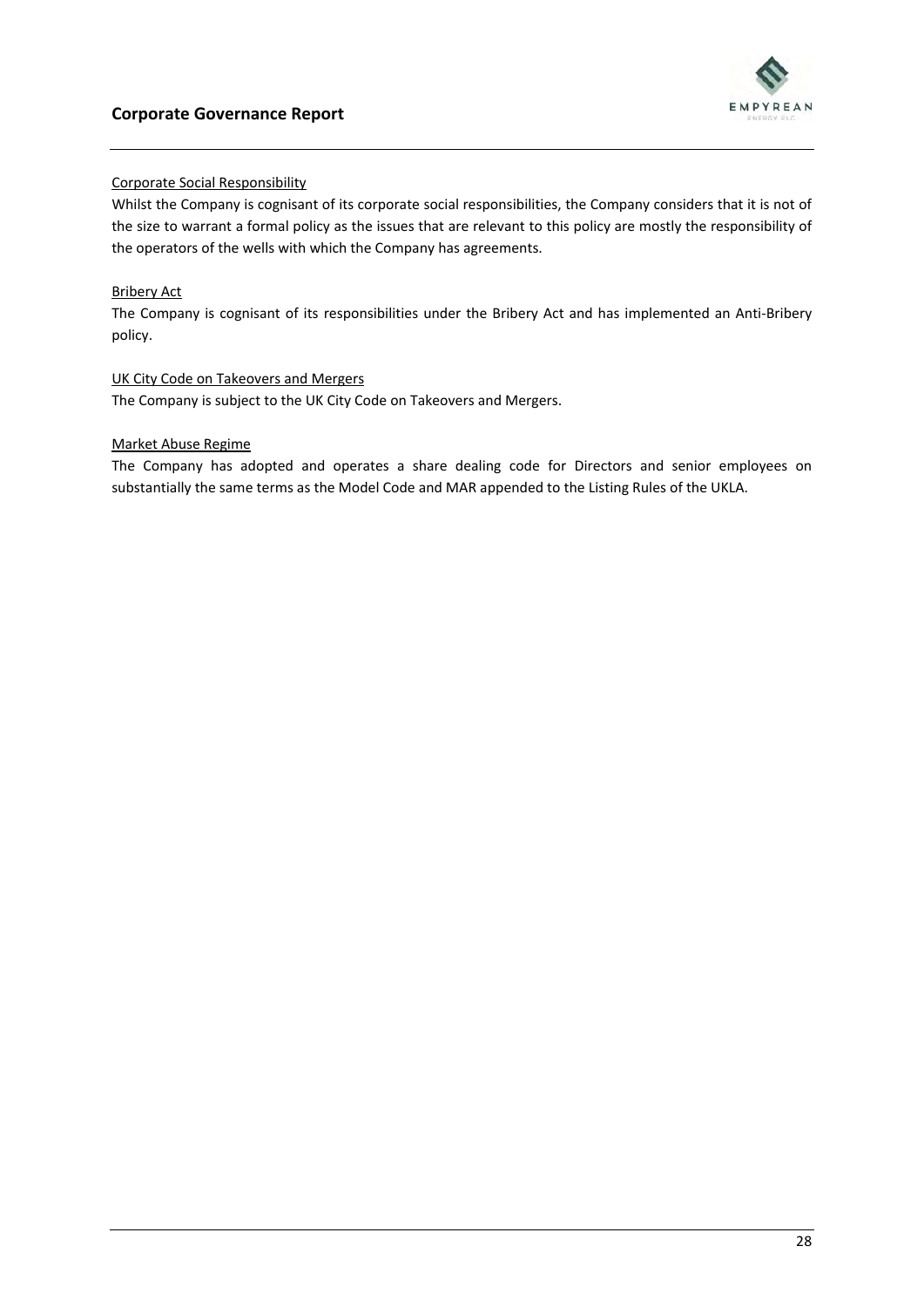

### Corporate Social Responsibility

Whilst the Company is cognisant of its corporate social responsibilities, the Company considers that it is not of the size to warrant a formal policy as the issues that are relevant to this policy are mostly the responsibility of the operators of the wells with which the Company has agreements.

#### Bribery Act

The Company is cognisant of its responsibilities under the Bribery Act and has implemented an Anti-Bribery policy.

#### UK City Code on Takeovers and Mergers

The Company is subject to the UK City Code on Takeovers and Mergers.

#### Market Abuse Regime

The Company has adopted and operates a share dealing code for Directors and senior employees on substantially the same terms as the Model Code and MAR appended to the Listing Rules of the UKLA.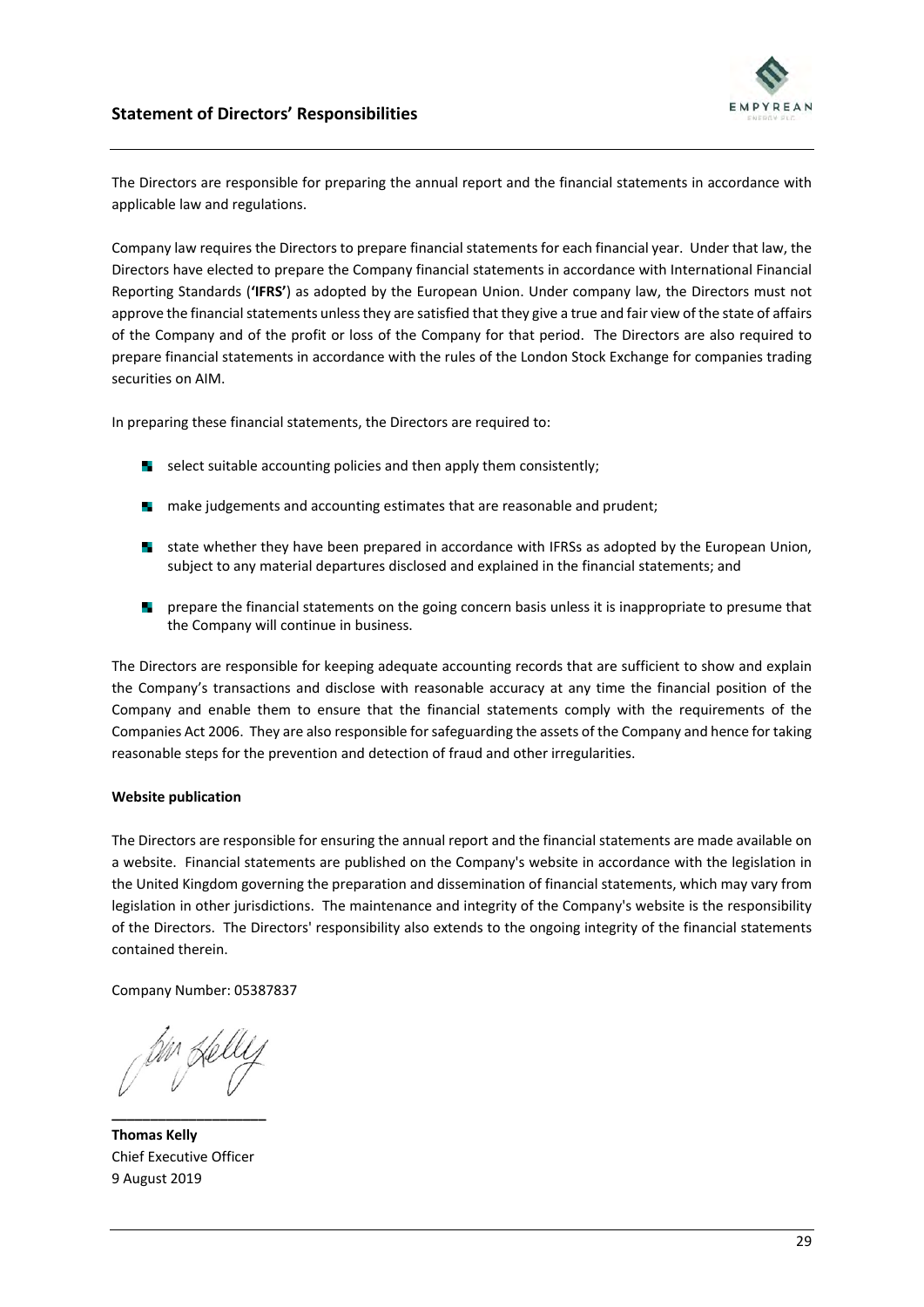

The Directors are responsible for preparing the annual report and the financial statements in accordance with applicable law and regulations.

Company law requires the Directors to prepare financial statements for each financial year. Under that law, the Directors have elected to prepare the Company financial statements in accordance with International Financial Reporting Standards (**'IFRS'**) as adopted by the European Union. Under company law, the Directors must not approve the financial statements unless they are satisfied that they give a true and fair view of the state of affairs of the Company and of the profit or loss of the Company for that period. The Directors are also required to prepare financial statements in accordance with the rules of the London Stock Exchange for companies trading securities on AIM.

In preparing these financial statements, the Directors are required to:

- $\blacksquare$  select suitable accounting policies and then apply them consistently;
- **E** make judgements and accounting estimates that are reasonable and prudent;
- state whether they have been prepared in accordance with IFRSs as adopted by the European Union, subject to any material departures disclosed and explained in the financial statements; and
- **Part prepare the financial statements on the going concern basis unless it is inappropriate to presume that** the Company will continue in business.

The Directors are responsible for keeping adequate accounting records that are sufficient to show and explain the Company's transactions and disclose with reasonable accuracy at any time the financial position of the Company and enable them to ensure that the financial statements comply with the requirements of the Companies Act 2006. They are also responsible for safeguarding the assets of the Company and hence for taking reasonable steps for the prevention and detection of fraud and other irregularities.

#### **Website publication**

The Directors are responsible for ensuring the annual report and the financial statements are made available on a website. Financial statements are published on the Company's website in accordance with the legislation in the United Kingdom governing the preparation and dissemination of financial statements, which may vary from legislation in other jurisdictions. The maintenance and integrity of the Company's website is the responsibility of the Directors. The Directors' responsibility also extends to the ongoing integrity of the financial statements contained therein.

Company Number: 05387837

**\_\_\_\_\_\_\_\_\_\_\_\_\_\_\_\_\_\_\_\_** 

**Thomas Kelly**  Chief Executive Officer 9 August 2019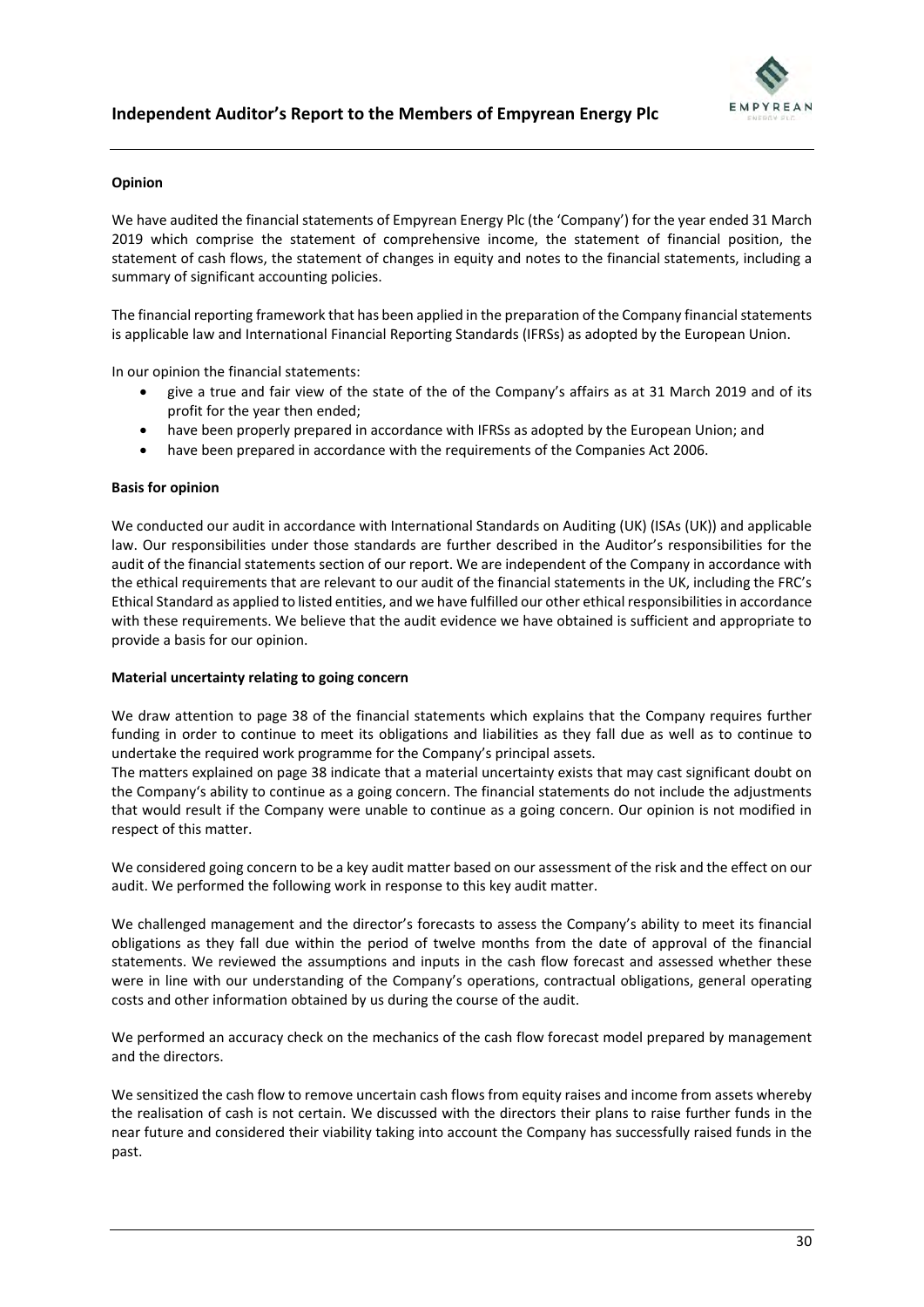

#### **Opinion**

We have audited the financial statements of Empyrean Energy Plc (the 'Company') for the year ended 31 March 2019 which comprise the statement of comprehensive income, the statement of financial position, the statement of cash flows, the statement of changes in equity and notes to the financial statements, including a summary of significant accounting policies.

The financial reporting framework that has been applied in the preparation of the Company financial statements is applicable law and International Financial Reporting Standards (IFRSs) as adopted by the European Union.

In our opinion the financial statements:

- give a true and fair view of the state of the of the Company's affairs as at 31 March 2019 and of its profit for the year then ended;
- have been properly prepared in accordance with IFRSs as adopted by the European Union; and
- have been prepared in accordance with the requirements of the Companies Act 2006.

#### **Basis for opinion**

We conducted our audit in accordance with International Standards on Auditing (UK) (ISAs (UK)) and applicable law. Our responsibilities under those standards are further described in the Auditor's responsibilities for the audit of the financial statements section of our report. We are independent of the Company in accordance with the ethical requirements that are relevant to our audit of the financial statements in the UK, including the FRC's Ethical Standard as applied to listed entities, and we have fulfilled our other ethical responsibilities in accordance with these requirements. We believe that the audit evidence we have obtained is sufficient and appropriate to provide a basis for our opinion.

#### **Material uncertainty relating to going concern**

We draw attention to page 38 of the financial statements which explains that the Company requires further funding in order to continue to meet its obligations and liabilities as they fall due as well as to continue to undertake the required work programme for the Company's principal assets.

The matters explained on page 38 indicate that a material uncertainty exists that may cast significant doubt on the Company's ability to continue as a going concern. The financial statements do not include the adjustments that would result if the Company were unable to continue as a going concern. Our opinion is not modified in respect of this matter.

We considered going concern to be a key audit matter based on our assessment of the risk and the effect on our audit. We performed the following work in response to this key audit matter.

We challenged management and the director's forecasts to assess the Company's ability to meet its financial obligations as they fall due within the period of twelve months from the date of approval of the financial statements. We reviewed the assumptions and inputs in the cash flow forecast and assessed whether these were in line with our understanding of the Company's operations, contractual obligations, general operating costs and other information obtained by us during the course of the audit.

We performed an accuracy check on the mechanics of the cash flow forecast model prepared by management and the directors.

We sensitized the cash flow to remove uncertain cash flows from equity raises and income from assets whereby the realisation of cash is not certain. We discussed with the directors their plans to raise further funds in the near future and considered their viability taking into account the Company has successfully raised funds in the past.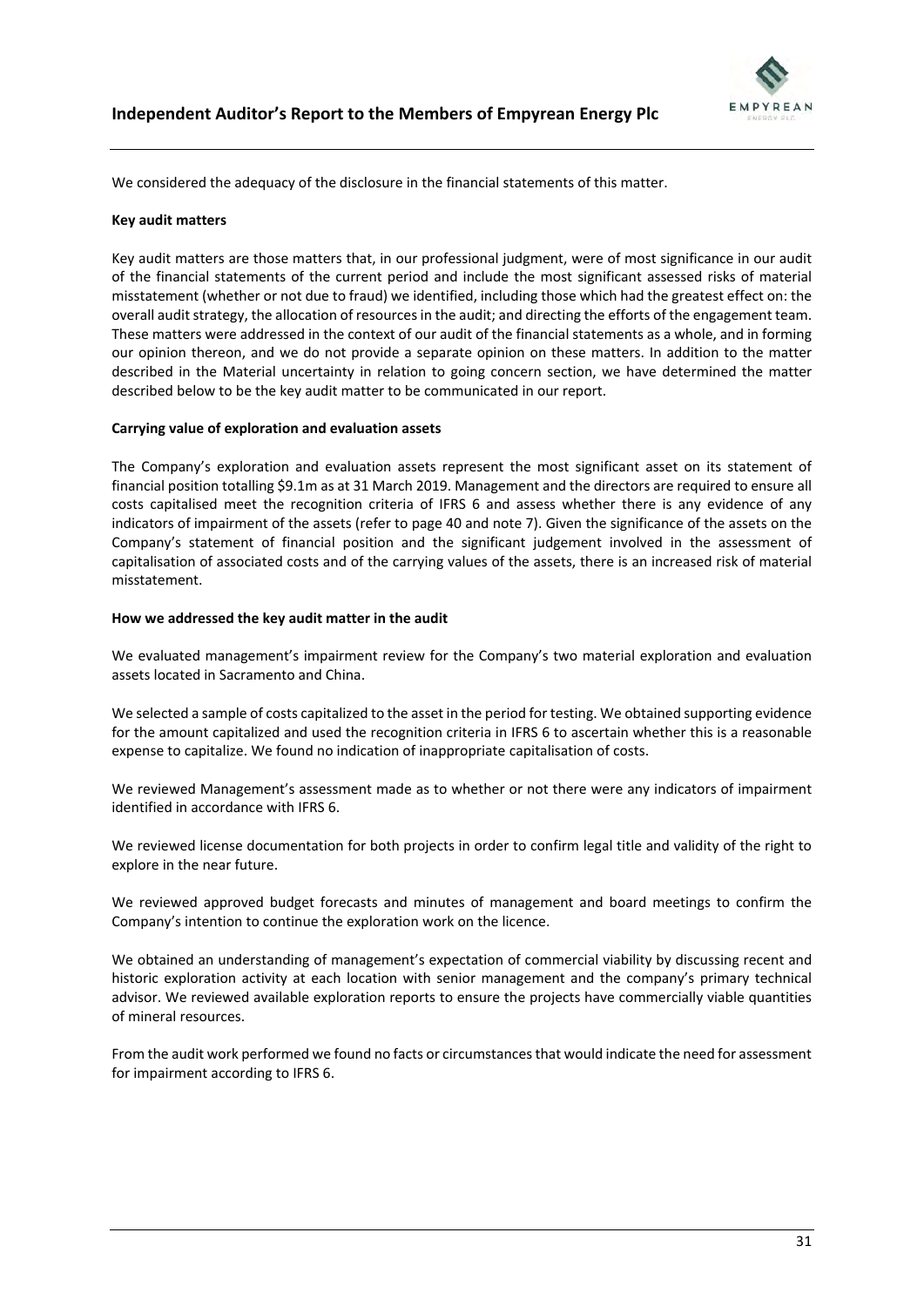

We considered the adequacy of the disclosure in the financial statements of this matter.

#### **Key audit matters**

Key audit matters are those matters that, in our professional judgment, were of most significance in our audit of the financial statements of the current period and include the most significant assessed risks of material misstatement (whether or not due to fraud) we identified, including those which had the greatest effect on: the overall audit strategy, the allocation of resources in the audit; and directing the efforts of the engagement team. These matters were addressed in the context of our audit of the financial statements as a whole, and in forming our opinion thereon, and we do not provide a separate opinion on these matters. In addition to the matter described in the Material uncertainty in relation to going concern section, we have determined the matter described below to be the key audit matter to be communicated in our report.

#### **Carrying value of exploration and evaluation assets**

The Company's exploration and evaluation assets represent the most significant asset on its statement of financial position totalling \$9.1m as at 31 March 2019. Management and the directors are required to ensure all costs capitalised meet the recognition criteria of IFRS 6 and assess whether there is any evidence of any indicators of impairment of the assets (refer to page 40 and note 7). Given the significance of the assets on the Company's statement of financial position and the significant judgement involved in the assessment of capitalisation of associated costs and of the carrying values of the assets, there is an increased risk of material misstatement.

#### **How we addressed the key audit matter in the audit**

We evaluated management's impairment review for the Company's two material exploration and evaluation assets located in Sacramento and China.

We selected a sample of costs capitalized to the asset in the period for testing. We obtained supporting evidence for the amount capitalized and used the recognition criteria in IFRS 6 to ascertain whether this is a reasonable expense to capitalize. We found no indication of inappropriate capitalisation of costs.

We reviewed Management's assessment made as to whether or not there were any indicators of impairment identified in accordance with IFRS 6.

We reviewed license documentation for both projects in order to confirm legal title and validity of the right to explore in the near future.

We reviewed approved budget forecasts and minutes of management and board meetings to confirm the Company's intention to continue the exploration work on the licence.

We obtained an understanding of management's expectation of commercial viability by discussing recent and historic exploration activity at each location with senior management and the company's primary technical advisor. We reviewed available exploration reports to ensure the projects have commercially viable quantities of mineral resources.

From the audit work performed we found no facts or circumstances that would indicate the need for assessment for impairment according to IFRS 6.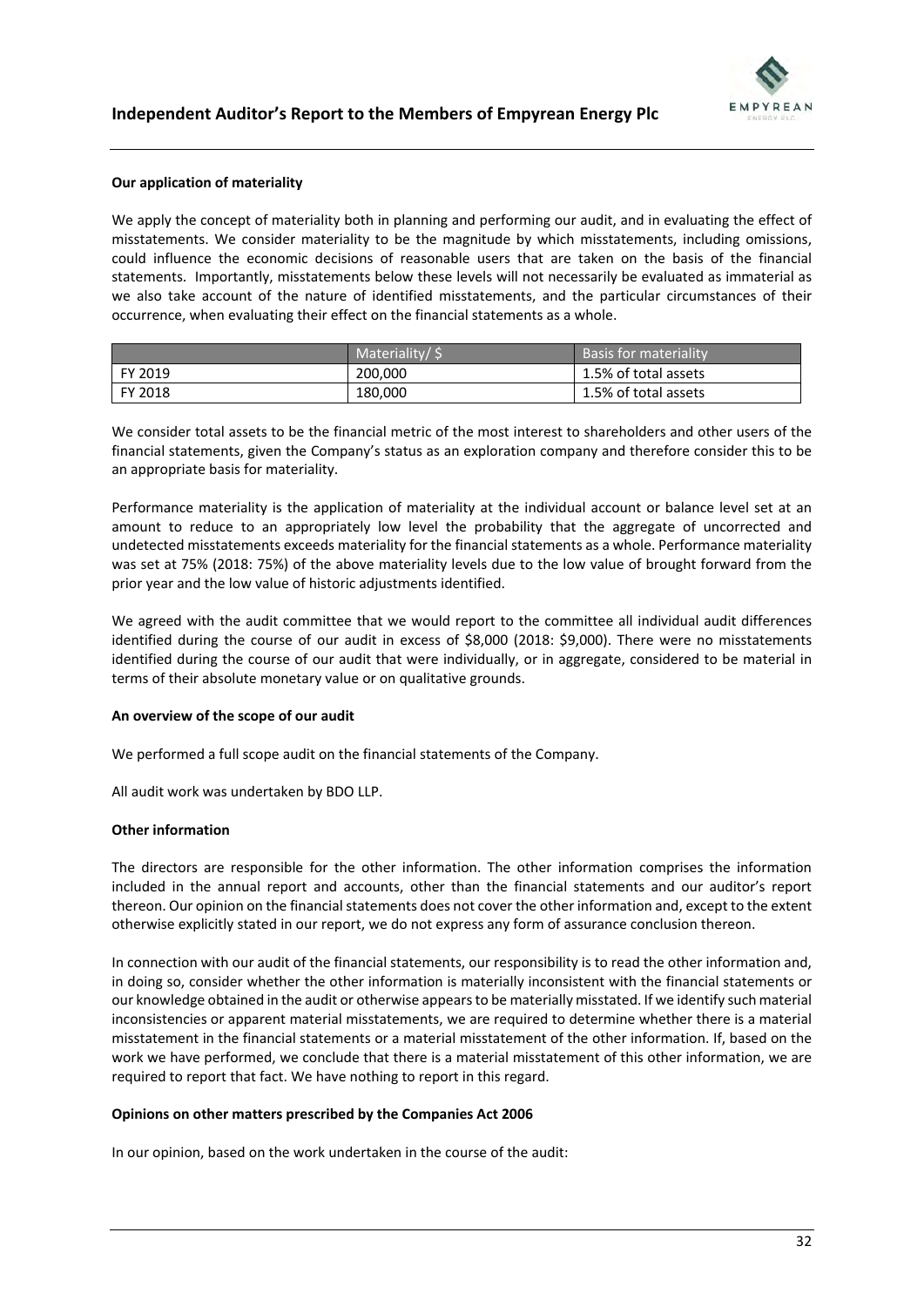

#### **Our application of materiality**

We apply the concept of materiality both in planning and performing our audit, and in evaluating the effect of misstatements. We consider materiality to be the magnitude by which misstatements, including omissions, could influence the economic decisions of reasonable users that are taken on the basis of the financial statements. Importantly, misstatements below these levels will not necessarily be evaluated as immaterial as we also take account of the nature of identified misstatements, and the particular circumstances of their occurrence, when evaluating their effect on the financial statements as a whole.

|         | Materiality/S | <b>Basis for materiality</b> |
|---------|---------------|------------------------------|
| FY 2019 | 200,000       | 1.5% of total assets         |
| FY 2018 | 180,000       | 1.5% of total assets         |

We consider total assets to be the financial metric of the most interest to shareholders and other users of the financial statements, given the Company's status as an exploration company and therefore consider this to be an appropriate basis for materiality.

Performance materiality is the application of materiality at the individual account or balance level set at an amount to reduce to an appropriately low level the probability that the aggregate of uncorrected and undetected misstatements exceeds materiality for the financial statements as a whole. Performance materiality was set at 75% (2018: 75%) of the above materiality levels due to the low value of brought forward from the prior year and the low value of historic adjustments identified.

We agreed with the audit committee that we would report to the committee all individual audit differences identified during the course of our audit in excess of \$8,000 (2018: \$9,000). There were no misstatements identified during the course of our audit that were individually, or in aggregate, considered to be material in terms of their absolute monetary value or on qualitative grounds.

#### **An overview of the scope of our audit**

We performed a full scope audit on the financial statements of the Company.

All audit work was undertaken by BDO LLP.

#### **Other information**

The directors are responsible for the other information. The other information comprises the information included in the annual report and accounts, other than the financial statements and our auditor's report thereon. Our opinion on the financial statements does not cover the other information and, except to the extent otherwise explicitly stated in our report, we do not express any form of assurance conclusion thereon.

In connection with our audit of the financial statements, our responsibility is to read the other information and, in doing so, consider whether the other information is materially inconsistent with the financial statements or our knowledge obtained in the audit or otherwise appears to be materially misstated. If we identify such material inconsistencies or apparent material misstatements, we are required to determine whether there is a material misstatement in the financial statements or a material misstatement of the other information. If, based on the work we have performed, we conclude that there is a material misstatement of this other information, we are required to report that fact. We have nothing to report in this regard.

#### **Opinions on other matters prescribed by the Companies Act 2006**

In our opinion, based on the work undertaken in the course of the audit: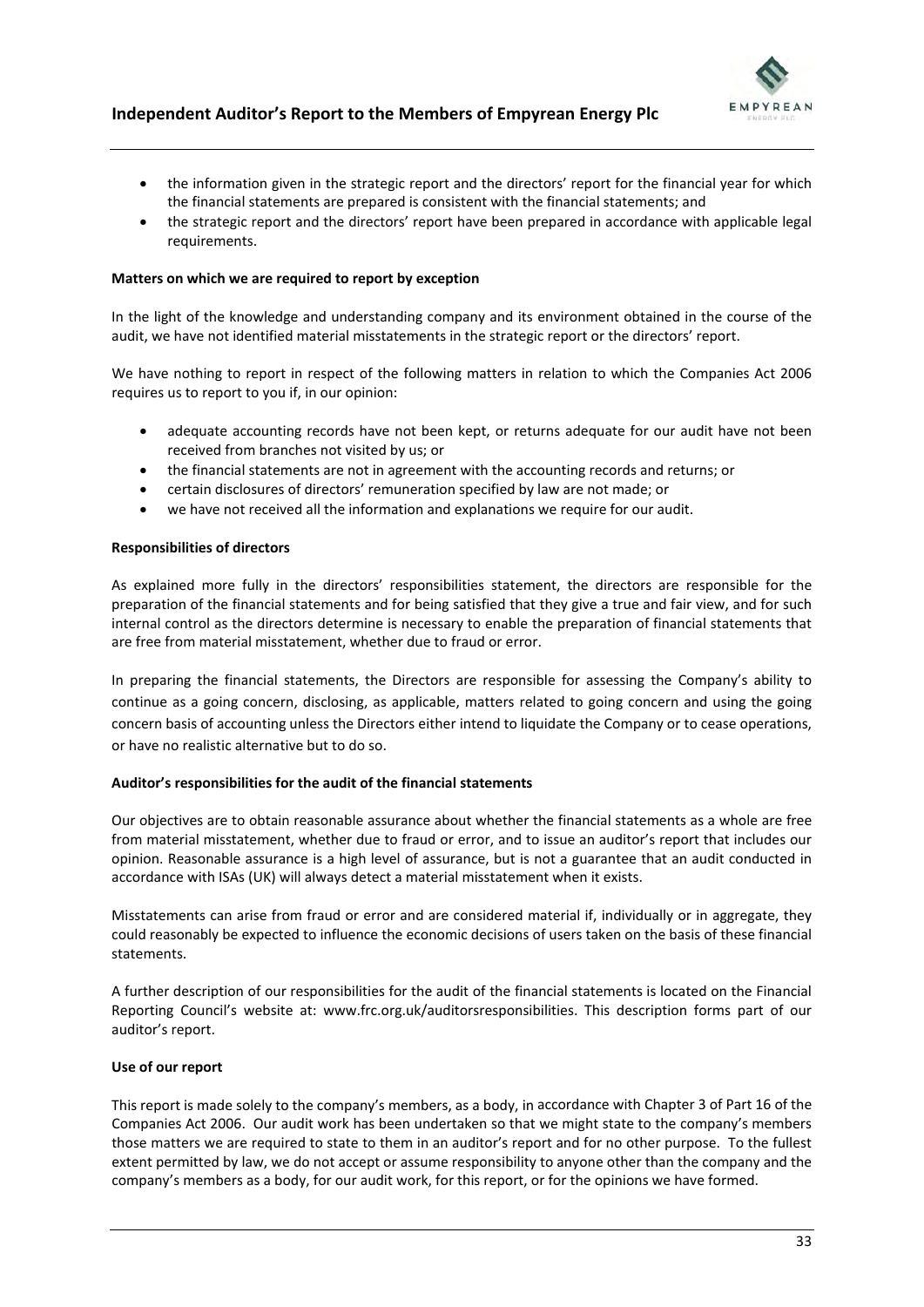

## **Independent Auditor's Report to the Members of Empyrean Energy Plc**

- the information given in the strategic report and the directors' report for the financial year for which the financial statements are prepared is consistent with the financial statements; and
- the strategic report and the directors' report have been prepared in accordance with applicable legal requirements.

#### **Matters on which we are required to report by exception**

In the light of the knowledge and understanding company and its environment obtained in the course of the audit, we have not identified material misstatements in the strategic report or the directors' report.

We have nothing to report in respect of the following matters in relation to which the Companies Act 2006 requires us to report to you if, in our opinion:

- adequate accounting records have not been kept, or returns adequate for our audit have not been received from branches not visited by us; or
- the financial statements are not in agreement with the accounting records and returns; or
- certain disclosures of directors' remuneration specified by law are not made; or
- we have not received all the information and explanations we require for our audit.

#### **Responsibilities of directors**

As explained more fully in the directors' responsibilities statement, the directors are responsible for the preparation of the financial statements and for being satisfied that they give a true and fair view, and for such internal control as the directors determine is necessary to enable the preparation of financial statements that are free from material misstatement, whether due to fraud or error.

In preparing the financial statements, the Directors are responsible for assessing the Company's ability to continue as a going concern, disclosing, as applicable, matters related to going concern and using the going concern basis of accounting unless the Directors either intend to liquidate the Company or to cease operations, or have no realistic alternative but to do so.

#### **Auditor's responsibilities for the audit of the financial statements**

Our objectives are to obtain reasonable assurance about whether the financial statements as a whole are free from material misstatement, whether due to fraud or error, and to issue an auditor's report that includes our opinion. Reasonable assurance is a high level of assurance, but is not a guarantee that an audit conducted in accordance with ISAs (UK) will always detect a material misstatement when it exists.

Misstatements can arise from fraud or error and are considered material if, individually or in aggregate, they could reasonably be expected to influence the economic decisions of users taken on the basis of these financial statements.

A further description of our responsibilities for the audit of the financial statements is located on the Financial Reporting Council's website at: www.frc.org.uk/auditorsresponsibilities. This description forms part of our auditor's report.

#### **Use of our report**

This report is made solely to the company's members, as a body, in accordance with Chapter 3 of Part 16 of the Companies Act 2006. Our audit work has been undertaken so that we might state to the company's members those matters we are required to state to them in an auditor's report and for no other purpose. To the fullest extent permitted by law, we do not accept or assume responsibility to anyone other than the company and the company's members as a body, for our audit work, for this report, or for the opinions we have formed.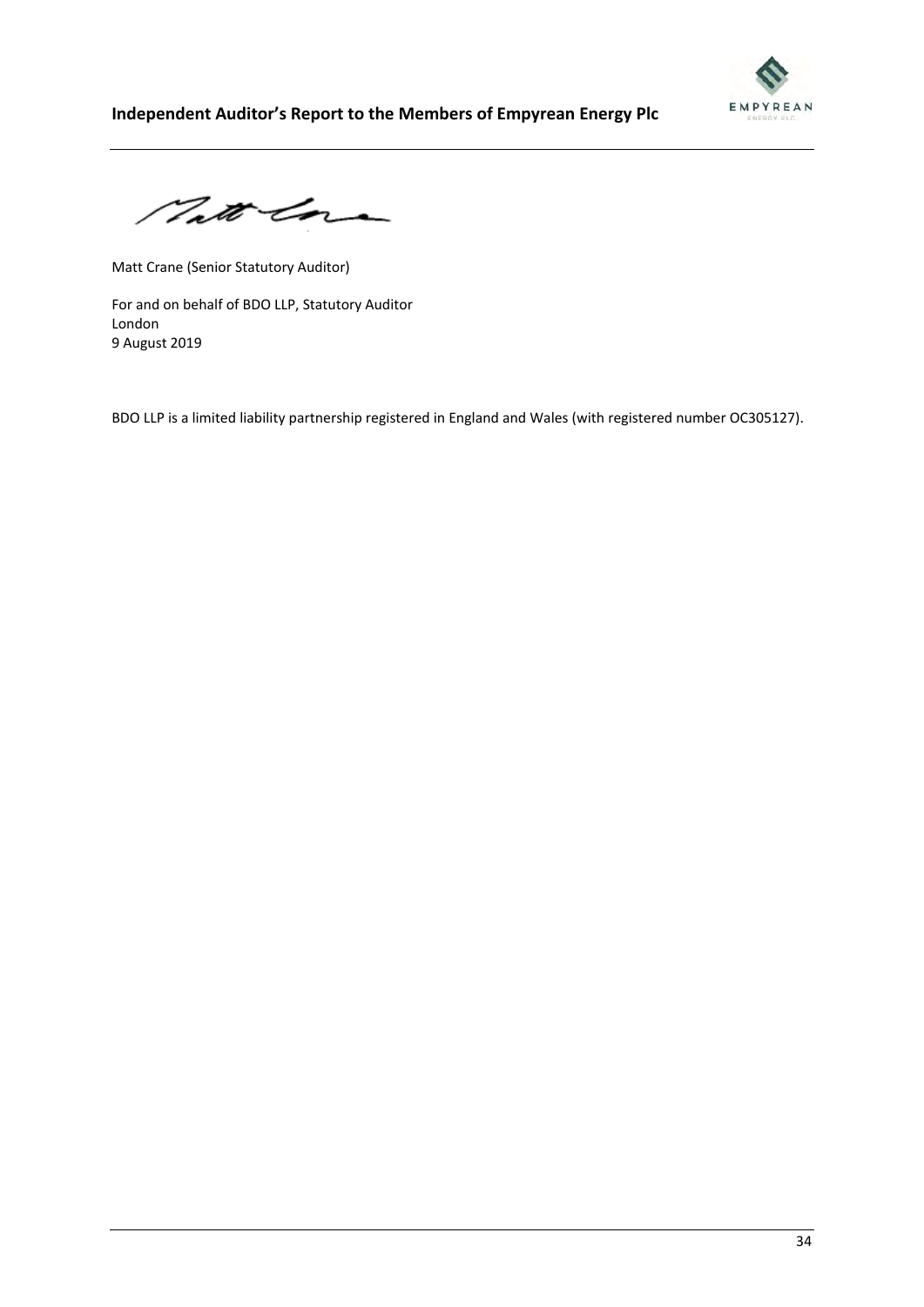

Matt In

Matt Crane (Senior Statutory Auditor) For and on behalf of BDO LLP, Statutory Auditor London 9 August 2019

BDO LLP is a limited liability partnership registered in England and Wales (with registered number OC305127).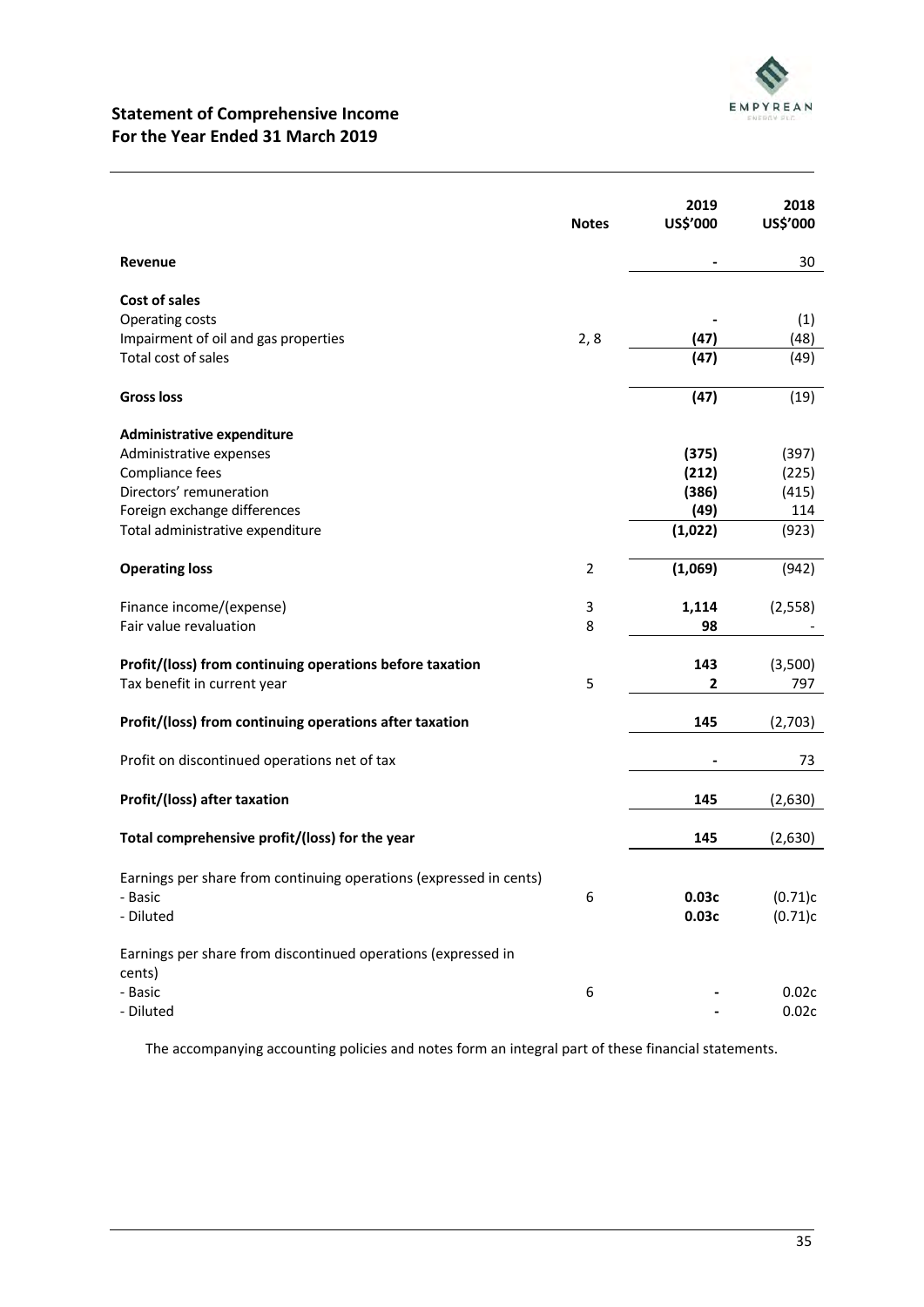

|                                                                                         | <b>Notes</b>   | 2019<br>US\$'000    | 2018<br>US\$'000 |
|-----------------------------------------------------------------------------------------|----------------|---------------------|------------------|
| Revenue                                                                                 |                |                     | 30               |
| Cost of sales                                                                           |                |                     |                  |
| Operating costs                                                                         |                |                     | (1)              |
| Impairment of oil and gas properties<br>Total cost of sales                             | 2,8            | (47)<br>(47)        | (48)<br>(49)     |
|                                                                                         |                |                     |                  |
| <b>Gross loss</b>                                                                       |                | (47)                | (19)             |
| Administrative expenditure                                                              |                |                     |                  |
| Administrative expenses                                                                 |                | (375)               | (397)            |
| Compliance fees                                                                         |                | (212)               | (225)            |
| Directors' remuneration                                                                 |                | (386)               | (415)            |
| Foreign exchange differences                                                            |                | (49)                | 114              |
| Total administrative expenditure                                                        |                | (1,022)             | (923)            |
| <b>Operating loss</b>                                                                   | $\overline{2}$ | (1,069)             | (942)            |
| Finance income/(expense)                                                                | 3              | 1,114               | (2, 558)         |
| Fair value revaluation                                                                  | 8              | 98                  |                  |
|                                                                                         |                |                     |                  |
| Profit/(loss) from continuing operations before taxation<br>Tax benefit in current year | 5              | 143<br>$\mathbf{2}$ | (3,500)<br>797   |
|                                                                                         |                |                     |                  |
| Profit/(loss) from continuing operations after taxation                                 |                | 145                 | (2,703)          |
| Profit on discontinued operations net of tax                                            |                |                     | 73               |
| Profit/(loss) after taxation                                                            |                | 145                 | (2,630)          |
| Total comprehensive profit/(loss) for the year                                          |                | 145                 | (2,630)          |
|                                                                                         |                |                     |                  |
| Earnings per share from continuing operations (expressed in cents)                      |                |                     |                  |
| - Basic                                                                                 | 6              | 0.03c               | (0.71)c          |
| - Diluted                                                                               |                | 0.03c               | (0.71)c          |
| Earnings per share from discontinued operations (expressed in<br>cents)                 |                |                     |                  |
| - Basic                                                                                 | 6              |                     | 0.02c            |
| - Diluted                                                                               |                |                     | 0.02c            |

The accompanying accounting policies and notes form an integral part of these financial statements.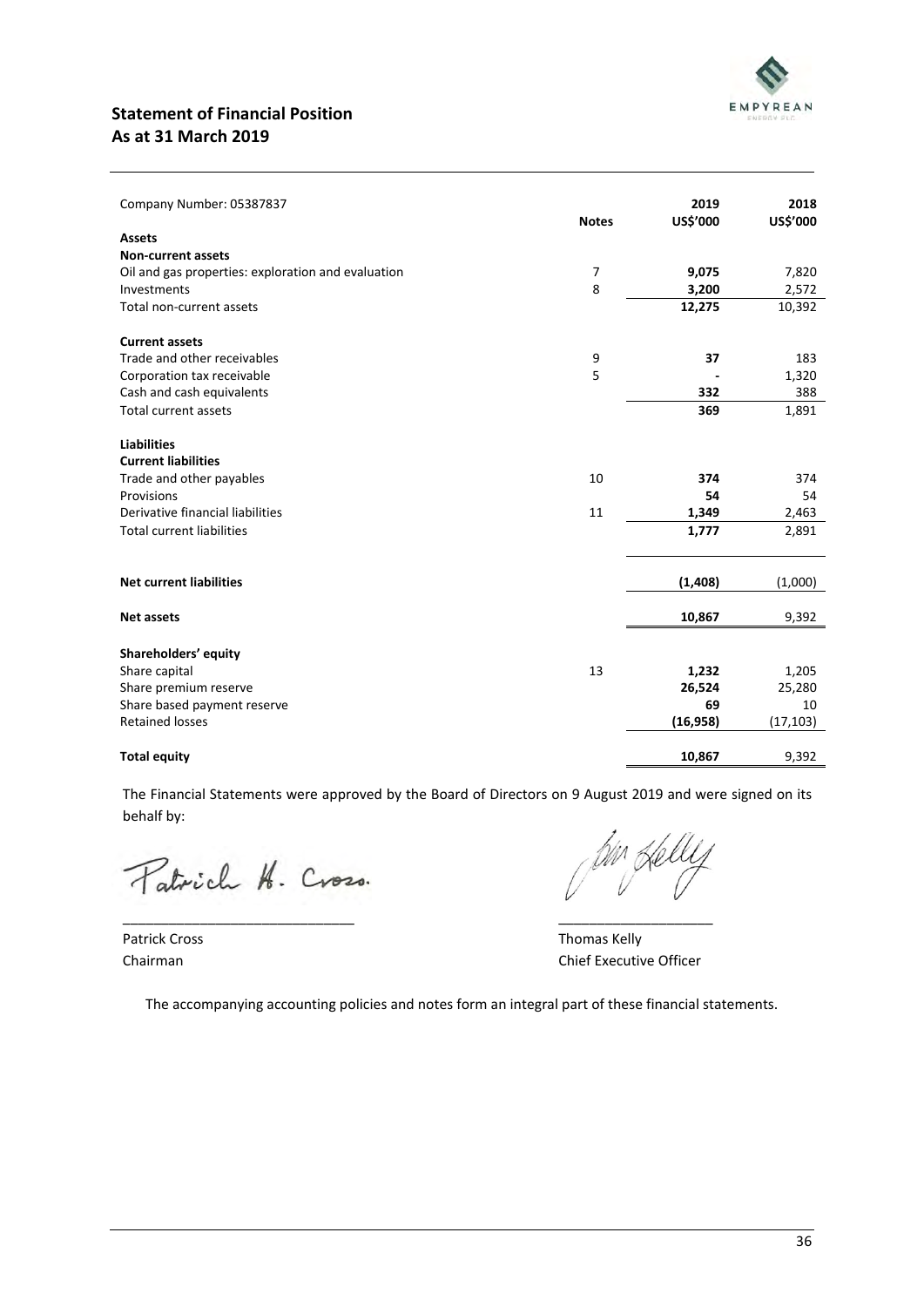

## **Statement of Financial Position As at 31 March 2019**

| Company Number: 05387837<br><b>Assets</b>          | <b>Notes</b> | 2019<br>US\$'000 | 2018<br>US\$'000 |
|----------------------------------------------------|--------------|------------------|------------------|
| <b>Non-current assets</b>                          |              |                  |                  |
| Oil and gas properties: exploration and evaluation | 7            | 9,075            | 7,820            |
| Investments                                        | 8            | 3,200            | 2,572            |
| Total non-current assets                           |              | 12,275           | 10,392           |
|                                                    |              |                  |                  |
| <b>Current assets</b>                              |              |                  |                  |
| Trade and other receivables                        | 9            | 37               | 183              |
| Corporation tax receivable                         | 5            |                  | 1,320            |
| Cash and cash equivalents                          |              | 332              | 388              |
| <b>Total current assets</b>                        |              | 369              | 1,891            |
| <b>Liabilities</b><br><b>Current liabilities</b>   |              |                  |                  |
| Trade and other payables                           | 10           | 374              | 374              |
| Provisions                                         |              | 54               | 54               |
| Derivative financial liabilities                   | 11           | 1,349            | 2,463            |
| <b>Total current liabilities</b>                   |              | 1,777            | 2,891            |
|                                                    |              |                  |                  |
| <b>Net current liabilities</b>                     |              | (1,408)          | (1,000)          |
| <b>Net assets</b>                                  |              | 10,867           | 9,392            |
| Shareholders' equity                               |              |                  |                  |
| Share capital                                      | 13           | 1,232            | 1,205            |
| Share premium reserve                              |              | 26,524           | 25,280           |
| Share based payment reserve                        |              | 69               | 10               |
| <b>Retained losses</b>                             |              | (16, 958)        | (17, 103)        |
|                                                    |              |                  |                  |
| <b>Total equity</b>                                |              | 10,867           | 9,392            |

The Financial Statements were approved by the Board of Directors on 9 August 2019 and were signed on its behalf by:

Patrick Cross **Thomas Kelly** Chairman Chief Executive Officer

The accompanying accounting policies and notes form an integral part of these financial statements.

\_\_\_\_\_\_\_\_\_\_\_\_\_\_\_\_\_\_\_\_\_\_\_\_\_\_\_\_\_\_ \_\_\_\_\_\_\_\_\_\_\_\_\_\_\_\_\_\_\_\_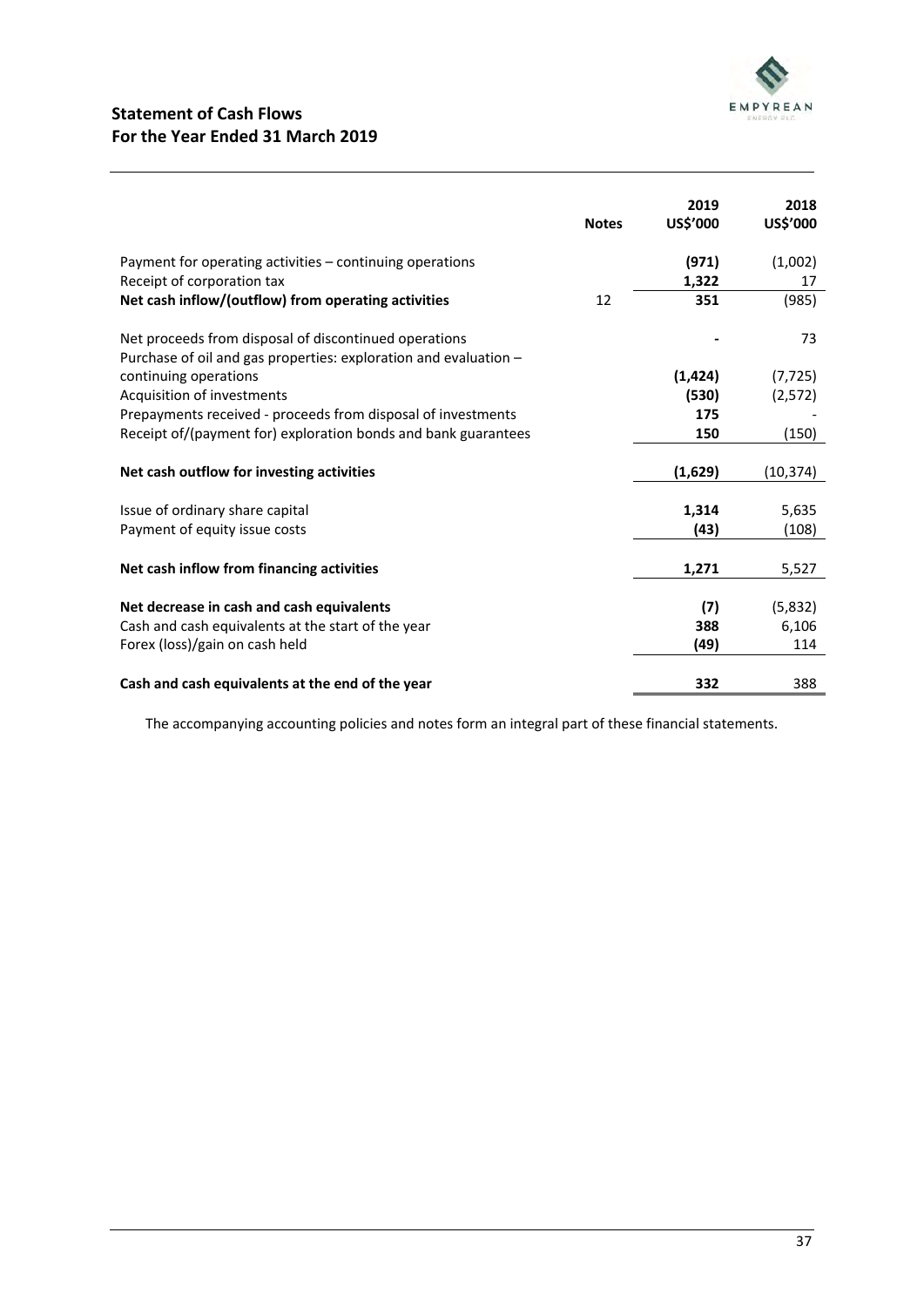

## **Statement of Cash Flows For the Year Ended 31 March 2019**

|                                                                  | <b>Notes</b> | 2019<br>US\$'000 | 2018<br><b>US\$'000</b> |
|------------------------------------------------------------------|--------------|------------------|-------------------------|
| Payment for operating activities – continuing operations         |              | (971)            | (1,002)                 |
| Receipt of corporation tax                                       |              | 1,322            | 17                      |
| Net cash inflow/(outflow) from operating activities              | 12           | 351              | (985)                   |
| Net proceeds from disposal of discontinued operations            |              |                  | 73                      |
| Purchase of oil and gas properties: exploration and evaluation - |              |                  |                         |
| continuing operations                                            |              | (1, 424)         | (7, 725)                |
| Acquisition of investments                                       |              | (530)            | (2, 572)                |
| Prepayments received - proceeds from disposal of investments     |              | 175              |                         |
| Receipt of/(payment for) exploration bonds and bank guarantees   |              | 150              | (150)                   |
|                                                                  |              |                  |                         |
| Net cash outflow for investing activities                        |              | (1,629)          | (10, 374)               |
|                                                                  |              |                  |                         |
| Issue of ordinary share capital                                  |              | 1,314            | 5,635                   |
| Payment of equity issue costs                                    |              | (43)             | (108)                   |
|                                                                  |              |                  |                         |
| Net cash inflow from financing activities                        |              | 1,271            | 5,527                   |
|                                                                  |              |                  |                         |
| Net decrease in cash and cash equivalents                        |              | (7)              | (5,832)                 |
| Cash and cash equivalents at the start of the year               |              | 388              | 6,106                   |
| Forex (loss)/gain on cash held                                   |              | (49)             | 114                     |
|                                                                  |              |                  |                         |
| Cash and cash equivalents at the end of the year                 |              | 332              | 388                     |

The accompanying accounting policies and notes form an integral part of these financial statements.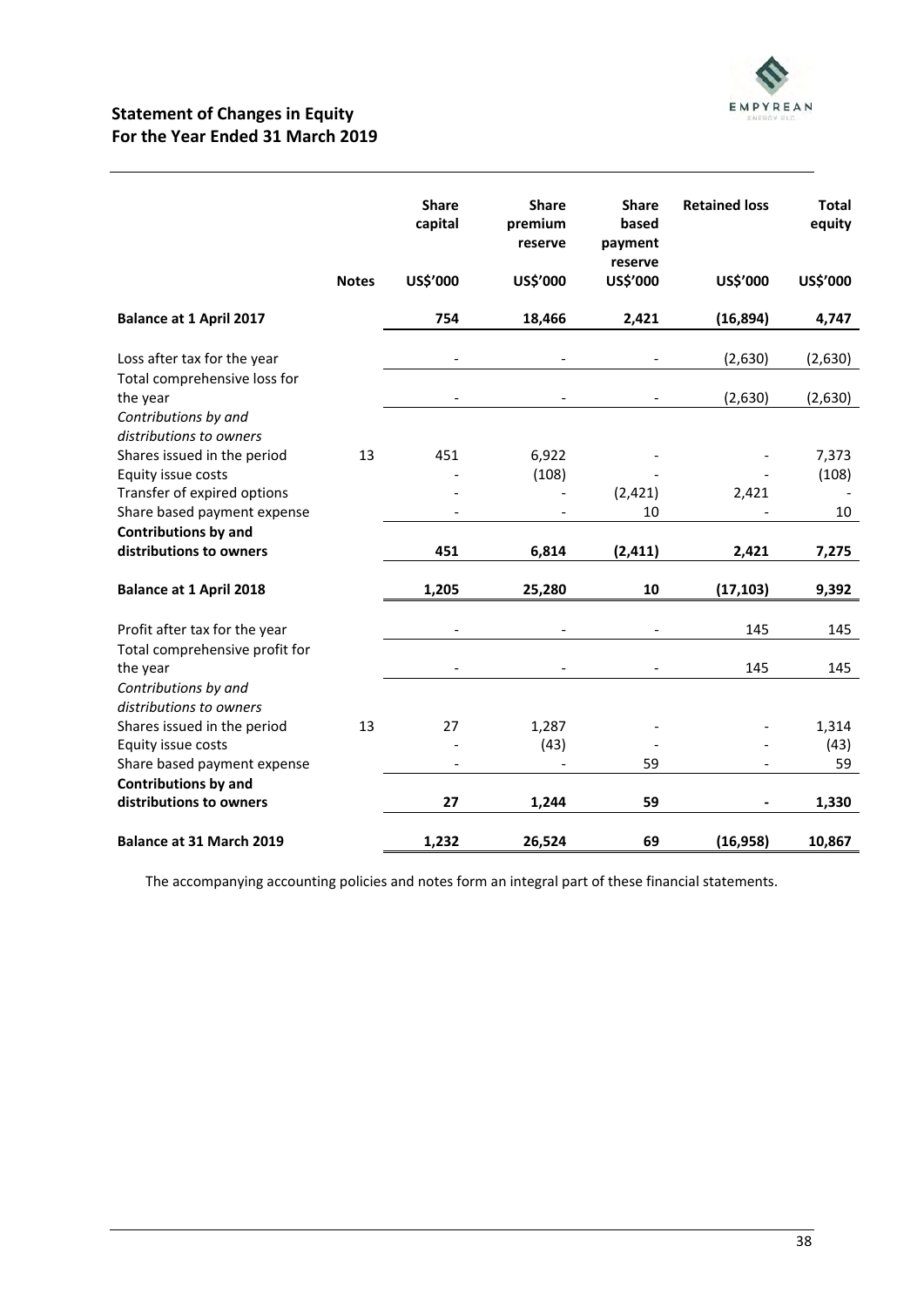

## **Statement of Changes in Equity For the Year Ended 31 March 2019**

|                                                 |              | <b>Share</b><br>capital | <b>Share</b><br>premium<br>reserve | <b>Share</b><br>based<br>payment | <b>Retained loss</b> | <b>Total</b><br>equity |
|-------------------------------------------------|--------------|-------------------------|------------------------------------|----------------------------------|----------------------|------------------------|
|                                                 | <b>Notes</b> | US\$'000                | US\$'000                           | reserve<br>US\$'000              | US\$'000             | US\$'000               |
| <b>Balance at 1 April 2017</b>                  |              | 754                     | 18,466                             | 2,421                            | (16, 894)            | 4,747                  |
| Loss after tax for the year                     |              |                         |                                    |                                  | (2,630)              | (2,630)                |
| Total comprehensive loss for<br>the year        |              |                         |                                    |                                  | (2,630)              | (2,630)                |
| Contributions by and<br>distributions to owners |              |                         |                                    |                                  |                      |                        |
| Shares issued in the period                     | 13           | 451                     | 6,922                              |                                  |                      | 7,373                  |
| Equity issue costs                              |              |                         | (108)                              |                                  |                      | (108)                  |
| Transfer of expired options                     |              |                         |                                    | (2,421)                          | 2,421                |                        |
| Share based payment expense                     |              |                         |                                    | 10                               |                      | 10                     |
| <b>Contributions by and</b>                     |              |                         |                                    |                                  |                      |                        |
| distributions to owners                         |              | 451                     | 6,814                              | (2, 411)                         | 2,421                | 7,275                  |
| <b>Balance at 1 April 2018</b>                  |              | 1,205                   | 25,280                             | 10                               | (17, 103)            | 9,392                  |
| Profit after tax for the year                   |              |                         |                                    |                                  | 145                  | 145                    |
| Total comprehensive profit for<br>the year      |              |                         |                                    |                                  | 145                  | 145                    |
| Contributions by and<br>distributions to owners |              |                         |                                    |                                  |                      |                        |
| Shares issued in the period                     | 13           | 27                      | 1,287                              |                                  |                      | 1,314                  |
| Equity issue costs                              |              |                         | (43)                               |                                  |                      | (43)                   |
| Share based payment expense                     |              |                         |                                    | 59                               |                      | 59                     |
| <b>Contributions by and</b>                     |              |                         |                                    |                                  |                      |                        |
| distributions to owners                         |              | 27                      | 1,244                              | 59                               |                      | 1,330                  |
| Balance at 31 March 2019                        |              | 1,232                   | 26,524                             | 69                               | (16, 958)            | 10,867                 |

The accompanying accounting policies and notes form an integral part of these financial statements.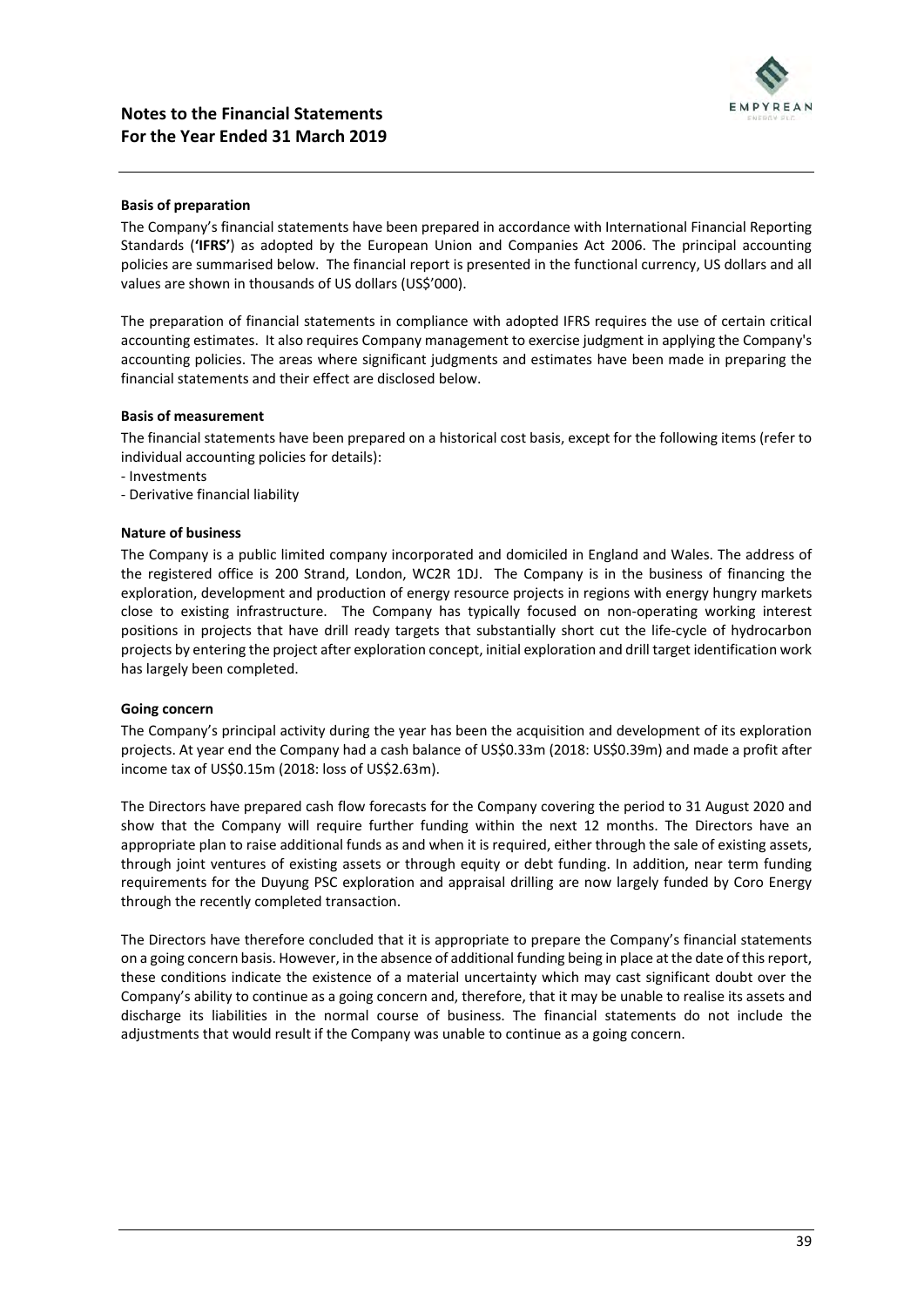

#### **Basis of preparation**

The Company's financial statements have been prepared in accordance with International Financial Reporting Standards (**'IFRS'**) as adopted by the European Union and Companies Act 2006. The principal accounting policies are summarised below. The financial report is presented in the functional currency, US dollars and all values are shown in thousands of US dollars (US\$'000).

The preparation of financial statements in compliance with adopted IFRS requires the use of certain critical accounting estimates. It also requires Company management to exercise judgment in applying the Company's accounting policies. The areas where significant judgments and estimates have been made in preparing the financial statements and their effect are disclosed below.

#### **Basis of measurement**

The financial statements have been prepared on a historical cost basis, except for the following items (refer to individual accounting policies for details):

- ‐ Investments
- ‐ Derivative financial liability

#### **Nature of business**

The Company is a public limited company incorporated and domiciled in England and Wales. The address of the registered office is 200 Strand, London, WC2R 1DJ. The Company is in the business of financing the exploration, development and production of energy resource projects in regions with energy hungry markets close to existing infrastructure. The Company has typically focused on non-operating working interest positions in projects that have drill ready targets that substantially short cut the life-cycle of hydrocarbon projects by entering the project after exploration concept, initial exploration and drill target identification work has largely been completed.

#### **Going concern**

The Company's principal activity during the year has been the acquisition and development of its exploration projects. At year end the Company had a cash balance of US\$0.33m (2018: US\$0.39m) and made a profit after income tax of US\$0.15m (2018: loss of US\$2.63m).

The Directors have prepared cash flow forecasts for the Company covering the period to 31 August 2020 and show that the Company will require further funding within the next 12 months. The Directors have an appropriate plan to raise additional funds as and when it is required, either through the sale of existing assets, through joint ventures of existing assets or through equity or debt funding. In addition, near term funding requirements for the Duyung PSC exploration and appraisal drilling are now largely funded by Coro Energy through the recently completed transaction.

The Directors have therefore concluded that it is appropriate to prepare the Company's financial statements on a going concern basis. However, in the absence of additional funding being in place at the date of this report, these conditions indicate the existence of a material uncertainty which may cast significant doubt over the Company's ability to continue as a going concern and, therefore, that it may be unable to realise its assets and discharge its liabilities in the normal course of business. The financial statements do not include the adjustments that would result if the Company was unable to continue as a going concern.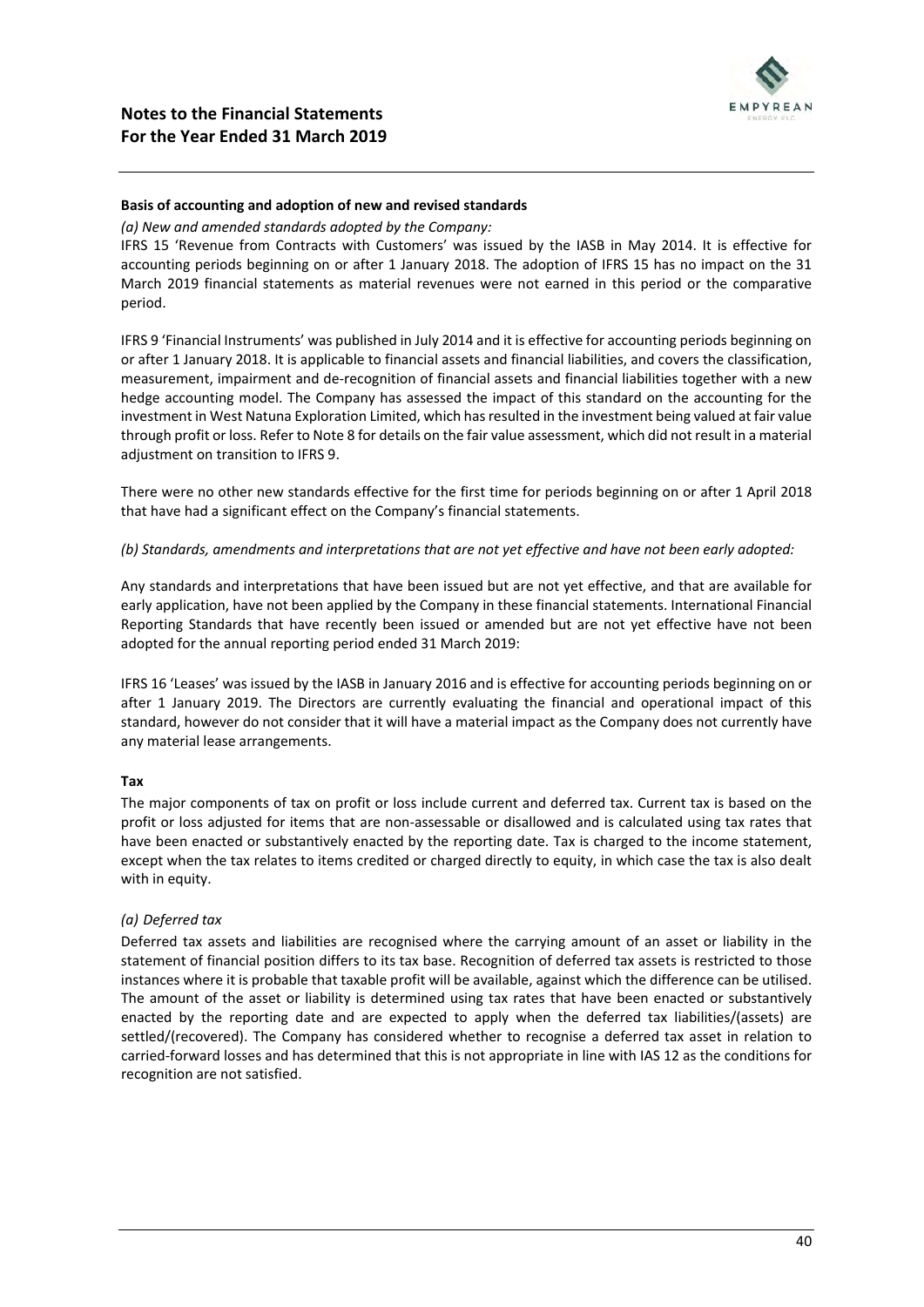

#### **Basis of accounting and adoption of new and revised standards**

#### *(a) New and amended standards adopted by the Company:*

IFRS 15 'Revenue from Contracts with Customers' was issued by the IASB in May 2014. It is effective for accounting periods beginning on or after 1 January 2018. The adoption of IFRS 15 has no impact on the 31 March 2019 financial statements as material revenues were not earned in this period or the comparative period.

IFRS 9 'Financial Instruments' was published in July 2014 and it is effective for accounting periods beginning on or after 1 January 2018. It is applicable to financial assets and financial liabilities, and covers the classification, measurement, impairment and de‐recognition of financial assets and financial liabilities together with a new hedge accounting model. The Company has assessed the impact of this standard on the accounting for the investment in West Natuna Exploration Limited, which has resulted in the investment being valued at fair value through profit or loss. Refer to Note 8 for details on the fair value assessment, which did not result in a material adjustment on transition to IFRS 9.

There were no other new standards effective for the first time for periods beginning on or after 1 April 2018 that have had a significant effect on the Company's financial statements.

#### *(b) Standards, amendments and interpretations that are not yet effective and have not been early adopted:*

Any standards and interpretations that have been issued but are not yet effective, and that are available for early application, have not been applied by the Company in these financial statements. International Financial Reporting Standards that have recently been issued or amended but are not yet effective have not been adopted for the annual reporting period ended 31 March 2019:

IFRS 16 'Leases' was issued by the IASB in January 2016 and is effective for accounting periods beginning on or after 1 January 2019. The Directors are currently evaluating the financial and operational impact of this standard, however do not consider that it will have a material impact as the Company does not currently have any material lease arrangements.

#### **Tax**

The major components of tax on profit or loss include current and deferred tax. Current tax is based on the profit or loss adjusted for items that are non‐assessable or disallowed and is calculated using tax rates that have been enacted or substantively enacted by the reporting date. Tax is charged to the income statement, except when the tax relates to items credited or charged directly to equity, in which case the tax is also dealt with in equity.

#### *(a) Deferred tax*

Deferred tax assets and liabilities are recognised where the carrying amount of an asset or liability in the statement of financial position differs to its tax base. Recognition of deferred tax assets is restricted to those instances where it is probable that taxable profit will be available, against which the difference can be utilised. The amount of the asset or liability is determined using tax rates that have been enacted or substantively enacted by the reporting date and are expected to apply when the deferred tax liabilities/(assets) are settled/(recovered). The Company has considered whether to recognise a deferred tax asset in relation to carried‐forward losses and has determined that this is not appropriate in line with IAS 12 as the conditions for recognition are not satisfied.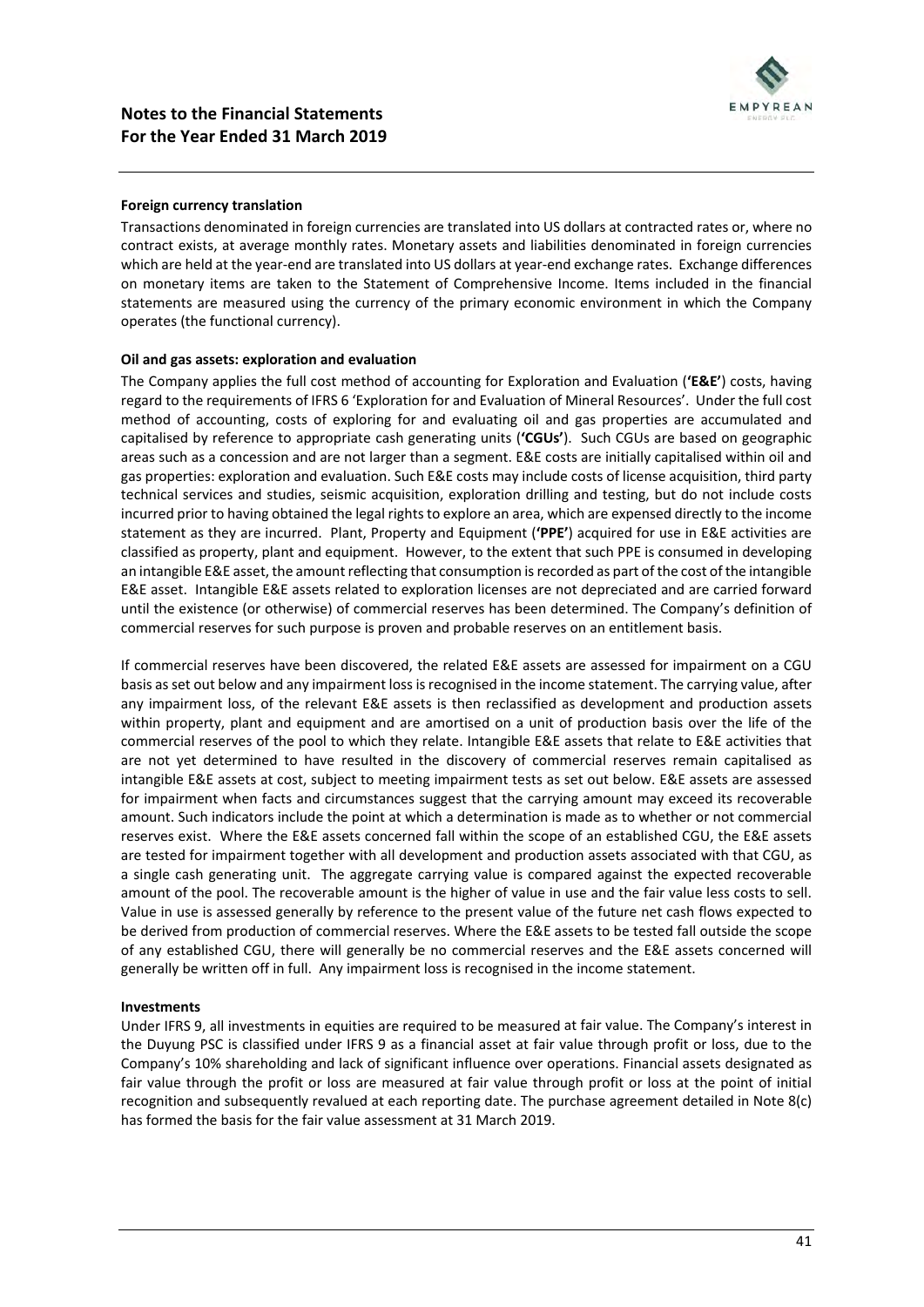

#### **Foreign currency translation**

Transactions denominated in foreign currencies are translated into US dollars at contracted rates or, where no contract exists, at average monthly rates. Monetary assets and liabilities denominated in foreign currencies which are held at the year‐end are translated into US dollars at year‐end exchange rates. Exchange differences on monetary items are taken to the Statement of Comprehensive Income. Items included in the financial statements are measured using the currency of the primary economic environment in which the Company operates (the functional currency).

#### **Oil and gas assets: exploration and evaluation**

The Company applies the full cost method of accounting for Exploration and Evaluation (**'E&E'**) costs, having regard to the requirements of IFRS 6 'Exploration for and Evaluation of Mineral Resources'. Under the full cost method of accounting, costs of exploring for and evaluating oil and gas properties are accumulated and capitalised by reference to appropriate cash generating units (**'CGUs'**). Such CGUs are based on geographic areas such as a concession and are not larger than a segment. E&E costs are initially capitalised within oil and gas properties: exploration and evaluation. Such E&E costs may include costs of license acquisition, third party technical services and studies, seismic acquisition, exploration drilling and testing, but do not include costs incurred prior to having obtained the legal rights to explore an area, which are expensed directly to the income statement as they are incurred. Plant, Property and Equipment (**'PPE'**) acquired for use in E&E activities are classified as property, plant and equipment. However, to the extent that such PPE is consumed in developing an intangible E&E asset, the amount reflecting that consumption is recorded as part of the cost of the intangible E&E asset. Intangible E&E assets related to exploration licenses are not depreciated and are carried forward until the existence (or otherwise) of commercial reserves has been determined. The Company's definition of commercial reserves for such purpose is proven and probable reserves on an entitlement basis.

If commercial reserves have been discovered, the related E&E assets are assessed for impairment on a CGU basis as set out below and any impairment loss is recognised in the income statement. The carrying value, after any impairment loss, of the relevant E&E assets is then reclassified as development and production assets within property, plant and equipment and are amortised on a unit of production basis over the life of the commercial reserves of the pool to which they relate. Intangible E&E assets that relate to E&E activities that are not yet determined to have resulted in the discovery of commercial reserves remain capitalised as intangible E&E assets at cost, subject to meeting impairment tests as set out below. E&E assets are assessed for impairment when facts and circumstances suggest that the carrying amount may exceed its recoverable amount. Such indicators include the point at which a determination is made as to whether or not commercial reserves exist. Where the E&E assets concerned fall within the scope of an established CGU, the E&E assets are tested for impairment together with all development and production assets associated with that CGU, as a single cash generating unit. The aggregate carrying value is compared against the expected recoverable amount of the pool. The recoverable amount is the higher of value in use and the fair value less costs to sell. Value in use is assessed generally by reference to the present value of the future net cash flows expected to be derived from production of commercial reserves. Where the E&E assets to be tested fall outside the scope of any established CGU, there will generally be no commercial reserves and the E&E assets concerned will generally be written off in full. Any impairment loss is recognised in the income statement.

#### **Investments**

Under IFRS 9, all investments in equities are required to be measured at fair value. The Company's interest in the Duyung PSC is classified under IFRS 9 as a financial asset at fair value through profit or loss, due to the Company's 10% shareholding and lack of significant influence over operations. Financial assets designated as fair value through the profit or loss are measured at fair value through profit or loss at the point of initial recognition and subsequently revalued at each reporting date. The purchase agreement detailed in Note 8(c) has formed the basis for the fair value assessment at 31 March 2019.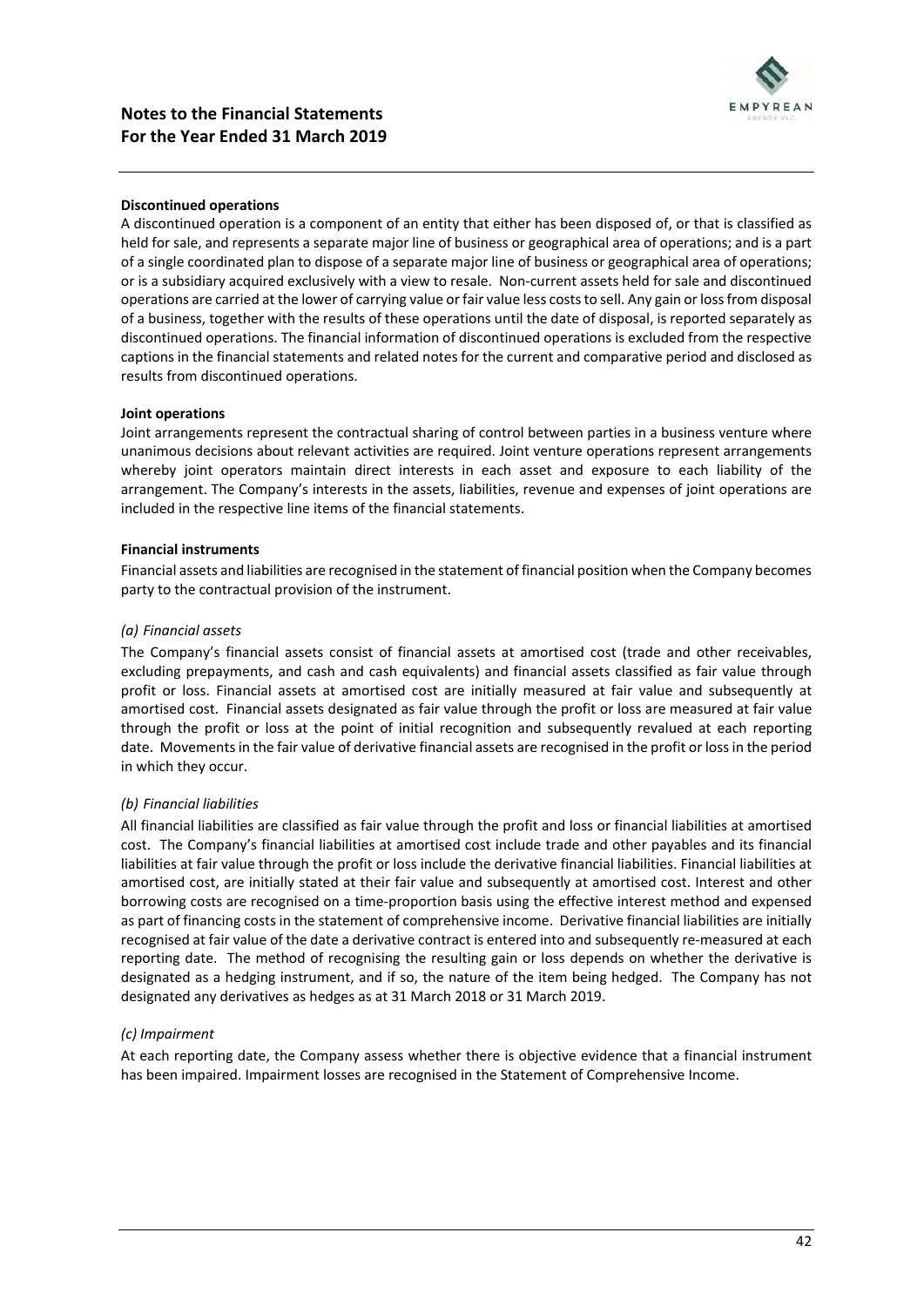

#### **Discontinued operations**

A discontinued operation is a component of an entity that either has been disposed of, or that is classified as held for sale, and represents a separate major line of business or geographical area of operations; and is a part of a single coordinated plan to dispose of a separate major line of business or geographical area of operations; or is a subsidiary acquired exclusively with a view to resale. Non‐current assets held for sale and discontinued operations are carried at the lower of carrying value or fair value less costs to sell. Any gain or loss from disposal of a business, together with the results of these operations until the date of disposal, is reported separately as discontinued operations. The financial information of discontinued operations is excluded from the respective captions in the financial statements and related notes for the current and comparative period and disclosed as results from discontinued operations.

#### **Joint operations**

Joint arrangements represent the contractual sharing of control between parties in a business venture where unanimous decisions about relevant activities are required. Joint venture operations represent arrangements whereby ioint operators maintain direct interests in each asset and exposure to each liability of the arrangement. The Company's interests in the assets, liabilities, revenue and expenses of joint operations are included in the respective line items of the financial statements.

#### **Financial instruments**

Financial assets and liabilities are recognised in the statement of financial position when the Company becomes party to the contractual provision of the instrument.

#### *(a) Financial assets*

The Company's financial assets consist of financial assets at amortised cost (trade and other receivables, excluding prepayments, and cash and cash equivalents) and financial assets classified as fair value through profit or loss. Financial assets at amortised cost are initially measured at fair value and subsequently at amortised cost. Financial assets designated as fair value through the profit or loss are measured at fair value through the profit or loss at the point of initial recognition and subsequently revalued at each reporting date. Movements in the fair value of derivative financial assets are recognised in the profit or loss in the period in which they occur.

#### *(b) Financial liabilities*

All financial liabilities are classified as fair value through the profit and loss or financial liabilities at amortised cost. The Company's financial liabilities at amortised cost include trade and other payables and its financial liabilities at fair value through the profit or loss include the derivative financial liabilities. Financial liabilities at amortised cost, are initially stated at their fair value and subsequently at amortised cost. Interest and other borrowing costs are recognised on a time‐proportion basis using the effective interest method and expensed as part of financing costs in the statement of comprehensive income. Derivative financial liabilities are initially recognised at fair value of the date a derivative contract is entered into and subsequently re‐measured at each reporting date. The method of recognising the resulting gain or loss depends on whether the derivative is designated as a hedging instrument, and if so, the nature of the item being hedged. The Company has not designated any derivatives as hedges as at 31 March 2018 or 31 March 2019.

#### *(c) Impairment*

At each reporting date, the Company assess whether there is objective evidence that a financial instrument has been impaired. Impairment losses are recognised in the Statement of Comprehensive Income.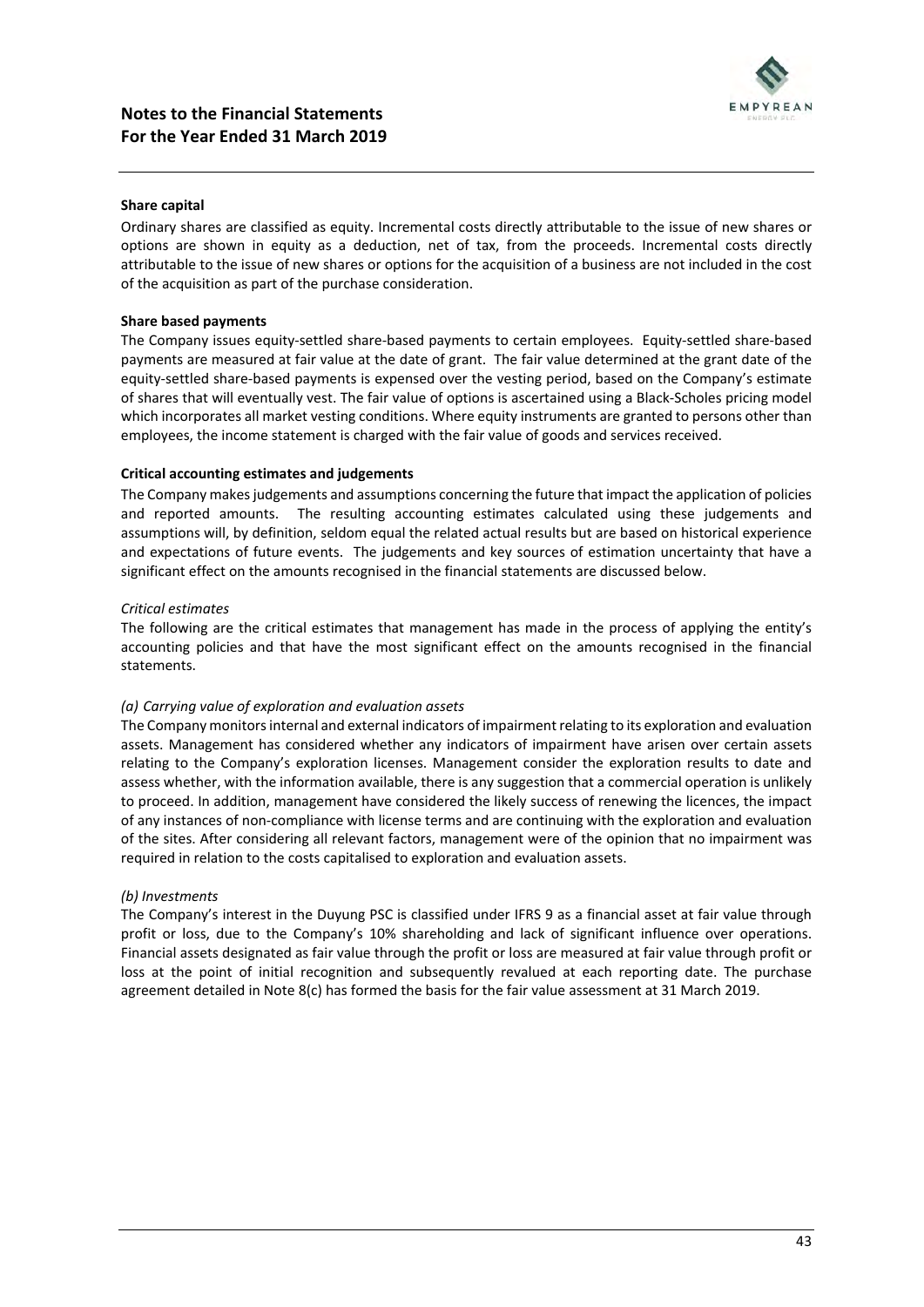

#### **Share capital**

Ordinary shares are classified as equity. Incremental costs directly attributable to the issue of new shares or options are shown in equity as a deduction, net of tax, from the proceeds. Incremental costs directly attributable to the issue of new shares or options for the acquisition of a business are not included in the cost of the acquisition as part of the purchase consideration.

#### **Share based payments**

The Company issues equity‐settled share‐based payments to certain employees. Equity‐settled share‐based payments are measured at fair value at the date of grant. The fair value determined at the grant date of the equity-settled share-based payments is expensed over the vesting period, based on the Company's estimate of shares that will eventually vest. The fair value of options is ascertained using a Black‐Scholes pricing model which incorporates all market vesting conditions. Where equity instruments are granted to persons other than employees, the income statement is charged with the fair value of goods and services received.

#### **Critical accounting estimates and judgements**

The Company makes judgements and assumptions concerning the future that impact the application of policies and reported amounts. The resulting accounting estimates calculated using these judgements and assumptions will, by definition, seldom equal the related actual results but are based on historical experience and expectations of future events. The judgements and key sources of estimation uncertainty that have a significant effect on the amounts recognised in the financial statements are discussed below.

#### *Critical estimates*

The following are the critical estimates that management has made in the process of applying the entity's accounting policies and that have the most significant effect on the amounts recognised in the financial statements.

#### *(a) Carrying value of exploration and evaluation assets*

The Company monitors internal and external indicators of impairment relating to its exploration and evaluation assets. Management has considered whether any indicators of impairment have arisen over certain assets relating to the Company's exploration licenses. Management consider the exploration results to date and assess whether, with the information available, there is any suggestion that a commercial operation is unlikely to proceed. In addition, management have considered the likely success of renewing the licences, the impact of any instances of non‐compliance with license terms and are continuing with the exploration and evaluation of the sites. After considering all relevant factors, management were of the opinion that no impairment was required in relation to the costs capitalised to exploration and evaluation assets.

#### *(b) Investments*

The Company's interest in the Duyung PSC is classified under IFRS 9 as a financial asset at fair value through profit or loss, due to the Company's 10% shareholding and lack of significant influence over operations. Financial assets designated as fair value through the profit or loss are measured at fair value through profit or loss at the point of initial recognition and subsequently revalued at each reporting date. The purchase agreement detailed in Note 8(c) has formed the basis for the fair value assessment at 31 March 2019.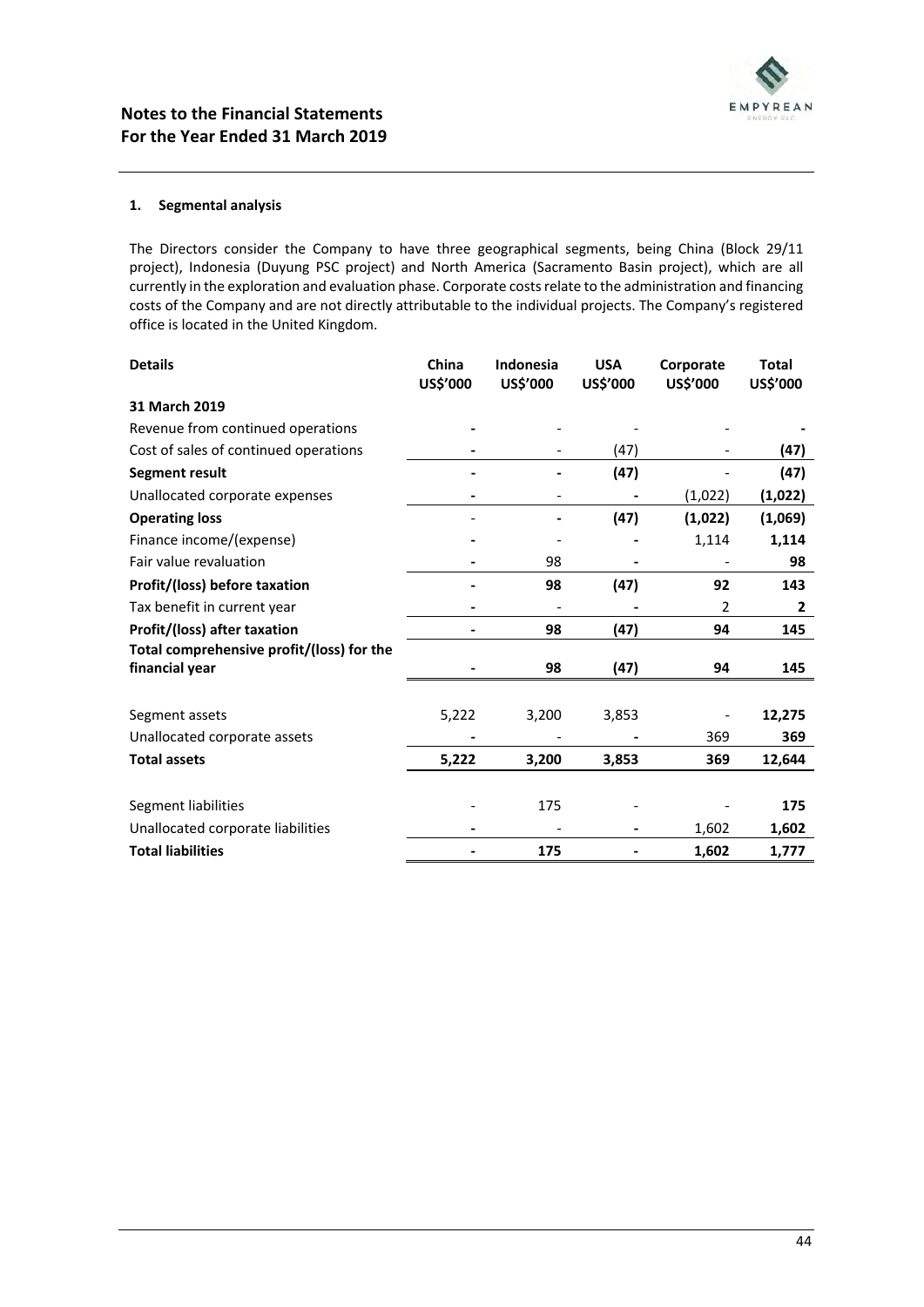

#### **1. Segmental analysis**

The Directors consider the Company to have three geographical segments, being China (Block 29/11 project), Indonesia (Duyung PSC project) and North America (Sacramento Basin project), which are all currently in the exploration and evaluation phase. Corporate costs relate to the administration and financing costs of the Company and are not directly attributable to the individual projects. The Company's registered office is located in the United Kingdom.

| <b>Details</b>                                              | China<br>US\$'000 | <b>Indonesia</b><br>US\$'000 | <b>USA</b><br>US\$'000 | Corporate<br>US\$'000 | Total<br>US\$'000 |
|-------------------------------------------------------------|-------------------|------------------------------|------------------------|-----------------------|-------------------|
| 31 March 2019                                               |                   |                              |                        |                       |                   |
| Revenue from continued operations                           |                   |                              |                        |                       |                   |
| Cost of sales of continued operations                       |                   |                              | (47)                   |                       | (47)              |
| <b>Segment result</b>                                       |                   |                              | (47)                   |                       | (47)              |
| Unallocated corporate expenses                              |                   |                              |                        | (1,022)               | (1,022)           |
| <b>Operating loss</b>                                       |                   |                              | (47)                   | (1,022)               | (1,069)           |
| Finance income/(expense)                                    |                   |                              |                        | 1,114                 | 1,114             |
| Fair value revaluation                                      |                   | 98                           |                        |                       | 98                |
| Profit/(loss) before taxation                               |                   | 98                           | (47)                   | 92                    | 143               |
| Tax benefit in current year                                 |                   |                              |                        | 2                     | $\mathbf{2}$      |
| Profit/(loss) after taxation                                |                   | 98                           | (47)                   | 94                    | 145               |
| Total comprehensive profit/(loss) for the<br>financial year |                   | 98                           | (47)                   | 94                    | 145               |
|                                                             |                   |                              |                        |                       |                   |
| Segment assets                                              | 5,222             | 3,200                        | 3,853                  |                       | 12,275            |
| Unallocated corporate assets                                |                   |                              |                        | 369                   | 369               |
| <b>Total assets</b>                                         | 5,222             | 3,200                        | 3,853                  | 369                   | 12,644            |
|                                                             |                   |                              |                        |                       |                   |
| Segment liabilities                                         |                   | 175                          |                        |                       | 175               |
| Unallocated corporate liabilities                           |                   |                              |                        | 1,602                 | 1,602             |
| <b>Total liabilities</b>                                    |                   | 175                          |                        | 1,602                 | 1,777             |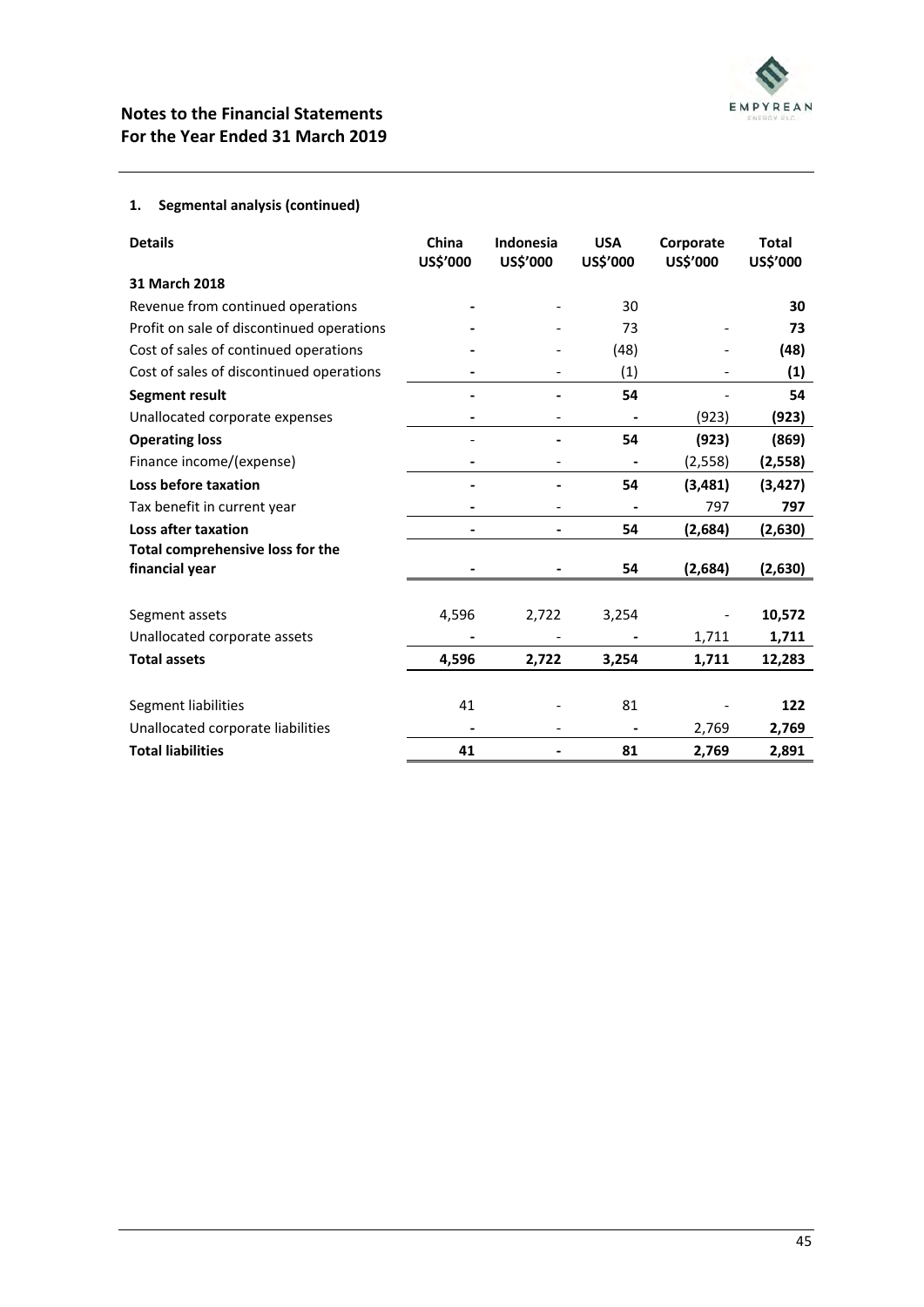

## **1. Segmental analysis (continued)**

| <b>Details</b>                            | China<br>US\$'000 | Indonesia<br>US\$'000 | <b>USA</b><br>US\$'000 | Corporate<br><b>US\$'000</b> | <b>Total</b><br>US\$'000 |
|-------------------------------------------|-------------------|-----------------------|------------------------|------------------------------|--------------------------|
| 31 March 2018                             |                   |                       |                        |                              |                          |
| Revenue from continued operations         |                   |                       | 30                     |                              | 30                       |
| Profit on sale of discontinued operations |                   |                       | 73                     |                              | 73                       |
| Cost of sales of continued operations     |                   |                       | (48)                   |                              | (48)                     |
| Cost of sales of discontinued operations  |                   |                       | (1)                    |                              | (1)                      |
| Segment result                            |                   |                       | 54                     |                              | 54                       |
| Unallocated corporate expenses            |                   |                       |                        | (923)                        | (923)                    |
| <b>Operating loss</b>                     |                   |                       | 54                     | (923)                        | (869)                    |
| Finance income/(expense)                  |                   |                       |                        | (2,558)                      | (2, 558)                 |
| Loss before taxation                      |                   |                       | 54                     | (3, 481)                     | (3, 427)                 |
| Tax benefit in current year               |                   |                       |                        | 797                          | 797                      |
| Loss after taxation                       |                   |                       | 54                     | (2,684)                      | (2,630)                  |
| Total comprehensive loss for the          |                   |                       |                        |                              |                          |
| financial year                            |                   |                       | 54                     | (2,684)                      | (2,630)                  |
|                                           |                   |                       |                        |                              |                          |
| Segment assets                            | 4,596             | 2,722                 | 3,254                  |                              | 10,572                   |
| Unallocated corporate assets              |                   |                       |                        | 1,711                        | 1,711                    |
| <b>Total assets</b>                       | 4,596             | 2,722                 | 3,254                  | 1,711                        | 12,283                   |
| Segment liabilities                       | 41                |                       | 81                     |                              | 122                      |
| Unallocated corporate liabilities         |                   |                       |                        | 2,769                        | 2,769                    |
| <b>Total liabilities</b>                  | 41                |                       | 81                     | 2,769                        | 2,891                    |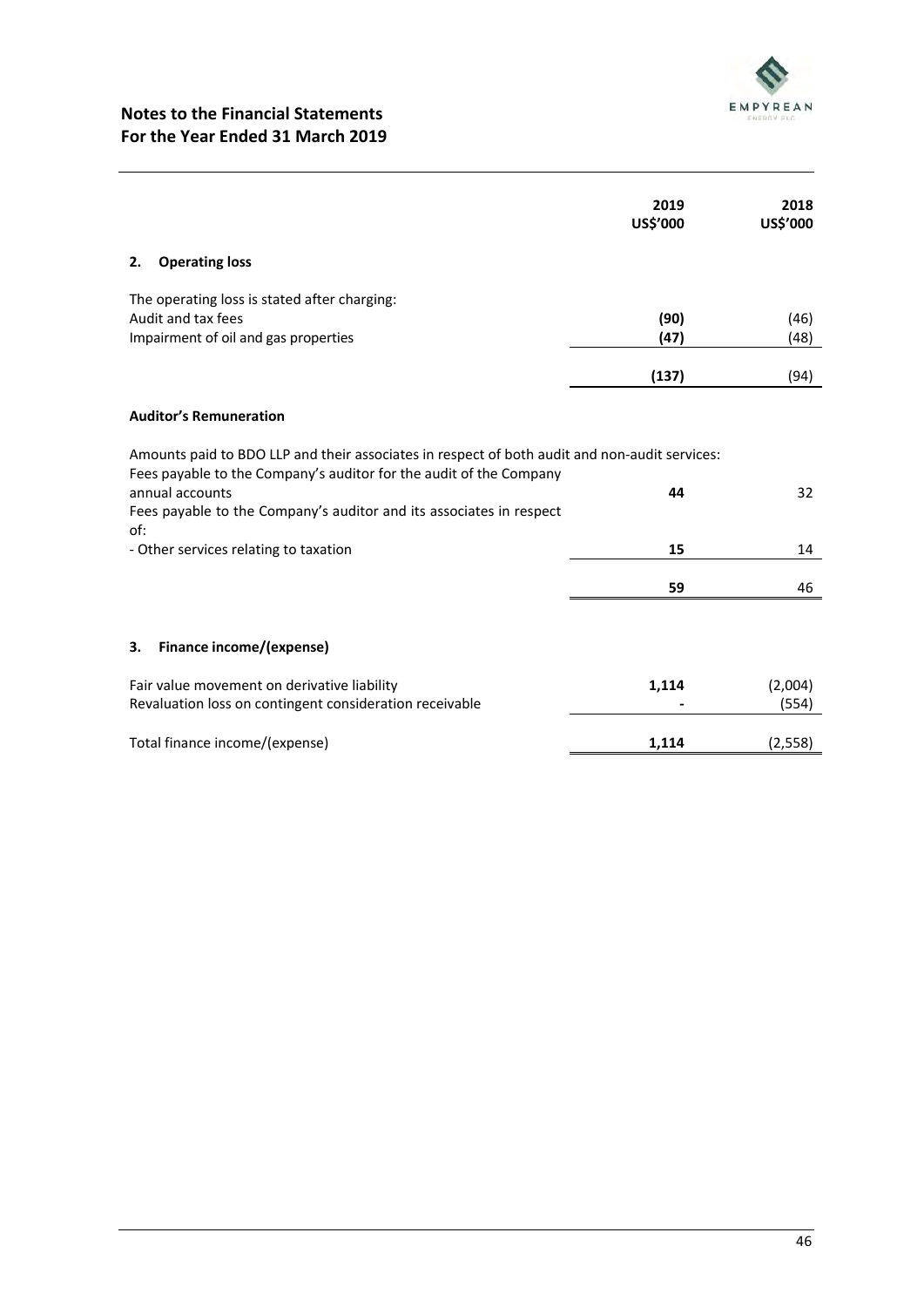

|                                                                                                                                                                     | 2019<br>US\$'000 | 2018<br>US\$'000 |
|---------------------------------------------------------------------------------------------------------------------------------------------------------------------|------------------|------------------|
| <b>Operating loss</b><br>2.                                                                                                                                         |                  |                  |
| The operating loss is stated after charging:                                                                                                                        |                  |                  |
| Audit and tax fees                                                                                                                                                  | (90)             | (46)             |
| Impairment of oil and gas properties                                                                                                                                | (47)             | (48)             |
|                                                                                                                                                                     | (137)            | (94)             |
| <b>Auditor's Remuneration</b>                                                                                                                                       |                  |                  |
|                                                                                                                                                                     |                  |                  |
| Amounts paid to BDO LLP and their associates in respect of both audit and non-audit services:<br>Fees payable to the Company's auditor for the audit of the Company |                  |                  |
| annual accounts                                                                                                                                                     | 44               | 32               |
| Fees payable to the Company's auditor and its associates in respect<br>of:                                                                                          |                  |                  |
| - Other services relating to taxation                                                                                                                               | 15               | 14               |
|                                                                                                                                                                     |                  |                  |
|                                                                                                                                                                     | 59               | 46               |
|                                                                                                                                                                     |                  |                  |
| Finance income/(expense)<br>3.                                                                                                                                      |                  |                  |
| Fair value movement on derivative liability                                                                                                                         | 1,114            | (2,004)          |
| Revaluation loss on contingent consideration receivable                                                                                                             |                  | (554)            |
|                                                                                                                                                                     |                  |                  |
| Total finance income/(expense)                                                                                                                                      | 1,114            | (2,558)          |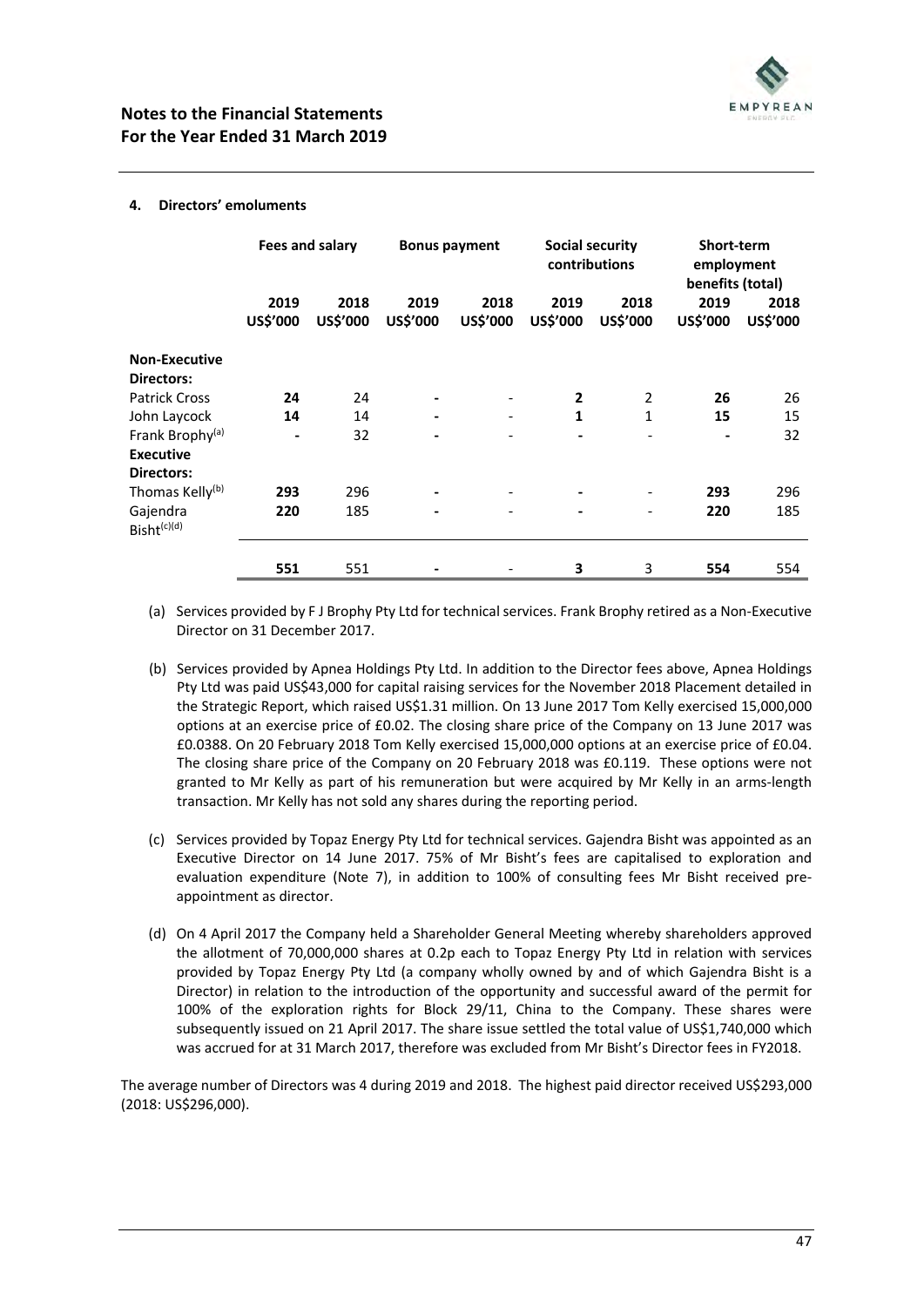

#### **4. Directors' emoluments**

|                                                                      |                         | Fees and salary  |                  | <b>Social security</b><br><b>Bonus payment</b><br>contributions |                  | Short-term<br>employment<br>benefits (total) |                  |                  |
|----------------------------------------------------------------------|-------------------------|------------------|------------------|-----------------------------------------------------------------|------------------|----------------------------------------------|------------------|------------------|
|                                                                      | 2019<br><b>US\$'000</b> | 2018<br>US\$'000 | 2019<br>US\$'000 | 2018<br>US\$'000                                                | 2019<br>US\$'000 | 2018<br>US\$'000                             | 2019<br>US\$'000 | 2018<br>US\$'000 |
| <b>Non-Executive</b><br><b>Directors:</b>                            |                         |                  |                  |                                                                 |                  |                                              |                  |                  |
| <b>Patrick Cross</b>                                                 | 24                      | 24               |                  |                                                                 | $\overline{2}$   | $\overline{2}$                               | 26               | 26               |
| John Laycock                                                         | 14                      | 14               |                  | Ξ.                                                              | 1                | 1                                            | 15               | 15               |
| Frank Brophy <sup>(a)</sup><br><b>Executive</b><br><b>Directors:</b> | $\overline{a}$          | 32               |                  |                                                                 |                  |                                              |                  | 32               |
| Thomas Kelly <sup>(b)</sup>                                          | 293                     | 296              |                  |                                                                 |                  |                                              | 293              | 296              |
| Gajendra<br>Bisht <sup>(c)(d)</sup>                                  | 220                     | 185              |                  |                                                                 |                  | $\overline{a}$                               | 220              | 185              |
|                                                                      | 551                     | 551              |                  |                                                                 | 3                | 3                                            | 554              | 554              |

(a) Services provided by F J Brophy Pty Ltd for technical services. Frank Brophy retired as a Non‐Executive Director on 31 December 2017.

- (b) Services provided by Apnea Holdings Pty Ltd. In addition to the Director fees above, Apnea Holdings Pty Ltd was paid US\$43,000 for capital raising services for the November 2018 Placement detailed in the Strategic Report, which raised US\$1.31 million. On 13 June 2017 Tom Kelly exercised 15,000,000 options at an exercise price of £0.02. The closing share price of the Company on 13 June 2017 was £0.0388. On 20 February 2018 Tom Kelly exercised 15,000,000 options at an exercise price of £0.04. The closing share price of the Company on 20 February 2018 was £0.119. These options were not granted to Mr Kelly as part of his remuneration but were acquired by Mr Kelly in an arms-length transaction. Mr Kelly has not sold any shares during the reporting period.
- (c) Services provided by Topaz Energy Pty Ltd for technical services. Gajendra Bisht was appointed as an Executive Director on 14 June 2017. 75% of Mr Bisht's fees are capitalised to exploration and evaluation expenditure (Note 7), in addition to 100% of consulting fees Mr Bisht received preappointment as director.
- (d) On 4 April 2017 the Company held a Shareholder General Meeting whereby shareholders approved the allotment of 70,000,000 shares at 0.2p each to Topaz Energy Pty Ltd in relation with services provided by Topaz Energy Pty Ltd (a company wholly owned by and of which Gajendra Bisht is a Director) in relation to the introduction of the opportunity and successful award of the permit for 100% of the exploration rights for Block 29/11, China to the Company. These shares were subsequently issued on 21 April 2017. The share issue settled the total value of US\$1,740,000 which was accrued for at 31 March 2017, therefore was excluded from Mr Bisht's Director fees in FY2018.

The average number of Directors was 4 during 2019 and 2018. The highest paid director received US\$293,000 (2018: US\$296,000).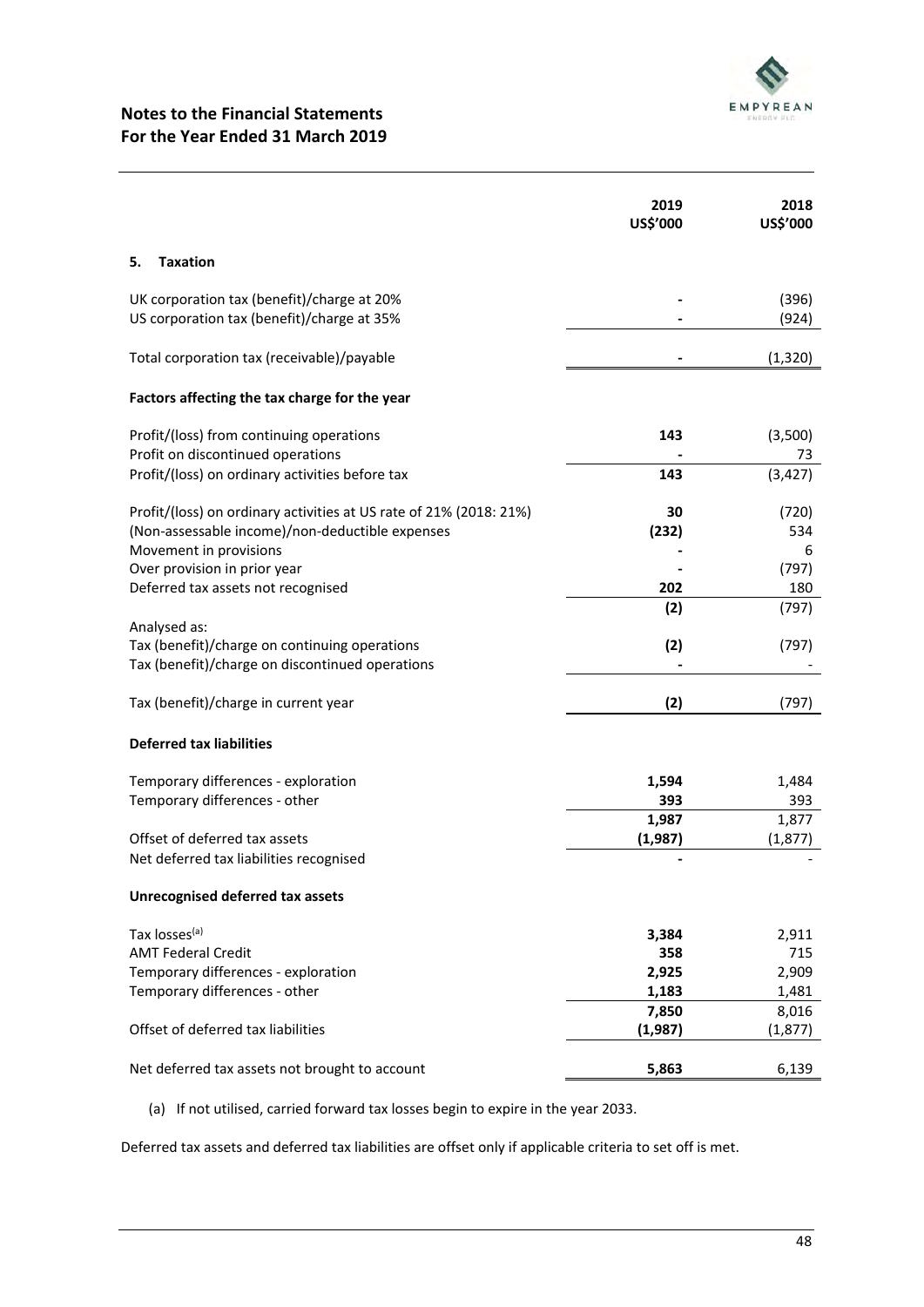

|                                                                                                                                                 | 2019<br>US\$'000               | 2018<br>US\$'000               |
|-------------------------------------------------------------------------------------------------------------------------------------------------|--------------------------------|--------------------------------|
| <b>Taxation</b><br>5.                                                                                                                           |                                |                                |
| UK corporation tax (benefit)/charge at 20%<br>US corporation tax (benefit)/charge at 35%                                                        |                                | (396)<br>(924)                 |
| Total corporation tax (receivable)/payable                                                                                                      |                                | (1, 320)                       |
| Factors affecting the tax charge for the year                                                                                                   |                                |                                |
| Profit/(loss) from continuing operations<br>Profit on discontinued operations                                                                   | 143                            | (3,500)<br>73                  |
| Profit/(loss) on ordinary activities before tax                                                                                                 | 143                            | (3, 427)                       |
| Profit/(loss) on ordinary activities at US rate of 21% (2018: 21%)<br>(Non-assessable income)/non-deductible expenses<br>Movement in provisions | 30<br>(232)                    | (720)<br>534<br>6              |
| Over provision in prior year<br>Deferred tax assets not recognised                                                                              | 202                            | (797)<br>180                   |
| Analysed as:<br>Tax (benefit)/charge on continuing operations<br>Tax (benefit)/charge on discontinued operations                                | (2)<br>(2)                     | (797)<br>(797)                 |
| Tax (benefit)/charge in current year                                                                                                            | (2)                            | (797)                          |
| <b>Deferred tax liabilities</b>                                                                                                                 |                                |                                |
| Temporary differences - exploration<br>Temporary differences - other                                                                            | 1,594<br>393                   | 1,484<br>393                   |
| Offset of deferred tax assets<br>Net deferred tax liabilities recognised                                                                        | 1,987<br>(1,987)               | 1,877<br>(1, 877)              |
| <b>Unrecognised deferred tax assets</b>                                                                                                         |                                |                                |
| Tax losses <sup>(a)</sup><br><b>AMT Federal Credit</b><br>Temporary differences - exploration<br>Temporary differences - other                  | 3,384<br>358<br>2,925<br>1,183 | 2,911<br>715<br>2,909<br>1,481 |
| Offset of deferred tax liabilities                                                                                                              | 7,850<br>(1,987)               | 8,016<br>(1, 877)              |
| Net deferred tax assets not brought to account                                                                                                  | 5,863                          | 6,139                          |

(a) If not utilised, carried forward tax losses begin to expire in the year 2033.

Deferred tax assets and deferred tax liabilities are offset only if applicable criteria to set off is met.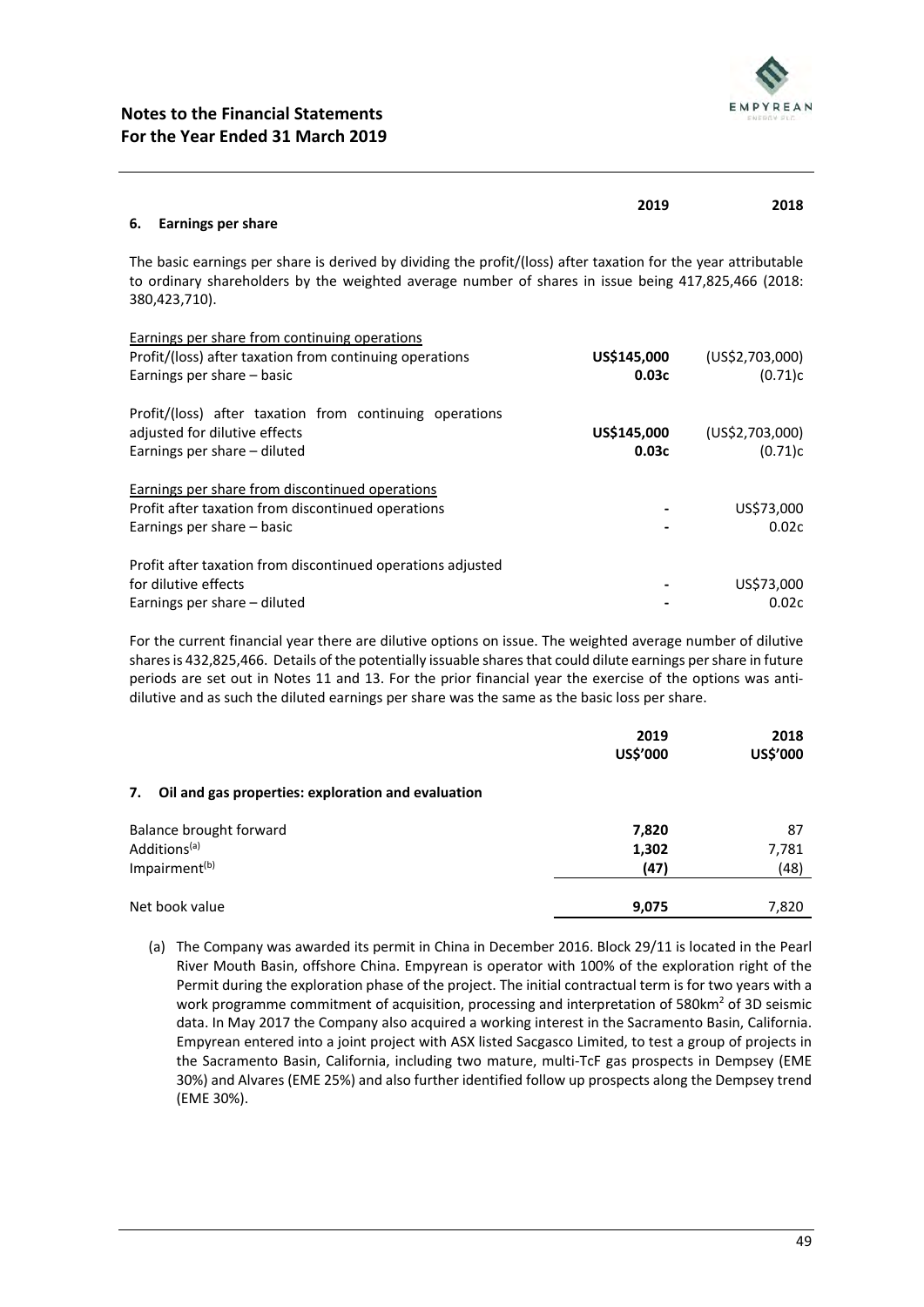

**2019 2018** 

| 6. Earnings per share                                                                                                                                                                                                                  |                             |                            |
|----------------------------------------------------------------------------------------------------------------------------------------------------------------------------------------------------------------------------------------|-----------------------------|----------------------------|
| The basic earnings per share is derived by dividing the profit/(loss) after taxation for the year attributable<br>to ordinary shareholders by the weighted average number of shares in issue being 417,825,466 (2018:<br>380,423,710). |                             |                            |
| <b>Earnings per share from continuing operations</b><br>Profit/(loss) after taxation from continuing operations<br>Earnings per share – basic                                                                                          | <b>US\$145,000</b><br>0.03c | (US\$2,703,000)<br>(0.71)c |
| Profit/(loss) after taxation from continuing operations<br>adjusted for dilutive effects<br>Earnings per share - diluted                                                                                                               | US\$145,000<br>0.03c        | (US\$2,703,000)<br>(0.71)c |
| <b>Earnings per share from discontinued operations</b><br>Profit after taxation from discontinued operations<br>Earnings per share – basic                                                                                             |                             | US\$73,000<br>0.02c        |
| Profit after taxation from discontinued operations adjusted<br>for dilutive effects<br>Earnings per share - diluted                                                                                                                    |                             | US\$73,000<br>0.02c        |

For the current financial year there are dilutive options on issue. The weighted average number of dilutive shares is 432,825,466. Details of the potentially issuable shares that could dilute earnings per share in future periods are set out in Notes 11 and 13. For the prior financial year the exercise of the options was antidilutive and as such the diluted earnings per share was the same as the basic loss per share.

|                                                          | 2019<br>US\$'000 | 2018<br>US\$'000 |
|----------------------------------------------------------|------------------|------------------|
| Oil and gas properties: exploration and evaluation<br>7. |                  |                  |
| Balance brought forward                                  | 7,820            | 87               |
| Additions <sup>(a)</sup>                                 | 1,302            | 7,781            |
| Impairment <sup>(b)</sup>                                | (47)             | (48)             |
| Net book value                                           | 9,075            | 7,820            |

(a) The Company was awarded its permit in China in December 2016. Block 29/11 is located in the Pearl River Mouth Basin, offshore China. Empyrean is operator with 100% of the exploration right of the Permit during the exploration phase of the project. The initial contractual term is for two years with a work programme commitment of acquisition, processing and interpretation of 580km<sup>2</sup> of 3D seismic data. In May 2017 the Company also acquired a working interest in the Sacramento Basin, California. Empyrean entered into a joint project with ASX listed Sacgasco Limited, to test a group of projects in the Sacramento Basin, California, including two mature, multi-TcF gas prospects in Dempsey (EME 30%) and Alvares (EME 25%) and also further identified follow up prospects along the Dempsey trend (EME 30%).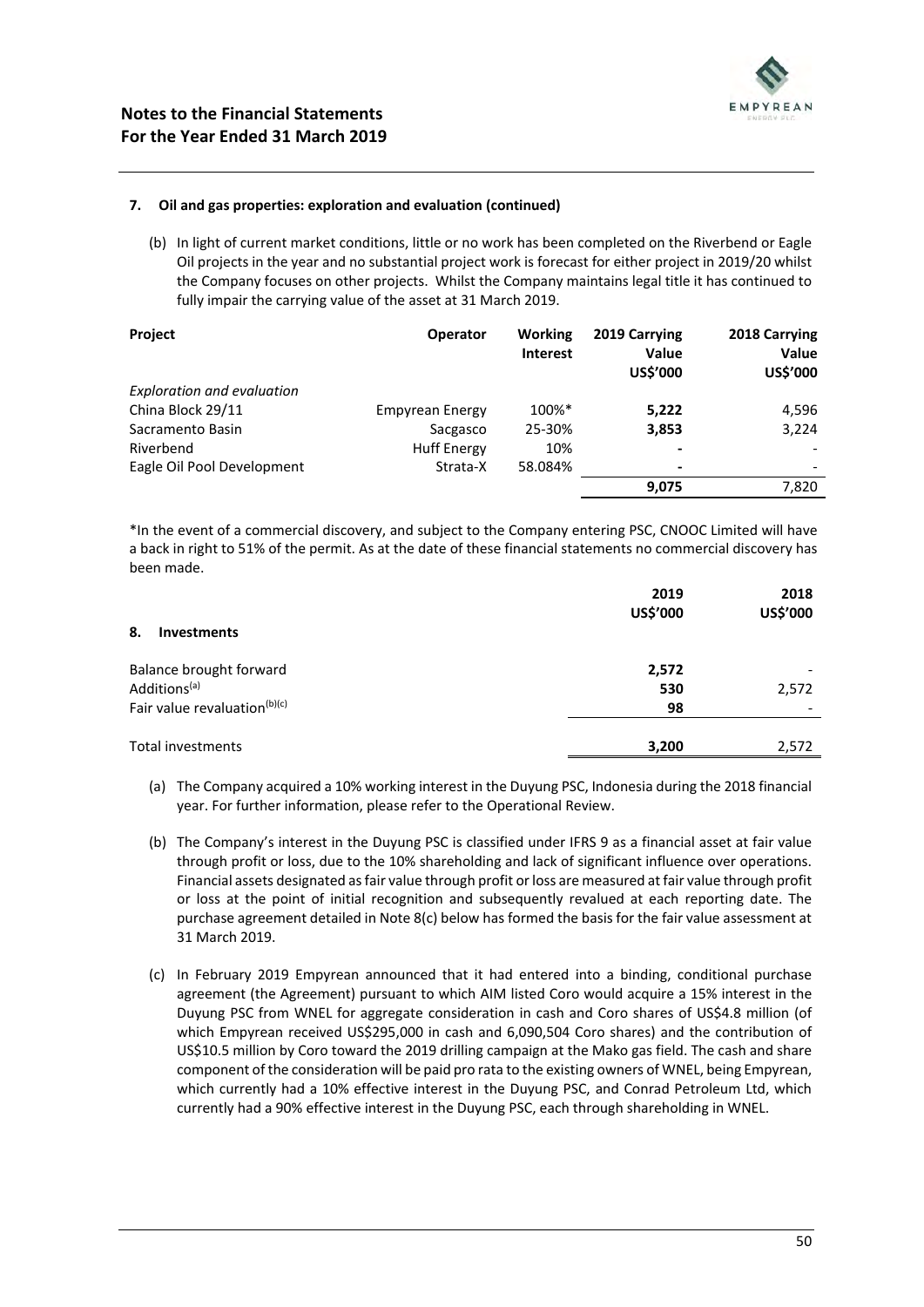

#### **7. Oil and gas properties: exploration and evaluation (continued)**

(b) In light of current market conditions, little or no work has been completed on the Riverbend or Eagle Oil projects in the year and no substantial project work is forecast for either project in 2019/20 whilst the Company focuses on other projects. Whilst the Company maintains legal title it has continued to fully impair the carrying value of the asset at 31 March 2019.

| Project                           | <b>Operator</b>    | Working<br><b>Interest</b> | 2019 Carrying<br>Value<br>US\$'000 | 2018 Carrying<br>Value<br>US\$'000 |
|-----------------------------------|--------------------|----------------------------|------------------------------------|------------------------------------|
| <b>Exploration and evaluation</b> |                    |                            |                                    |                                    |
| China Block 29/11                 | Empyrean Energy    | 100%*                      | 5,222                              | 4,596                              |
| Sacramento Basin                  | Sacgasco           | 25-30%                     | 3,853                              | 3,224                              |
| Riverbend                         | <b>Huff Energy</b> | 10%                        | ۰                                  |                                    |
| Eagle Oil Pool Development        | Strata-X           | 58.084%                    | $\overline{\phantom{0}}$           |                                    |
|                                   |                    |                            | 9,075                              | 7,820                              |

\*In the event of a commercial discovery, and subject to the Company entering PSC, CNOOC Limited will have a back in right to 51% of the permit. As at the date of these financial statements no commercial discovery has been made.

|                              | 2019<br>US\$'000 | 2018<br>US\$'000 |
|------------------------------|------------------|------------------|
| 8.<br><b>Investments</b>     |                  |                  |
| Balance brought forward      | 2,572            |                  |
| Additions <sup>(a)</sup>     | 530              | 2,572            |
| Fair value revaluation(b)(c) | 98               |                  |
|                              |                  |                  |
| Total investments            | 3,200            | 2,572            |

- (a) The Company acquired a 10% working interest in the Duyung PSC, Indonesia during the 2018 financial year. For further information, please refer to the Operational Review.
- (b) The Company's interest in the Duyung PSC is classified under IFRS 9 as a financial asset at fair value through profit or loss, due to the 10% shareholding and lack of significant influence over operations. Financial assets designated as fair value through profit or loss are measured at fair value through profit or loss at the point of initial recognition and subsequently revalued at each reporting date. The purchase agreement detailed in Note 8(c) below has formed the basis for the fair value assessment at 31 March 2019.
- (c) In February 2019 Empyrean announced that it had entered into a binding, conditional purchase agreement (the Agreement) pursuant to which AIM listed Coro would acquire a 15% interest in the Duyung PSC from WNEL for aggregate consideration in cash and Coro shares of US\$4.8 million (of which Empyrean received US\$295,000 in cash and 6,090,504 Coro shares) and the contribution of US\$10.5 million by Coro toward the 2019 drilling campaign at the Mako gas field. The cash and share component of the consideration will be paid pro rata to the existing owners of WNEL, being Empyrean, which currently had a 10% effective interest in the Duyung PSC, and Conrad Petroleum Ltd, which currently had a 90% effective interest in the Duyung PSC, each through shareholding in WNEL.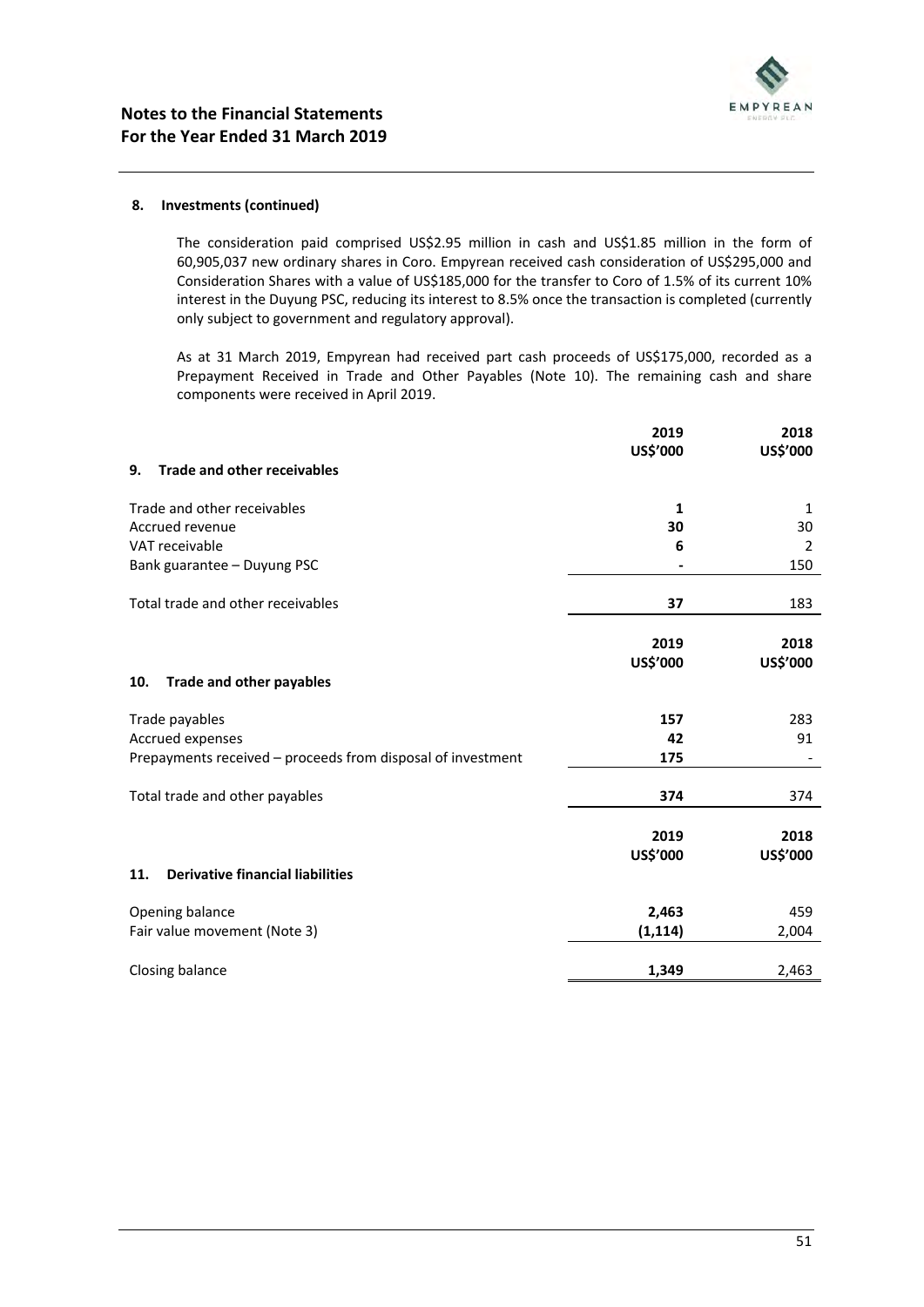

#### **8. Investments (continued)**

The consideration paid comprised US\$2.95 million in cash and US\$1.85 million in the form of 60,905,037 new ordinary shares in Coro. Empyrean received cash consideration of US\$295,000 and Consideration Shares with a value of US\$185,000 for the transfer to Coro of 1.5% of its current 10% interest in the Duyung PSC, reducing its interest to 8.5% once the transaction is completed (currently only subject to government and regulatory approval).

As at 31 March 2019, Empyrean had received part cash proceeds of US\$175,000, recorded as a Prepayment Received in Trade and Other Payables (Note 10). The remaining cash and share components were received in April 2019.

|                                                             | 2019     | 2018     |
|-------------------------------------------------------------|----------|----------|
|                                                             | US\$'000 | US\$'000 |
| <b>Trade and other receivables</b><br>9.                    |          |          |
| Trade and other receivables                                 | 1        | 1        |
| Accrued revenue                                             | 30       | 30       |
| VAT receivable                                              | 6        | 2        |
| Bank guarantee - Duyung PSC                                 |          | 150      |
| Total trade and other receivables                           | 37       | 183      |
|                                                             | 2019     | 2018     |
|                                                             | US\$'000 | US\$'000 |
| <b>Trade and other payables</b><br>10.                      |          |          |
| Trade payables                                              | 157      | 283      |
| Accrued expenses                                            | 42       | 91       |
| Prepayments received – proceeds from disposal of investment | 175      |          |
| Total trade and other payables                              | 374      | 374      |
|                                                             | 2019     | 2018     |
|                                                             | US\$'000 | US\$'000 |
| <b>Derivative financial liabilities</b><br>11.              |          |          |
| Opening balance                                             | 2,463    | 459      |
| Fair value movement (Note 3)                                | (1, 114) | 2,004    |
| Closing balance                                             | 1,349    | 2,463    |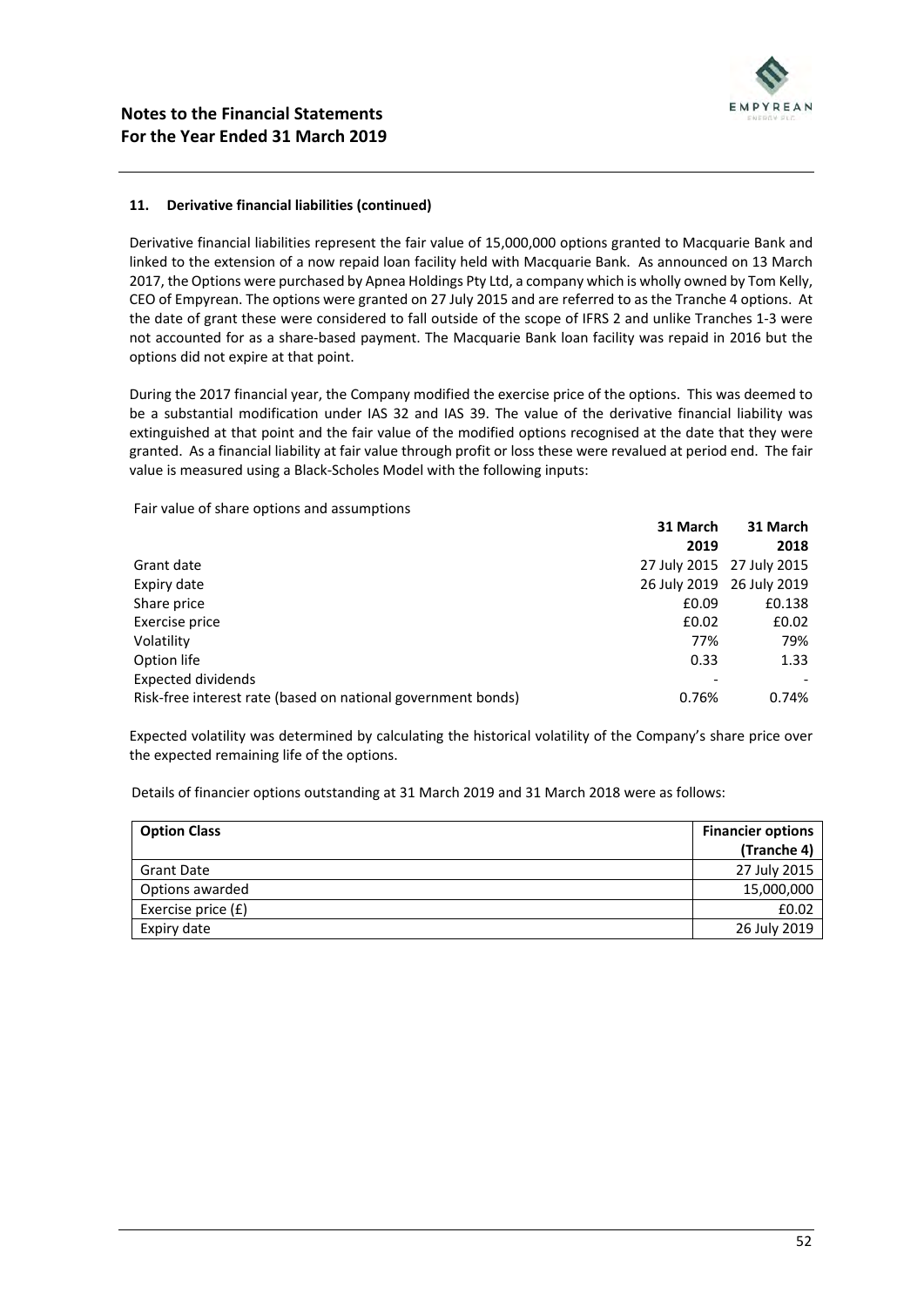

**31 March** 

#### **11. Derivative financial liabilities (continued)**

Derivative financial liabilities represent the fair value of 15,000,000 options granted to Macquarie Bank and linked to the extension of a now repaid loan facility held with Macquarie Bank. As announced on 13 March 2017, the Options were purchased by Apnea Holdings Pty Ltd, a company which is wholly owned by Tom Kelly, CEO of Empyrean. The options were granted on 27 July 2015 and are referred to as the Tranche 4 options. At the date of grant these were considered to fall outside of the scope of IFRS 2 and unlike Tranches 1‐3 were not accounted for as a share‐based payment. The Macquarie Bank loan facility was repaid in 2016 but the options did not expire at that point.

During the 2017 financial year, the Company modified the exercise price of the options. This was deemed to be a substantial modification under IAS 32 and IAS 39. The value of the derivative financial liability was extinguished at that point and the fair value of the modified options recognised at the date that they were granted. As a financial liability at fair value through profit or loss these were revalued at period end. The fair value is measured using a Black‐Scholes Model with the following inputs:

Fair value of share options and assumptions **by a state of share options** 

|                                                              | 31 March | 31 March                  |  |
|--------------------------------------------------------------|----------|---------------------------|--|
|                                                              | 2019     | 2018                      |  |
| Grant date                                                   |          | 27 July 2015 27 July 2015 |  |
| Expiry date                                                  |          | 26 July 2019 26 July 2019 |  |
| Share price                                                  | £0.09    | £0.138                    |  |
| Exercise price                                               | £0.02    | £0.02                     |  |
| Volatility                                                   | 77%      | 79%                       |  |
| Option life                                                  | 0.33     | 1.33                      |  |
| <b>Expected dividends</b>                                    |          |                           |  |
| Risk-free interest rate (based on national government bonds) | 0.76%    | 0.74%                     |  |

Expected volatility was determined by calculating the historical volatility of the Company's share price over the expected remaining life of the options.

Details of financier options outstanding at 31 March 2019 and 31 March 2018 were as follows:

| <b>Option Class</b> | <b>Financier options</b><br>(Tranche 4) |
|---------------------|-----------------------------------------|
| <b>Grant Date</b>   | 27 July 2015                            |
| Options awarded     | 15,000,000                              |
| Exercise price (£)  | £0.02                                   |
| Expiry date         | 26 July 2019                            |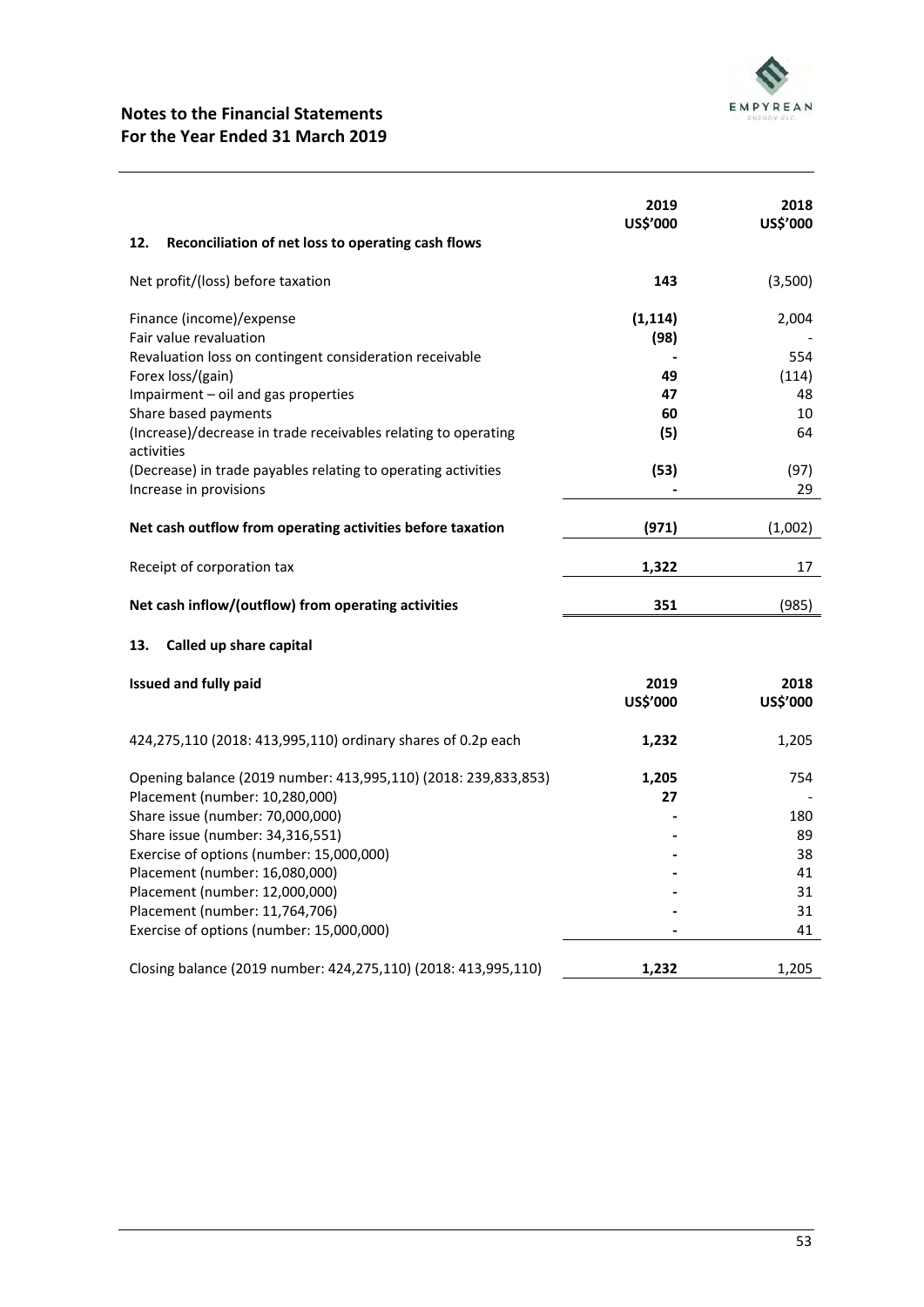

|                                                                                                       | 2019<br>US\$'000 | 2018<br>US\$'000 |
|-------------------------------------------------------------------------------------------------------|------------------|------------------|
| 12.<br>Reconciliation of net loss to operating cash flows                                             |                  |                  |
| Net profit/(loss) before taxation                                                                     | 143              | (3,500)          |
| Finance (income)/expense                                                                              | (1, 114)         | 2,004            |
| Fair value revaluation<br>Revaluation loss on contingent consideration receivable                     | (98)             | 554              |
| Forex loss/(gain)                                                                                     | 49               | (114)            |
| Impairment - oil and gas properties                                                                   | 47               | 48               |
| Share based payments                                                                                  | 60               | 10               |
| (Increase)/decrease in trade receivables relating to operating                                        | (5)              | 64               |
| activities<br>(Decrease) in trade payables relating to operating activities<br>Increase in provisions | (53)             | (97)<br>29       |
| Net cash outflow from operating activities before taxation                                            | (971)            | (1,002)          |
| Receipt of corporation tax                                                                            | 1,322            | 17               |
| Net cash inflow/(outflow) from operating activities                                                   | 351              | (985)            |
| Called up share capital<br>13.                                                                        |                  |                  |
| <b>Issued and fully paid</b>                                                                          | 2019             | 2018             |
|                                                                                                       | US\$'000         | US\$'000         |
| 424,275,110 (2018: 413,995,110) ordinary shares of 0.2p each                                          | 1,232            | 1,205            |
| Opening balance (2019 number: 413,995,110) (2018: 239,833,853)                                        | 1,205            | 754              |
| Placement (number: 10,280,000)                                                                        | 27               |                  |
| Share issue (number: 70,000,000)                                                                      |                  | 180              |
| Share issue (number: 34,316,551)                                                                      |                  | 89               |
| Exercise of options (number: 15,000,000)                                                              |                  | 38               |
| Placement (number: 16,080,000)<br>Placement (number: 12,000,000)                                      |                  | 41               |
| Placement (number: 11,764,706)                                                                        |                  | 31<br>31         |
| Exercise of options (number: 15,000,000)                                                              |                  | 41               |
| Closing balance (2019 number: 424,275,110) (2018: 413,995,110)                                        | 1,232            | 1,205            |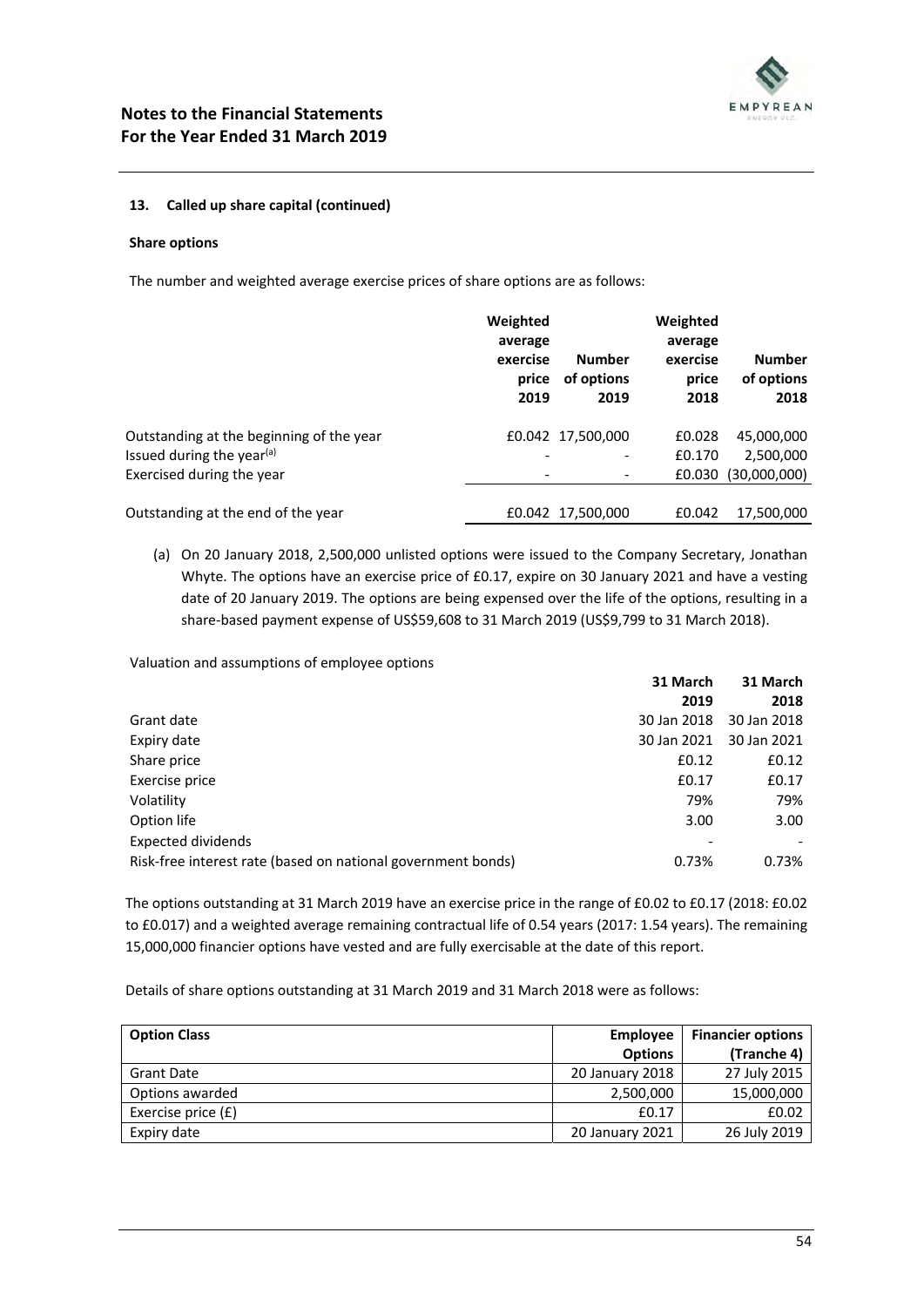

#### **13. Called up share capital (continued)**

#### **Share options**

The number and weighted average exercise prices of share options are as follows:

|                                                                                                                | Weighted<br>average<br>exercise<br>price<br>2019 | <b>Number</b><br>of options<br>2019 | Weighted<br>average<br>exercise<br>price<br>2018 | <b>Number</b><br>of options<br>2018     |
|----------------------------------------------------------------------------------------------------------------|--------------------------------------------------|-------------------------------------|--------------------------------------------------|-----------------------------------------|
| Outstanding at the beginning of the year<br>Issued during the year <sup>(a)</sup><br>Exercised during the year |                                                  | £0.042 17,500,000<br>-              | £0.028<br>£0.170<br>£0.030                       | 45,000,000<br>2,500,000<br>(30,000,000) |
| Outstanding at the end of the year                                                                             |                                                  | £0.042 17,500,000                   | £0.042                                           | 17,500,000                              |

(a) On 20 January 2018, 2,500,000 unlisted options were issued to the Company Secretary, Jonathan Whyte. The options have an exercise price of £0.17, expire on 30 January 2021 and have a vesting date of 20 January 2019. The options are being expensed over the life of the options, resulting in a share-based payment expense of US\$59,608 to 31 March 2019 (US\$9,799 to 31 March 2018).

Valuation and assumptions of employee options

|                                                              | 31 March<br>2019 | 31 March<br>2018  |
|--------------------------------------------------------------|------------------|-------------------|
| Grant date                                                   | 30 Jan 2018      | 30 Jan 2018       |
| Expiry date                                                  | 30 Jan 2021      | 30 Jan 2021       |
| Share price                                                  | £0.12            | £0.12             |
| Exercise price                                               | £0.17            | £0.17             |
| Volatility                                                   | 79%              | 79%               |
| Option life                                                  | 3.00             | 3.00 <sub>1</sub> |
| <b>Expected dividends</b>                                    |                  |                   |
| Risk-free interest rate (based on national government bonds) | 0.73%            | 0.73%             |

The options outstanding at 31 March 2019 have an exercise price in the range of £0.02 to £0.17 (2018: £0.02 to £0.017) and a weighted average remaining contractual life of 0.54 years (2017: 1.54 years). The remaining 15,000,000 financier options have vested and are fully exercisable at the date of this report.

Details of share options outstanding at 31 March 2019 and 31 March 2018 were as follows:

| <b>Option Class</b>  | <b>Employee</b><br><b>Options</b> | <b>Financier options</b><br>(Tranche 4) |
|----------------------|-----------------------------------|-----------------------------------------|
| <b>Grant Date</b>    | 20 January 2018                   | 27 July 2015                            |
| Options awarded      | 2,500,000                         | 15,000,000                              |
| Exercise price $(f)$ | £0.17                             | £0.02                                   |
| Expiry date          | 20 January 2021                   | 26 July 2019                            |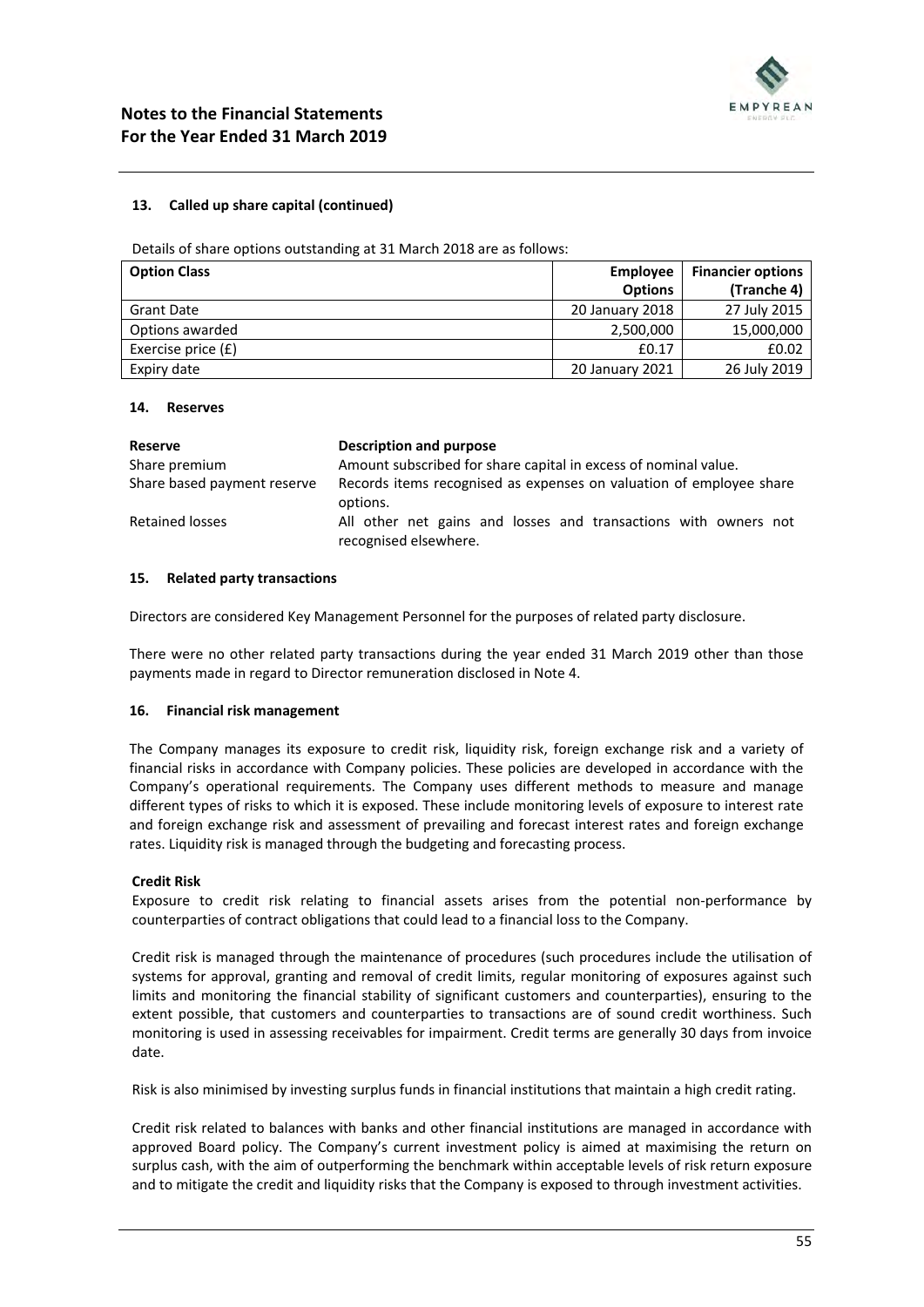

#### **13. Called up share capital (continued)**

Details of share options outstanding at 31 March 2018 are as follows:

| <b>Option Class</b> | <b>Financier options</b><br><b>Employee</b> |              |
|---------------------|---------------------------------------------|--------------|
|                     | <b>Options</b>                              | (Tranche 4)  |
| <b>Grant Date</b>   | 20 January 2018                             | 27 July 2015 |
| Options awarded     | 2,500,000                                   | 15,000,000   |
| Exercise price (£)  | £0.17                                       | £0.02        |
| Expiry date         | 20 January 2021                             | 26 July 2019 |

#### **14. Reserves**

| <b>Reserve</b>              | Description and purpose                                                                              |
|-----------------------------|------------------------------------------------------------------------------------------------------|
| Share premium               | Amount subscribed for share capital in excess of nominal value.                                      |
| Share based payment reserve | Records items recognised as expenses on valuation of employee share                                  |
| <b>Retained losses</b>      | options.<br>All other net gains and losses and transactions with owners not<br>recognised elsewhere. |

#### **15. Related party transactions**

Directors are considered Key Management Personnel for the purposes of related party disclosure.

There were no other related party transactions during the year ended 31 March 2019 other than those payments made in regard to Director remuneration disclosed in Note 4.

#### **16. Financial risk management**

The Company manages its exposure to credit risk, liquidity risk, foreign exchange risk and a variety of financial risks in accordance with Company policies. These policies are developed in accordance with the Company's operational requirements. The Company uses different methods to measure and manage different types of risks to which it is exposed. These include monitoring levels of exposure to interest rate and foreign exchange risk and assessment of prevailing and forecast interest rates and foreign exchange rates. Liquidity risk is managed through the budgeting and forecasting process.

#### **Credit Risk**

Exposure to credit risk relating to financial assets arises from the potential non-performance by counterparties of contract obligations that could lead to a financial loss to the Company.

Credit risk is managed through the maintenance of procedures (such procedures include the utilisation of systems for approval, granting and removal of credit limits, regular monitoring of exposures against such limits and monitoring the financial stability of significant customers and counterparties), ensuring to the extent possible, that customers and counterparties to transactions are of sound credit worthiness. Such monitoring is used in assessing receivables for impairment. Credit terms are generally 30 days from invoice date.

Risk is also minimised by investing surplus funds in financial institutions that maintain a high credit rating.

Credit risk related to balances with banks and other financial institutions are managed in accordance with approved Board policy. The Company's current investment policy is aimed at maximising the return on surplus cash, with the aim of outperforming the benchmark within acceptable levels of risk return exposure and to mitigate the credit and liquidity risks that the Company is exposed to through investment activities.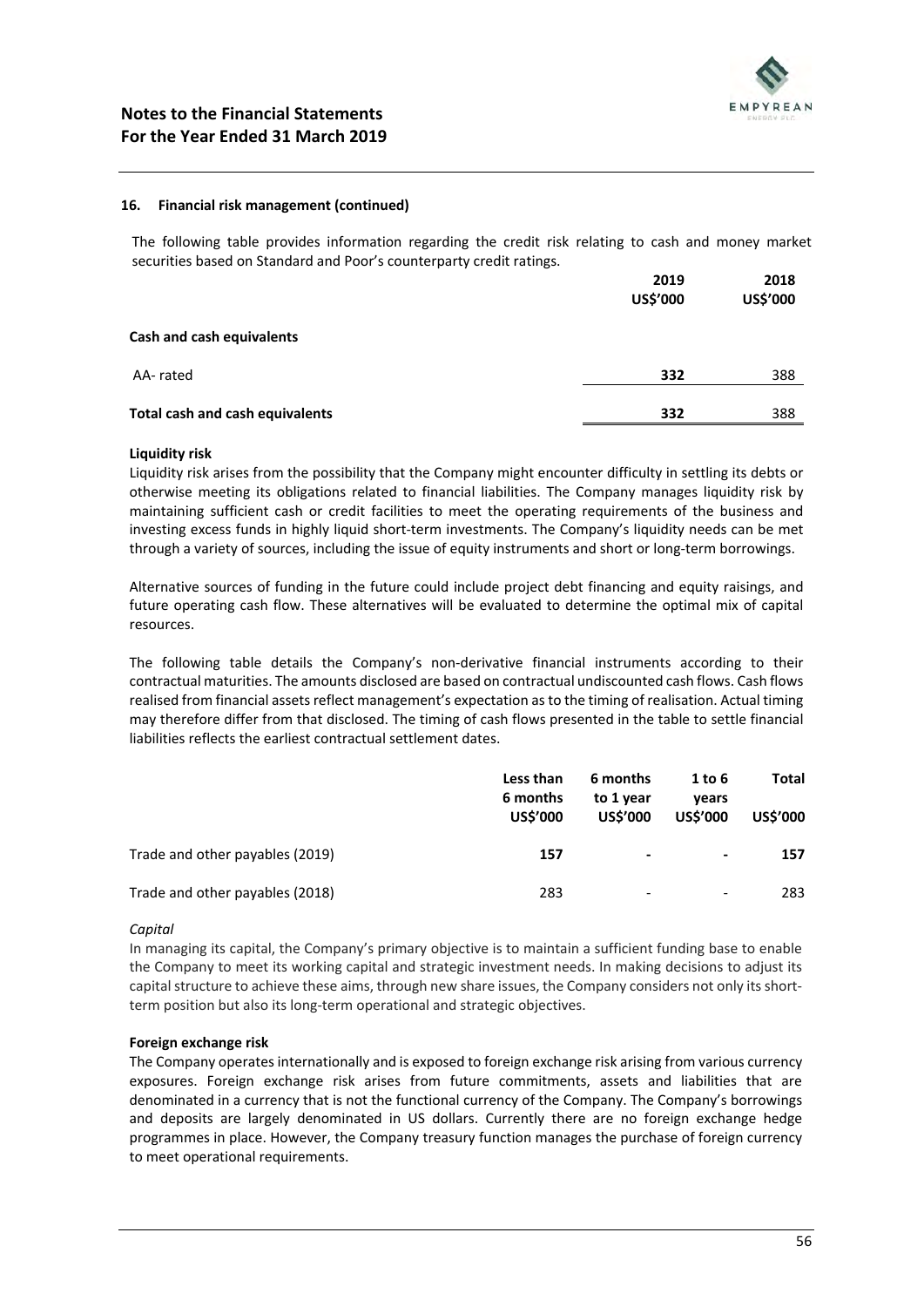

The following table provides information regarding the credit risk relating to cash and money market securities based on Standard and Poor's counterparty credit ratings.

|                                 | 2019<br>US\$'000 | 2018<br>US\$'000 |
|---------------------------------|------------------|------------------|
| Cash and cash equivalents       |                  |                  |
| AA-rated                        | 332              | 388              |
| Total cash and cash equivalents | 332              | 388              |

#### **Liquidity risk**

Liquidity risk arises from the possibility that the Company might encounter difficulty in settling its debts or otherwise meeting its obligations related to financial liabilities. The Company manages liquidity risk by maintaining sufficient cash or credit facilities to meet the operating requirements of the business and investing excess funds in highly liquid short-term investments. The Company's liquidity needs can be met through a variety of sources, including the issue of equity instruments and short or long‐term borrowings.

Alternative sources of funding in the future could include project debt financing and equity raisings, and future operating cash flow. These alternatives will be evaluated to determine the optimal mix of capital resources.

The following table details the Company's non-derivative financial instruments according to their contractual maturities. The amounts disclosed are based on contractual undiscounted cash flows. Cash flows realised from financial assets reflect management's expectation as to the timing of realisation. Actual timing may therefore differ from that disclosed. The timing of cash flows presented in the table to settle financial liabilities reflects the earliest contractual settlement dates.

|                                 | Less than<br>6 months<br><b>US\$'000</b> | 6 months<br>to 1 year<br><b>US\$'000</b> | 1 to 6<br>vears<br><b>US\$'000</b> | <b>Total</b><br><b>US\$'000</b> |
|---------------------------------|------------------------------------------|------------------------------------------|------------------------------------|---------------------------------|
| Trade and other payables (2019) | 157                                      |                                          | $\blacksquare$                     | 157                             |
| Trade and other payables (2018) | 283                                      | $\overline{\phantom{0}}$                 | $\overline{\phantom{a}}$           | 283                             |

#### *Capital*

In managing its capital, the Company's primary objective is to maintain a sufficient funding base to enable the Company to meet its working capital and strategic investment needs. In making decisions to adjust its capital structure to achieve these aims, through new share issues, the Company considers not only its shortterm position but also its long‐term operational and strategic objectives.

#### **Foreign exchange risk**

The Company operates internationally and is exposed to foreign exchange risk arising from various currency exposures. Foreign exchange risk arises from future commitments, assets and liabilities that are denominated in a currency that is not the functional currency of the Company. The Company's borrowings and deposits are largely denominated in US dollars. Currently there are no foreign exchange hedge programmes in place. However, the Company treasury function manages the purchase of foreign currency to meet operational requirements.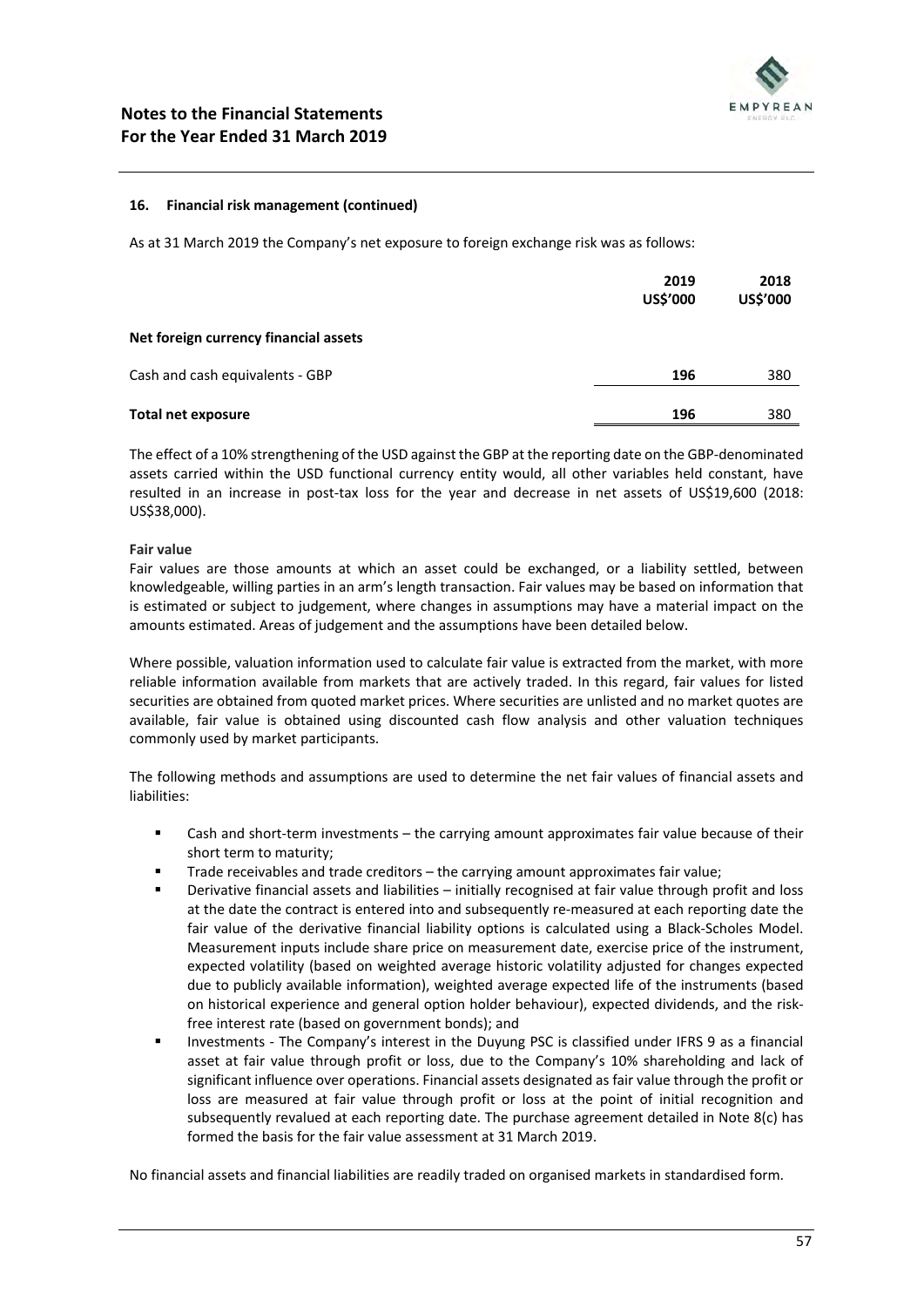

As at 31 March 2019 the Company's net exposure to foreign exchange risk was as follows:

|                                       | 2019<br>US\$'000 | 2018<br>US\$'000 |
|---------------------------------------|------------------|------------------|
| Net foreign currency financial assets |                  |                  |
| Cash and cash equivalents - GBP       | 196              | 380              |
| <b>Total net exposure</b>             | 196              | 380              |

The effect of a 10% strengthening of the USD against the GBP at the reporting date on the GBP‐denominated assets carried within the USD functional currency entity would, all other variables held constant, have resulted in an increase in post-tax loss for the year and decrease in net assets of US\$19,600 (2018: US\$38,000).

#### **Fair value**

Fair values are those amounts at which an asset could be exchanged, or a liability settled, between knowledgeable, willing parties in an arm's length transaction. Fair values may be based on information that is estimated or subject to judgement, where changes in assumptions may have a material impact on the amounts estimated. Areas of judgement and the assumptions have been detailed below.

Where possible, valuation information used to calculate fair value is extracted from the market, with more reliable information available from markets that are actively traded. In this regard, fair values for listed securities are obtained from quoted market prices. Where securities are unlisted and no market quotes are available, fair value is obtained using discounted cash flow analysis and other valuation techniques commonly used by market participants.

The following methods and assumptions are used to determine the net fair values of financial assets and liabilities:

- Cash and short-term investments the carrying amount approximates fair value because of their short term to maturity;
- Trade receivables and trade creditors the carrying amount approximates fair value;
- Derivative financial assets and liabilities initially recognised at fair value through profit and loss at the date the contract is entered into and subsequently re‐measured at each reporting date the fair value of the derivative financial liability options is calculated using a Black-Scholes Model. Measurement inputs include share price on measurement date, exercise price of the instrument, expected volatility (based on weighted average historic volatility adjusted for changes expected due to publicly available information), weighted average expected life of the instruments (based on historical experience and general option holder behaviour), expected dividends, and the risk‐ free interest rate (based on government bonds); and
- Investments ‐ The Company's interest in the Duyung PSC is classified under IFRS 9 as a financial asset at fair value through profit or loss, due to the Company's 10% shareholding and lack of significant influence over operations. Financial assets designated as fair value through the profit or loss are measured at fair value through profit or loss at the point of initial recognition and subsequently revalued at each reporting date. The purchase agreement detailed in Note 8(c) has formed the basis for the fair value assessment at 31 March 2019.

No financial assets and financial liabilities are readily traded on organised markets in standardised form.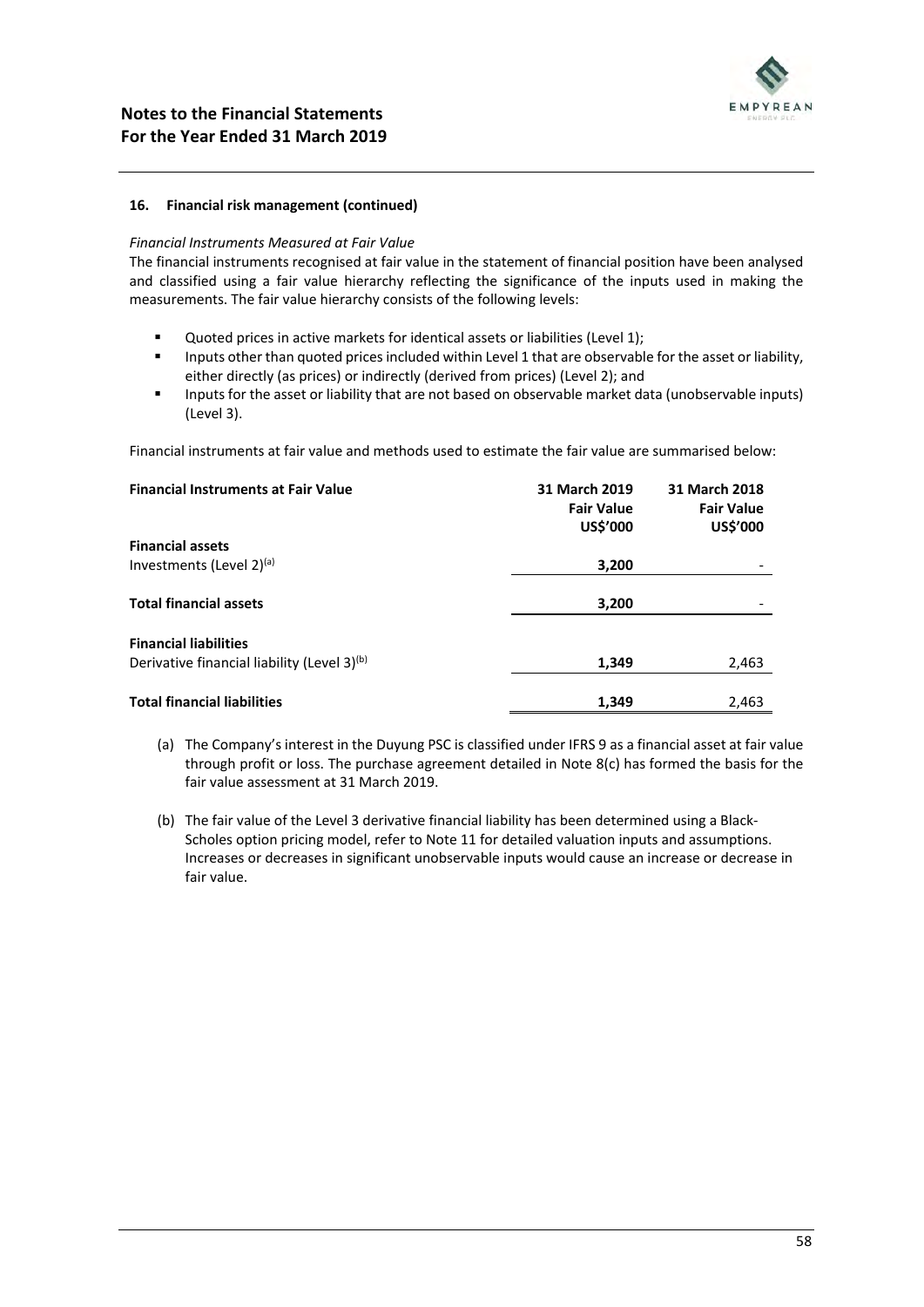

#### *Financial Instruments Measured at Fair Value*

The financial instruments recognised at fair value in the statement of financial position have been analysed and classified using a fair value hierarchy reflecting the significance of the inputs used in making the measurements. The fair value hierarchy consists of the following levels:

- Quoted prices in active markets for identical assets or liabilities (Level 1);
- **Inputs other than quoted prices included within Level 1 that are observable for the asset or liability,** either directly (as prices) or indirectly (derived from prices) (Level 2); and
- Inputs for the asset or liability that are not based on observable market data (unobservable inputs) (Level 3).

Financial instruments at fair value and methods used to estimate the fair value are summarised below:

| <b>Financial Instruments at Fair Value</b>              | 31 March 2019<br><b>Fair Value</b><br>US\$'000 | 31 March 2018<br><b>Fair Value</b><br>US\$'000 |
|---------------------------------------------------------|------------------------------------------------|------------------------------------------------|
| <b>Financial assets</b>                                 |                                                |                                                |
| Investments (Level 2) <sup>(a)</sup>                    | 3,200                                          |                                                |
| <b>Total financial assets</b>                           | 3,200                                          |                                                |
| <b>Financial liabilities</b>                            |                                                |                                                |
| Derivative financial liability (Level 3) <sup>(b)</sup> | 1,349                                          | 2,463                                          |
| <b>Total financial liabilities</b>                      | 1,349                                          | 2,463                                          |

- (a) The Company's interest in the Duyung PSC is classified under IFRS 9 as a financial asset at fair value through profit or loss. The purchase agreement detailed in Note 8(c) has formed the basis for the fair value assessment at 31 March 2019.
- (b) The fair value of the Level 3 derivative financial liability has been determined using a Black‐ Scholes option pricing model, refer to Note 11 for detailed valuation inputs and assumptions. Increases or decreases in significant unobservable inputs would cause an increase or decrease in fair value.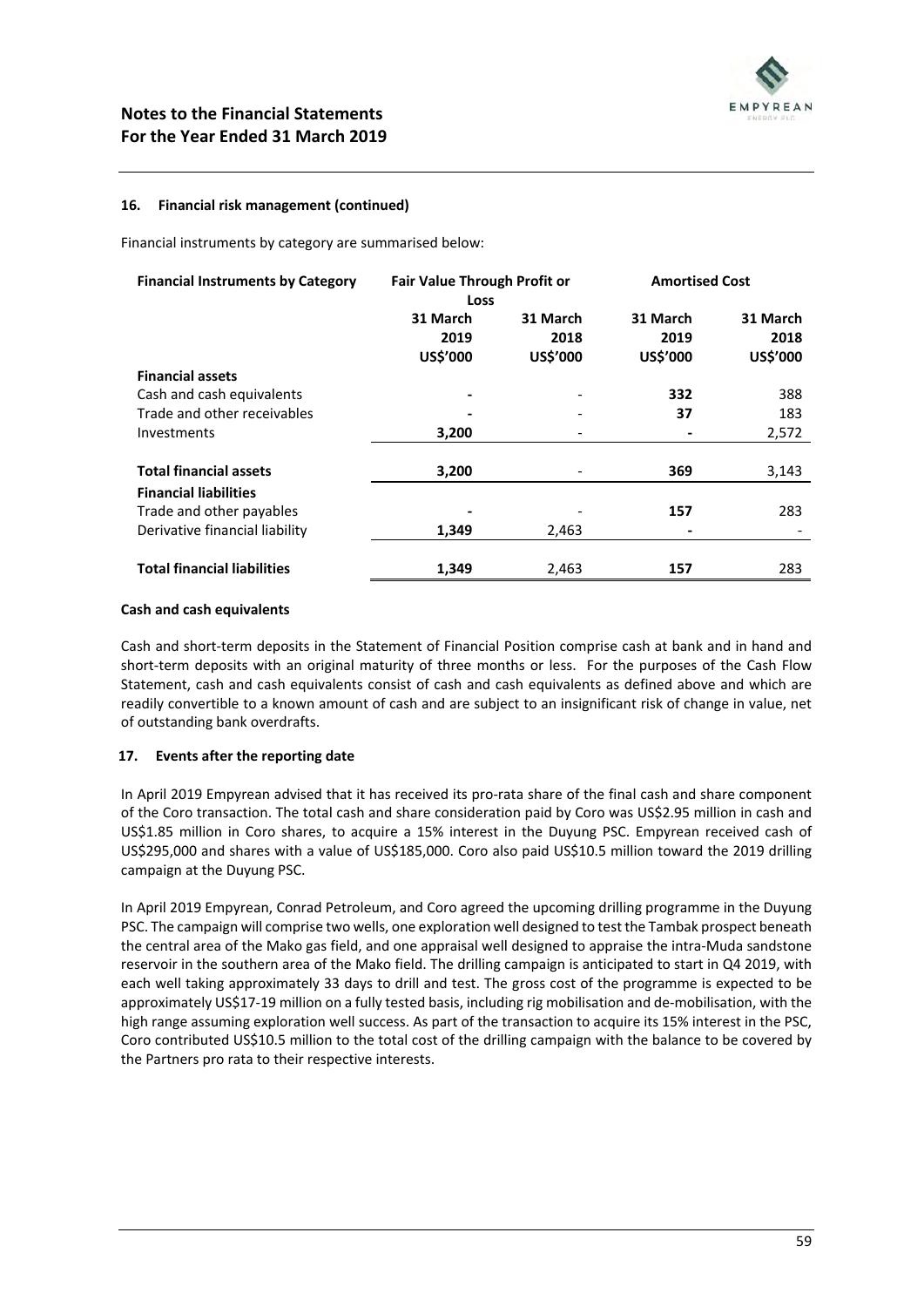

Financial instruments by category are summarised below:

| <b>Financial Instruments by Category</b> | <b>Fair Value Through Profit or</b> |          | <b>Amortised Cost</b> |          |
|------------------------------------------|-------------------------------------|----------|-----------------------|----------|
|                                          | Loss                                |          |                       |          |
|                                          | 31 March                            | 31 March | 31 March              | 31 March |
|                                          | 2019                                | 2018     | 2019                  | 2018     |
|                                          | US\$'000                            | US\$'000 | US\$'000              | US\$'000 |
| <b>Financial assets</b>                  |                                     |          |                       |          |
| Cash and cash equivalents                |                                     |          | 332                   | 388      |
| Trade and other receivables              |                                     |          | 37                    | 183      |
| Investments                              | 3,200                               |          |                       | 2,572    |
|                                          |                                     |          |                       |          |
| <b>Total financial assets</b>            | 3,200                               |          | 369                   | 3,143    |
| <b>Financial liabilities</b>             |                                     |          |                       |          |
| Trade and other payables                 |                                     |          | 157                   | 283      |
| Derivative financial liability           | 1,349                               | 2,463    |                       |          |
|                                          |                                     |          |                       |          |
| <b>Total financial liabilities</b>       | 1,349                               | 2,463    | 157                   | 283      |

#### **Cash and cash equivalents**

Cash and short‐term deposits in the Statement of Financial Position comprise cash at bank and in hand and short-term deposits with an original maturity of three months or less. For the purposes of the Cash Flow Statement, cash and cash equivalents consist of cash and cash equivalents as defined above and which are readily convertible to a known amount of cash and are subject to an insignificant risk of change in value, net of outstanding bank overdrafts.

#### **17. Events after the reporting date**

In April 2019 Empyrean advised that it has received its pro-rata share of the final cash and share component of the Coro transaction. The total cash and share consideration paid by Coro was US\$2.95 million in cash and US\$1.85 million in Coro shares, to acquire a 15% interest in the Duyung PSC. Empyrean received cash of US\$295,000 and shares with a value of US\$185,000. Coro also paid US\$10.5 million toward the 2019 drilling campaign at the Duyung PSC.

In April 2019 Empyrean, Conrad Petroleum, and Coro agreed the upcoming drilling programme in the Duyung PSC. The campaign will comprise two wells, one exploration well designed to test the Tambak prospect beneath the central area of the Mako gas field, and one appraisal well designed to appraise the intra‐Muda sandstone reservoir in the southern area of the Mako field. The drilling campaign is anticipated to start in Q4 2019, with each well taking approximately 33 days to drill and test. The gross cost of the programme is expected to be approximately US\$17‐19 million on a fully tested basis, including rig mobilisation and de‐mobilisation, with the high range assuming exploration well success. As part of the transaction to acquire its 15% interest in the PSC, Coro contributed US\$10.5 million to the total cost of the drilling campaign with the balance to be covered by the Partners pro rata to their respective interests.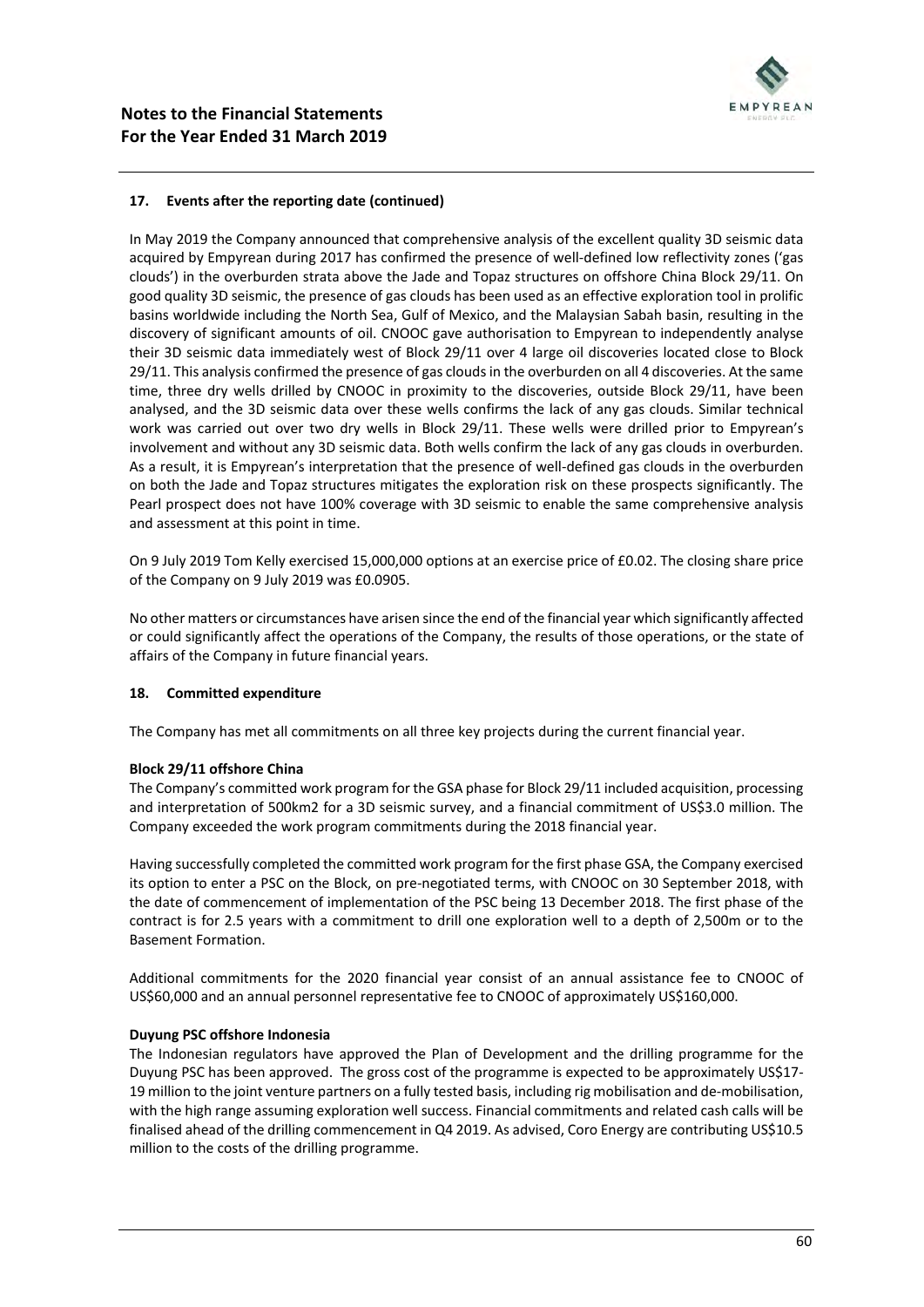

#### **17. Events after the reporting date (continued)**

In May 2019 the Company announced that comprehensive analysis of the excellent quality 3D seismic data acquired by Empyrean during 2017 has confirmed the presence of well-defined low reflectivity zones ('gas clouds') in the overburden strata above the Jade and Topaz structures on offshore China Block 29/11. On good quality 3D seismic, the presence of gas clouds has been used as an effective exploration tool in prolific basins worldwide including the North Sea, Gulf of Mexico, and the Malaysian Sabah basin, resulting in the discovery of significant amounts of oil. CNOOC gave authorisation to Empyrean to independently analyse their 3D seismic data immediately west of Block 29/11 over 4 large oil discoveries located close to Block 29/11. This analysis confirmed the presence of gas clouds in the overburden on all 4 discoveries. At the same time, three dry wells drilled by CNOOC in proximity to the discoveries, outside Block 29/11, have been analysed, and the 3D seismic data over these wells confirms the lack of any gas clouds. Similar technical work was carried out over two dry wells in Block 29/11. These wells were drilled prior to Empyrean's involvement and without any 3D seismic data. Both wells confirm the lack of any gas clouds in overburden. As a result, it is Empyrean's interpretation that the presence of well‐defined gas clouds in the overburden on both the Jade and Topaz structures mitigates the exploration risk on these prospects significantly. The Pearl prospect does not have 100% coverage with 3D seismic to enable the same comprehensive analysis and assessment at this point in time.

On 9 July 2019 Tom Kelly exercised 15,000,000 options at an exercise price of £0.02. The closing share price of the Company on 9 July 2019 was £0.0905.

No other matters or circumstances have arisen since the end of the financial year which significantly affected or could significantly affect the operations of the Company, the results of those operations, or the state of affairs of the Company in future financial years.

#### **18. Committed expenditure**

The Company has met all commitments on all three key projects during the current financial year.

#### **Block 29/11 offshore China**

The Company's committed work program for the GSA phase for Block 29/11 included acquisition, processing and interpretation of 500km2 for a 3D seismic survey, and a financial commitment of US\$3.0 million. The Company exceeded the work program commitments during the 2018 financial year.

Having successfully completed the committed work program for the first phase GSA, the Company exercised its option to enter a PSC on the Block, on pre‐negotiated terms, with CNOOC on 30 September 2018, with the date of commencement of implementation of the PSC being 13 December 2018. The first phase of the contract is for 2.5 years with a commitment to drill one exploration well to a depth of 2,500m or to the Basement Formation.

Additional commitments for the 2020 financial year consist of an annual assistance fee to CNOOC of US\$60,000 and an annual personnel representative fee to CNOOC of approximately US\$160,000.

#### **Duyung PSC offshore Indonesia**

The Indonesian regulators have approved the Plan of Development and the drilling programme for the Duyung PSC has been approved. The gross cost of the programme is expected to be approximately US\$17‐ 19 million to the joint venture partners on a fully tested basis, including rig mobilisation and de‐mobilisation, with the high range assuming exploration well success. Financial commitments and related cash calls will be finalised ahead of the drilling commencement in Q4 2019. As advised, Coro Energy are contributing US\$10.5 million to the costs of the drilling programme.